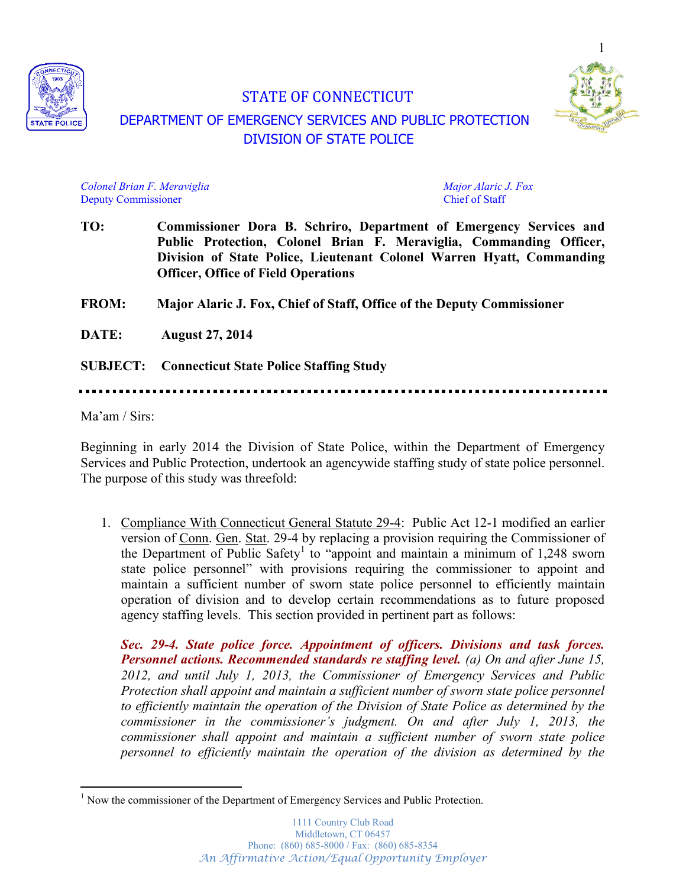

# STATE OF CONNECTICUT DEPARTMENT OF EMERGENCY SERVICES AND PUBLIC PROTECTION DIVISION OF STATE POLICE



*Colonel Brian F. Meraviglia Major Alaric J. Fox* Deputy Commissioner Chief of Staff

**TO: Commissioner Dora B. Schriro, Department of Emergency Services and Public Protection, Colonel Brian F. Meraviglia, Commanding Officer, Division of State Police, Lieutenant Colonel Warren Hyatt, Commanding Officer, Office of Field Operations**

**FROM: Major Alaric J. Fox, Chief of Staff, Office of the Deputy Commissioner**

**DATE: August 27, 2014**

**SUBJECT: Connecticut State Police Staffing Study**

 $Ma'am / Sirs'$ 

Beginning in early 2014 the Division of State Police, within the Department of Emergency Services and Public Protection, undertook an agencywide staffing study of state police personnel. The purpose of this study was threefold:

1. Compliance With Connecticut General Statute 29-4: Public Act 12-1 modified an earlier version of Conn. Gen. Stat. 29-4 by replacing a provision requiring the Commissioner of the Department of Public Safety<sup>1</sup> to "appoint and maintain a minimum of 1,248 sworn state police personnel<sup>"</sup> with provisions requiring the commissioner to appoint and maintain a sufficient number of sworn state police personnel to efficiently maintain operation of division and to develop certain recommendations as to future proposed agency staffing levels. This section provided in pertinent part as follows:

*Sec. 29-4. State police force. Appointment of officers. Divisions and task forces. Personnel actions. Recommended standards re staffing level. (a) On and after June 15, 2012, and until July 1, 2013, the Commissioner of Emergency Services and Public Protection shall appoint and maintain a sufficient number of sworn state police personnel to efficiently maintain the operation of the Division of State Police as determined by the COMMISSIONER* in the *COMMISSIONER's* judgment. On and after July 1, 2013, the *commissioner shall appoint and maintain a sufficient number of sworn state police personnel to efficiently maintain the operation of the division as determined by the* 

<sup>&</sup>lt;sup>1</sup> Now the commissioner of the Department of Emergency Services and Public Protection.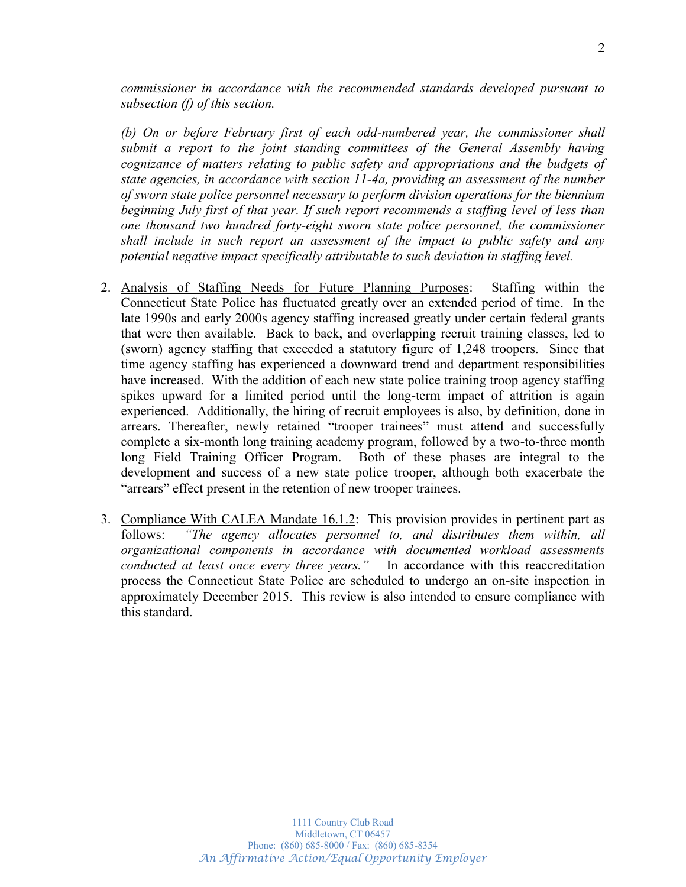*commissioner in accordance with the recommended standards developed pursuant to subsection (f) of this section.*

*(b) On or before February first of each odd-numbered year, the commissioner shall submit a report to the joint standing committees of the General Assembly having cognizance of matters relating to public safety and appropriations and the budgets of state agencies, in accordance with section 11-4a, providing an assessment of the number of sworn state police personnel necessary to perform division operations for the biennium beginning July first of that year. If such report recommends a staffing level of less than one thousand two hundred forty-eight sworn state police personnel, the commissioner shall include in such report an assessment of the impact to public safety and any potential negative impact specifically attributable to such deviation in staffing level.*

- 2. Analysis of Staffing Needs for Future Planning Purposes: Staffing within the Connecticut State Police has fluctuated greatly over an extended period of time. In the late 1990s and early 2000s agency staffing increased greatly under certain federal grants that were then available. Back to back, and overlapping recruit training classes, led to (sworn) agency staffing that exceeded a statutory figure of 1,248 troopers. Since that time agency staffing has experienced a downward trend and department responsibilities have increased. With the addition of each new state police training troop agency staffing spikes upward for a limited period until the long-term impact of attrition is again experienced. Additionally, the hiring of recruit employees is also, by definition, done in arrears. Thereafter, newly retained "trooper trainees" must attend and successfully complete a six-month long training academy program, followed by a two-to-three month long Field Training Officer Program. Both of these phases are integral to the development and success of a new state police trooper, although both exacerbate the "arrears" effect present in the retention of new trooper trainees.
- 3. Compliance With CALEA Mandate 16.1.2: This provision provides in pertinent part as follows: "The agency allocates personnel to, and distributes them within, all *organizational components in accordance with documented workload assessments FRAGKFULT Conducted at least once every three years.*<sup>"</sup> In accordance with this reaccreditation process the Connecticut State Police are scheduled to undergo an on-site inspection in approximately December 2015. This review is also intended to ensure compliance with this standard.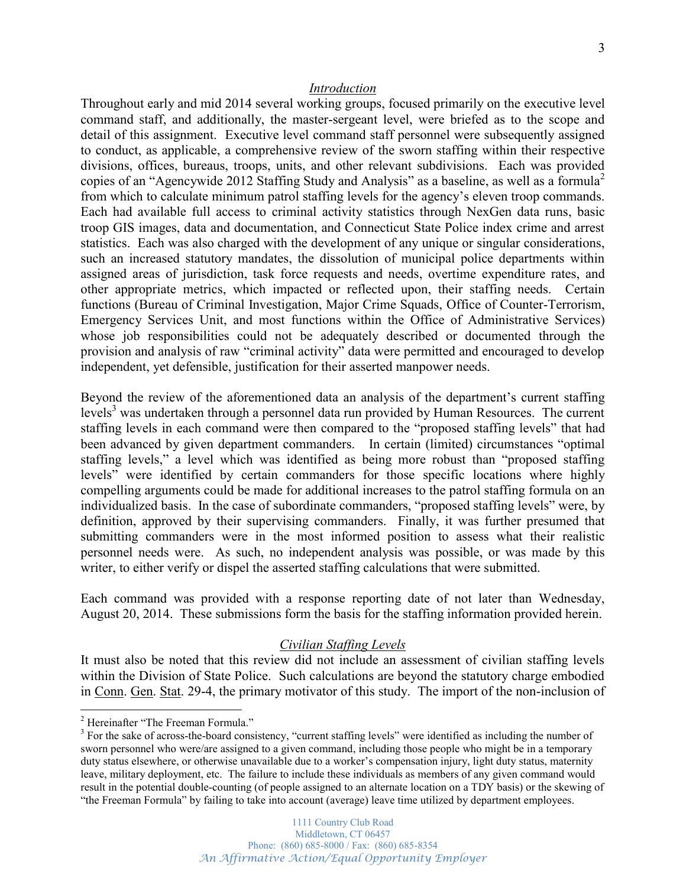#### *Introduction*

Throughout early and mid 2014 several working groups, focused primarily on the executive level command staff, and additionally, the master-sergeant level, were briefed as to the scope and detail of this assignment. Executive level command staff personnel were subsequently assigned to conduct, as applicable, a comprehensive review of the sworn staffing within their respective divisions, offices, bureaus, troops, units, and other relevant subdivisions. Each was provided copies of an "Agencywide 2012 Staffing Study and Analysis" as a baseline, as well as a formula<sup>2</sup> from which to calculate minimum patrol staffing levels for the agency's eleven troop commands. Each had available full access to criminal activity statistics through NexGen data runs, basic troop GIS images, data and documentation, and Connecticut State Police index crime and arrest statistics. Each was also charged with the development of any unique or singular considerations, such an increased statutory mandates, the dissolution of municipal police departments within assigned areas of jurisdiction, task force requests and needs, overtime expenditure rates, and other appropriate metrics, which impacted or reflected upon, their staffing needs. Certain functions (Bureau of Criminal Investigation, Major Crime Squads, Office of Counter-Terrorism, Emergency Services Unit, and most functions within the Office of Administrative Services) whose job responsibilities could not be adequately described or documented through the provision and analysis of raw "criminal activity" data were permitted and encouraged to develop independent, yet defensible, justification for their asserted manpower needs.

Beyond the review of the aforementioned data an analysis of the department's current staffing levels<sup>3</sup> was undertaken through a personnel data run provided by Human Resources. The current staffing levels in each command were then compared to the "proposed staffing levels" that had been advanced by given department commanders. In certain (limited) circumstances "optimal staffing levels," a level which was identified as being more robust than "proposed staffing levels" were identified by certain commanders for those specific locations where highly compelling arguments could be made for additional increases to the patrol staffing formula on an individualized basis. In the case of subordinate commanders, "proposed staffing levels" were, by definition, approved by their supervising commanders. Finally, it was further presumed that submitting commanders were in the most informed position to assess what their realistic personnel needs were. As such, no independent analysis was possible, or was made by this writer, to either verify or dispel the asserted staffing calculations that were submitted.

Each command was provided with a response reporting date of not later than Wednesday, August 20, 2014. These submissions form the basis for the staffing information provided herein.

#### *Civilian Staffing Levels*

It must also be noted that this review did not include an assessment of civilian staffing levels within the Division of State Police. Such calculations are beyond the statutory charge embodied in Conn. Gen. Stat. 29-4, the primary motivator of this study. The import of the non-inclusion of

 $2$  Hereinafter "The Freeman Formula."

 $3$  For the sake of across-the-board consistency, "current staffing levels" were identified as including the number of sworn personnel who were/are assigned to a given command, including those people who might be in a temporary duty status elsewhere, or otherwise unavailable due to a worker's compensation injury, light duty status, maternity leave, military deployment, etc. The failure to include these individuals as members of any given command would result in the potential double-counting (of people assigned to an alternate location on a TDY basis) or the skewing of "the Freeman Formula" by failing to take into account (average) leave time utilized by department employees.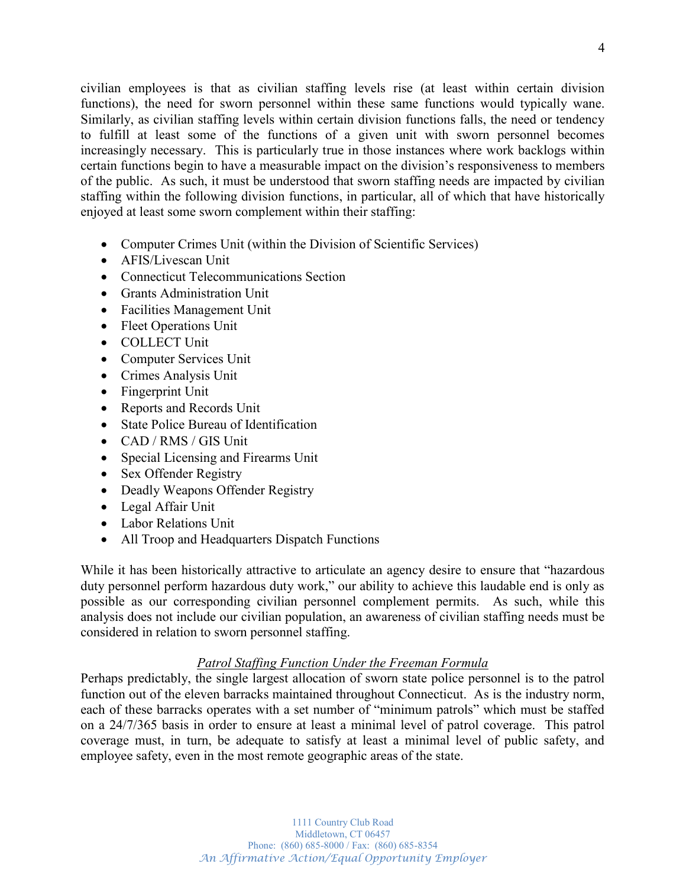civilian employees is that as civilian staffing levels rise (at least within certain division functions), the need for sworn personnel within these same functions would typically wane. Similarly, as civilian staffing levels within certain division functions falls, the need or tendency to fulfill at least some of the functions of a given unit with sworn personnel becomes increasingly necessary. This is particularly true in those instances where work backlogs within certain functions begin to have a measurable impact on the division's responsiveness to members of the public. As such, it must be understood that sworn staffing needs are impacted by civilian staffing within the following division functions, in particular, all of which that have historically enjoyed at least some sworn complement within their staffing:

- Computer Crimes Unit (within the Division of Scientific Services)
- AFIS/Livescan Unit
- Connecticut Telecommunications Section
- Grants Administration Unit
- Facilities Management Unit
- Fleet Operations Unit
- COLLECT Unit
- Computer Services Unit
- Crimes Analysis Unit
- $\bullet$  Fingerprint Unit
- Reports and Records Unit
- State Police Bureau of Identification
- $\bullet$  CAD / RMS / GIS Unit
- Special Licensing and Firearms Unit
- Sex Offender Registry
- Deadly Weapons Offender Registry
- Legal Affair Unit
- Labor Relations Unit
- All Troop and Headquarters Dispatch Functions

While it has been historically attractive to articulate an agency desire to ensure that "hazardous" duty personnel perform hazardous duty work," our ability to achieve this laudable end is only as possible as our corresponding civilian personnel complement permits. As such, while this analysis does not include our civilian population, an awareness of civilian staffing needs must be considered in relation to sworn personnel staffing.

## *Patrol Staffing Function Under the Freeman Formula*

Perhaps predictably, the single largest allocation of sworn state police personnel is to the patrol function out of the eleven barracks maintained throughout Connecticut. As is the industry norm, each of these barracks operates with a set number of "minimum patrols" which must be staffed on a 24/7/365 basis in order to ensure at least a minimal level of patrol coverage. This patrol coverage must, in turn, be adequate to satisfy at least a minimal level of public safety, and employee safety, even in the most remote geographic areas of the state.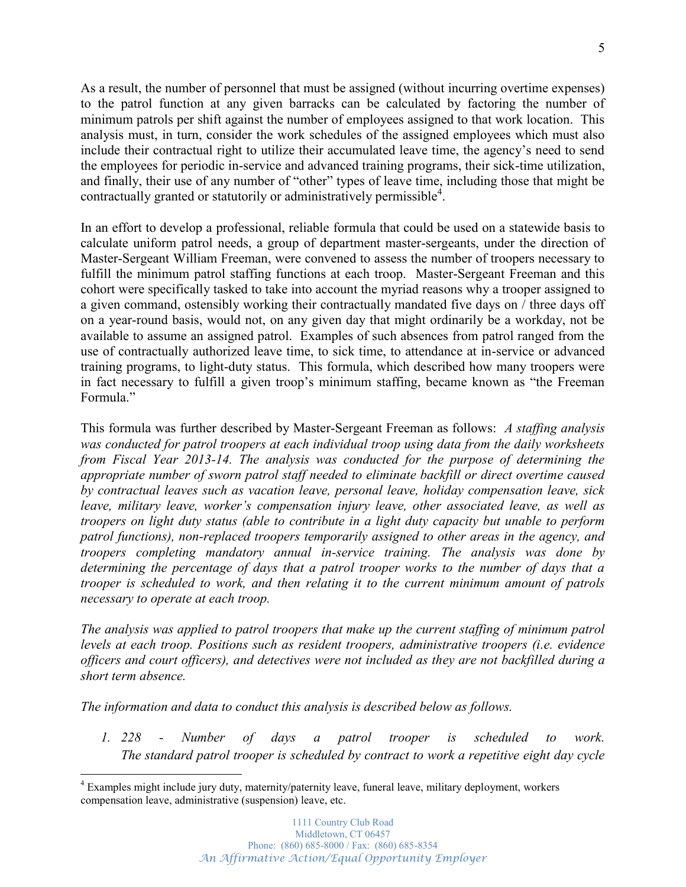As a result, the number of personnel that must be assigned (without incurring overtime expenses) to the patrol function at any given barracks can be calculated by factoring the number of minimum patrols per shift against the number of employees assigned to that work location. This analysis must, in turn, consider the work schedules of the assigned employees which must also include their contractual right to utilize their accumulated leave time, the agency's need to send the employees for periodic in-service and advanced training programs, their sick-time utilization, and finally, their use of any number of "other" types of leave time, including those that might be contractually granted or statutorily or administratively permissible<sup>4</sup>.

In an effort to develop a professional, reliable formula that could be used on a statewide basis to calculate uniform patrol needs, a group of department master-sergeants, under the direction of Master-Sergeant William Freeman, were convened to assess the number of troopers necessary to fulfill the minimum patrol staffing functions at each troop. Master-Sergeant Freeman and this cohort were specifically tasked to take into account the myriad reasons why a trooper assigned to a given command, ostensibly working their contractually mandated five days on / three days off on a year-round basis, would not, on any given day that might ordinarily be a workday, not be available to assume an assigned patrol. Examples of such absences from patrol ranged from the use of contractually authorized leave time, to sick time, to attendance at in-service or advanced training programs, to light-duty status. This formula, which described how many troopers were in fact necessary to fulfill a given troop's minimum staffing, became known as "the Freeman Formula<sup>"</sup>

This formula was further described by Master-Sergeant Freeman as follows: *A staffing analysis was conducted for patrol troopers at each individual troop using data from the daily worksheets from Fiscal Year 2013-14. The analysis was conducted for the purpose of determining the appropriate number of sworn patrol staff needed to eliminate backfill or direct overtime caused by contractual leaves such as vacation leave, personal leave, holiday compensation leave, sick Leave, military leave, worker's compensation injury leave, other associated leave, as well as troopers on light duty status (able to contribute in a light duty capacity but unable to perform patrol functions), non-replaced troopers temporarily assigned to other areas in the agency, and troopers completing mandatory annual in-service training. The analysis was done by determining the percentage of days that a patrol trooper works to the number of days that a trooper is scheduled to work, and then relating it to the current minimum amount of patrols necessary to operate at each troop.*

*The analysis was applied to patrol troopers that make up the current staffing of minimum patrol levels at each troop. Positions such as resident troopers, administrative troopers (i.e. evidence officers and court officers), and detectives were not included as they are not backfilled during a short term absence.* 

*The information and data to conduct this analysis is described below as follows.* 

*1. 228 - Number of days a patrol trooper is scheduled to work. The standard patrol trooper is scheduled by contract to work a repetitive eight day cycle* 

<sup>&</sup>lt;sup>4</sup> Examples might include jury duty, maternity/paternity leave, funeral leave, military deployment, workers compensation leave, administrative (suspension) leave, etc.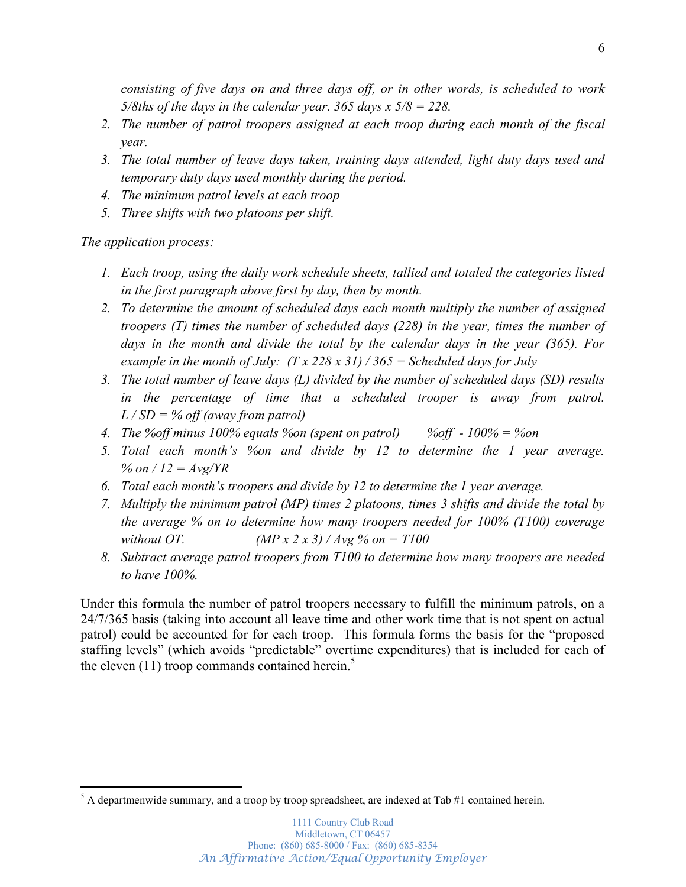*consisting of five days on and three days off, or in other words, is scheduled to work 5/8ths of the days in the calendar year. 365 days x 5/8 = 228.* 

- *2. The number of patrol troopers assigned at each troop during each month of the fiscal year.*
- *3. The total number of leave days taken, training days attended, light duty days used and temporary duty days used monthly during the period.*
- *4. The minimum patrol levels at each troop*
- *5. Three shifts with two platoons per shift.*

*The application process:*

- *1. Each troop, using the daily work schedule sheets, tallied and totaled the categories listed in the first paragraph above first by day, then by month.*
- *2. To determine the amount of scheduled days each month multiply the number of assigned troopers (T) times the number of scheduled days (228) in the year, times the number of days in the month and divide the total by the calendar days in the year (365). For example in the month of July: (T x 228 x 31) / 365 = Scheduled days for July*
- *3. The total number of leave days (L) divided by the number of scheduled days (SD) results in the percentage of time that a scheduled trooper is away from patrol. L / SD = % off (away from patrol)*
- *4. The %off minus 100% equals %on (spent on patrol) %off - 100% = %on*
- *5.* Total each month's % and divide by 12 to determine the 1 year average. *% on / 12 = Avg/YR*
- 6. *Total each month's troopers and divide by 12 to determine the 1 year average.*
- *7. Multiply the minimum patrol (MP) times 2 platoons, times 3 shifts and divide the total by the average % on to determine how many troopers needed for 100% (T100) coverage without OT. (MP x 2 x 3) / Avg % on = T100*
- *8. Subtract average patrol troopers from T100 to determine how many troopers are needed to have 100%.*

Under this formula the number of patrol troopers necessary to fulfill the minimum patrols, on a 24/7/365 basis (taking into account all leave time and other work time that is not spent on actual patrol) could be accounted for for each troop. This formula forms the basis for the "proposed staffing levels" (which avoids "predictable" overtime expenditures) that is included for each of the eleven  $(11)$  troop commands contained herein.<sup>5</sup>

 $<sup>5</sup>$  A departmenwide summary, and a troop by troop spreadsheet, are indexed at Tab #1 contained herein.</sup>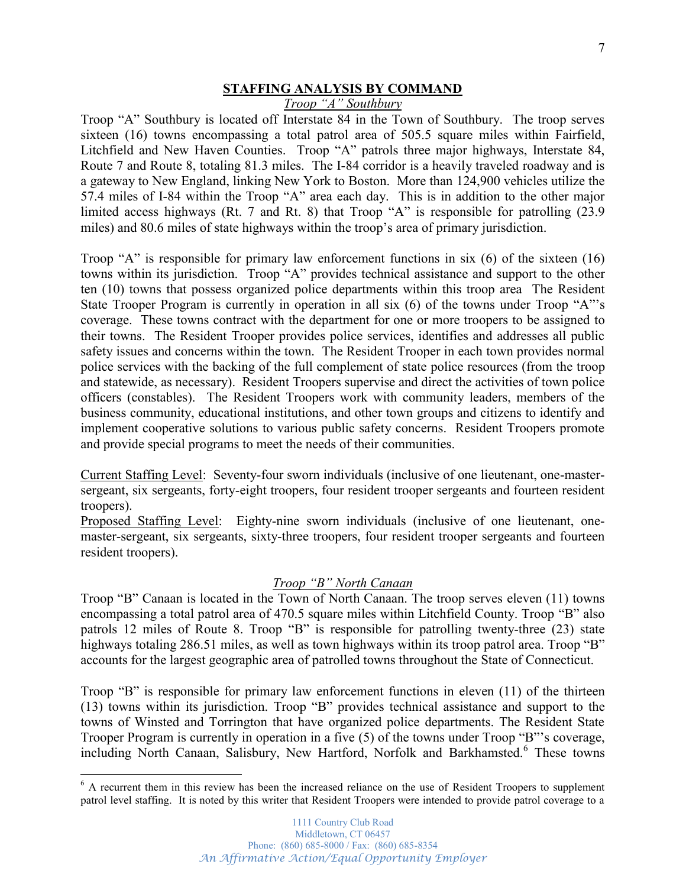### **STAFFING ANALYSIS BY COMMAND**

*Troop "A" Southbury* 

Troop "A" Southbury is located off Interstate 84 in the Town of Southbury. The troop serves sixteen (16) towns encompassing a total patrol area of 505.5 square miles within Fairfield, Litchfield and New Haven Counties. Troop "A" patrols three major highways, Interstate 84, Route 7 and Route 8, totaling 81.3 miles. The I-84 corridor is a heavily traveled roadway and is a gateway to New England, linking New York to Boston. More than 124,900 vehicles utilize the 57.4 miles of I-84 within the Troop "A" area each day. This is in addition to the other major limited access highways (Rt. 7 and Rt. 8) that Troop  $A^*$  is responsible for patrolling (23.9) miles) and 80.6 miles of state highways within the troop's area of primary jurisdiction.

Troop "A" is responsible for primary law enforcement functions in six  $(6)$  of the sixteen  $(16)$ towns within its jurisdiction. Troop "A" provides technical assistance and support to the other ten (10) towns that possess organized police departments within this troop area The Resident State Trooper Program is currently in operation in all six  $(6)$  of the towns under Troop "A"'s coverage. These towns contract with the department for one or more troopers to be assigned to their towns. The Resident Trooper provides police services, identifies and addresses all public safety issues and concerns within the town. The Resident Trooper in each town provides normal police services with the backing of the full complement of state police resources (from the troop and statewide, as necessary). Resident Troopers supervise and direct the activities of town police officers (constables). The Resident Troopers work with community leaders, members of the business community, educational institutions, and other town groups and citizens to identify and implement cooperative solutions to various public safety concerns. Resident Troopers promote and provide special programs to meet the needs of their communities.

Current Staffing Level: Seventy-four sworn individuals (inclusive of one lieutenant, one-mastersergeant, six sergeants, forty-eight troopers, four resident trooper sergeants and fourteen resident troopers).

Proposed Staffing Level: Eighty-nine sworn individuals (inclusive of one lieutenant, onemaster-sergeant, six sergeants, sixty-three troopers, four resident trooper sergeants and fourteen resident troopers).

### *Troop* "B" North Canaan

Troop "B" Canaan is located in the Town of North Canaan. The troop serves eleven (11) towns encompassing a total patrol area of 470.5 square miles within Litchfield County. Troop "B" also patrols 12 miles of Route 8. Troop "B" is responsible for patrolling twenty-three  $(23)$  state highways totaling 286.51 miles, as well as town highways within its troop patrol area. Troop  $B$ <sup>o</sup> accounts for the largest geographic area of patrolled towns throughout the State of Connecticut.

Troop "B" is responsible for primary law enforcement functions in eleven  $(11)$  of the thirteen  $(13)$  towns within its jurisdiction. Troop "B" provides technical assistance and support to the towns of Winsted and Torrington that have organized police departments. The Resident State Trooper Program is currently in operation in a five  $(5)$  of the towns under Troop "B"'s coverage, including North Canaan, Salisbury, New Hartford, Norfolk and Barkhamsted.<sup>6</sup> These towns

<sup>&</sup>lt;sup>6</sup> A recurrent them in this review has been the increased reliance on the use of Resident Troopers to supplement patrol level staffing. It is noted by this writer that Resident Troopers were intended to provide patrol coverage to a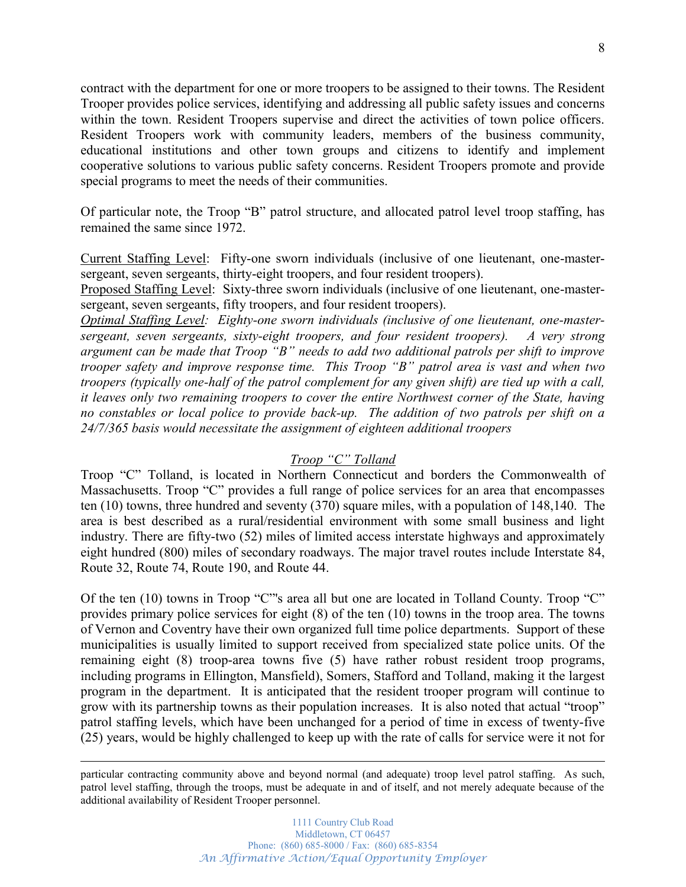contract with the department for one or more troopers to be assigned to their towns. The Resident Trooper provides police services, identifying and addressing all public safety issues and concerns within the town. Resident Troopers supervise and direct the activities of town police officers. Resident Troopers work with community leaders, members of the business community, educational institutions and other town groups and citizens to identify and implement cooperative solutions to various public safety concerns. Resident Troopers promote and provide special programs to meet the needs of their communities.

Of particular note, the Troop "B" patrol structure, and allocated patrol level troop staffing, has remained the same since 1972.

Current Staffing Level: Fifty-one sworn individuals (inclusive of one lieutenant, one-mastersergeant, seven sergeants, thirty-eight troopers, and four resident troopers).

Proposed Staffing Level: Sixty-three sworn individuals (inclusive of one lieutenant, one-mastersergeant, seven sergeants, fifty troopers, and four resident troopers).

*Optimal Staffing Level: Eighty-one sworn individuals (inclusive of one lieutenant, one-mastersergeant, seven sergeants, sixty-eight troopers, and four resident troopers). A very strong*  argument can be made that Troop "B" needs to add two additional patrols per shift to improve *trooper safety and improve response time. This Troop "B" patrol area is vast and when two troopers (typically one-half of the patrol complement for any given shift) are tied up with a call, it leaves only two remaining troopers to cover the entire Northwest corner of the State, having no constables or local police to provide back-up. The addition of two patrols per shift on a 24/7/365 basis would necessitate the assignment of eighteen additional troopers*

### **Troop** "C" Tolland

Troop "C" Tolland, is located in Northern Connecticut and borders the Commonwealth of Massachusetts. Troop "C" provides a full range of police services for an area that encompasses ten (10) towns, three hundred and seventy (370) square miles, with a population of 148,140. The area is best described as a rural/residential environment with some small business and light industry. There are fifty-two (52) miles of limited access interstate highways and approximately eight hundred (800) miles of secondary roadways. The major travel routes include Interstate 84, Route 32, Route 74, Route 190, and Route 44.

Of the ten  $(10)$  towns in Troop "C"'s area all but one are located in Tolland County. Troop "C" provides primary police services for eight (8) of the ten (10) towns in the troop area. The towns of Vernon and Coventry have their own organized full time police departments. Support of these municipalities is usually limited to support received from specialized state police units. Of the remaining eight (8) troop-area towns five (5) have rather robust resident troop programs, including programs in Ellington, Mansfield), Somers, Stafford and Tolland, making it the largest program in the department. It is anticipated that the resident trooper program will continue to grow with its partnership towns as their population increases. It is also noted that actual "troop" patrol staffing levels, which have been unchanged for a period of time in excess of twenty-five (25) years, would be highly challenged to keep up with the rate of calls for service were it not for

particular contracting community above and beyond normal (and adequate) troop level patrol staffing. As such, patrol level staffing, through the troops, must be adequate in and of itself, and not merely adequate because of the additional availability of Resident Trooper personnel.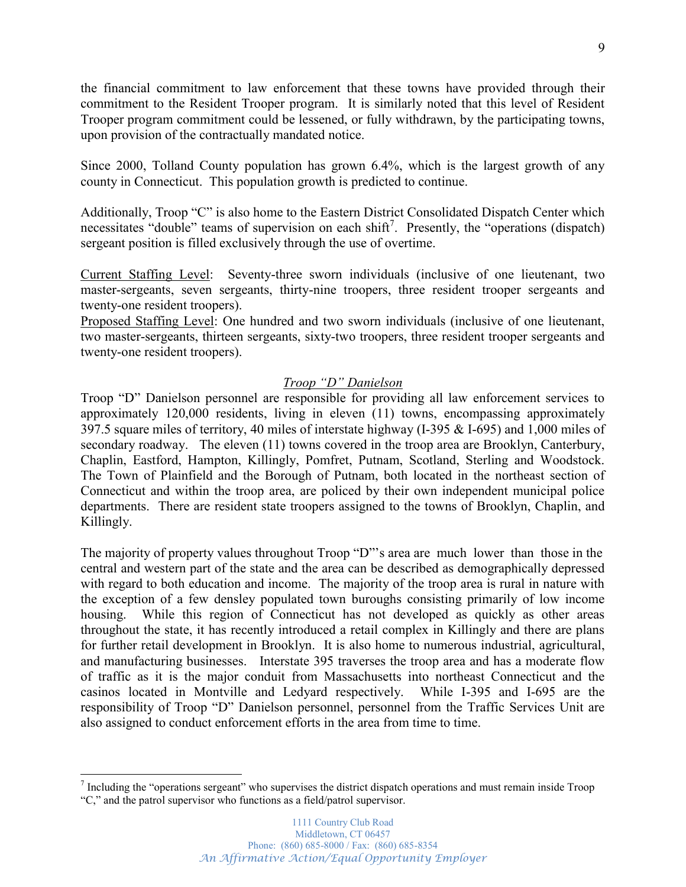the financial commitment to law enforcement that these towns have provided through their commitment to the Resident Trooper program. It is similarly noted that this level of Resident Trooper program commitment could be lessened, or fully withdrawn, by the participating towns, upon provision of the contractually mandated notice.

Since 2000, Tolland County population has grown 6.4%, which is the largest growth of any county in Connecticut. This population growth is predicted to continue.

Additionally, Troop "C" is also home to the Eastern District Consolidated Dispatch Center which necessitates "double" teams of supervision on each shift<sup>7</sup>. Presently, the "operations (dispatch) sergeant position is filled exclusively through the use of overtime.

Current Staffing Level: Seventy-three sworn individuals (inclusive of one lieutenant, two master-sergeants, seven sergeants, thirty-nine troopers, three resident trooper sergeants and twenty-one resident troopers).

Proposed Staffing Level: One hundred and two sworn individuals (inclusive of one lieutenant, two master-sergeants, thirteen sergeants, sixty-two troopers, three resident trooper sergeants and twenty-one resident troopers).

## *Troop* "D" Danielson

Troop "D" Danielson personnel are responsible for providing all law enforcement services to approximately 120,000 residents, living in eleven (11) towns, encompassing approximately 397.5 square miles of territory, 40 miles of interstate highway (I-395 & I-695) and 1,000 miles of secondary roadway. The eleven (11) towns covered in the troop area are Brooklyn, Canterbury, Chaplin, Eastford, Hampton, Killingly, Pomfret, Putnam, Scotland, Sterling and Woodstock. The Town of Plainfield and the Borough of Putnam, both located in the northeast section of Connecticut and within the troop area, are policed by their own independent municipal police departments. There are resident state troopers assigned to the towns of Brooklyn, Chaplin, and Killingly.

The majority of property values throughout Troop "D"'s area are much lower than those in the central and western part of the state and the area can be described as demographically depressed with regard to both education and income. The majority of the troop area is rural in nature with the exception of a few densley populated town buroughs consisting primarily of low income housing. While this region of Connecticut has not developed as quickly as other areas throughout the state, it has recently introduced a retail complex in Killingly and there are plans for further retail development in Brooklyn. It is also home to numerous industrial, agricultural, and manufacturing businesses. Interstate 395 traverses the troop area and has a moderate flow of traffic as it is the major conduit from Massachusetts into northeast Connecticut and the casinos located in Montville and Ledyard respectively. While I-395 and I-695 are the responsibility of Troop "D" Danielson personnel, personnel from the Traffic Services Unit are also assigned to conduct enforcement efforts in the area from time to time.

 $<sup>7</sup>$  Including the "operations sergeant" who supervises the district dispatch operations and must remain inside Troop</sup> "C," and the patrol supervisor who functions as a field/patrol supervisor.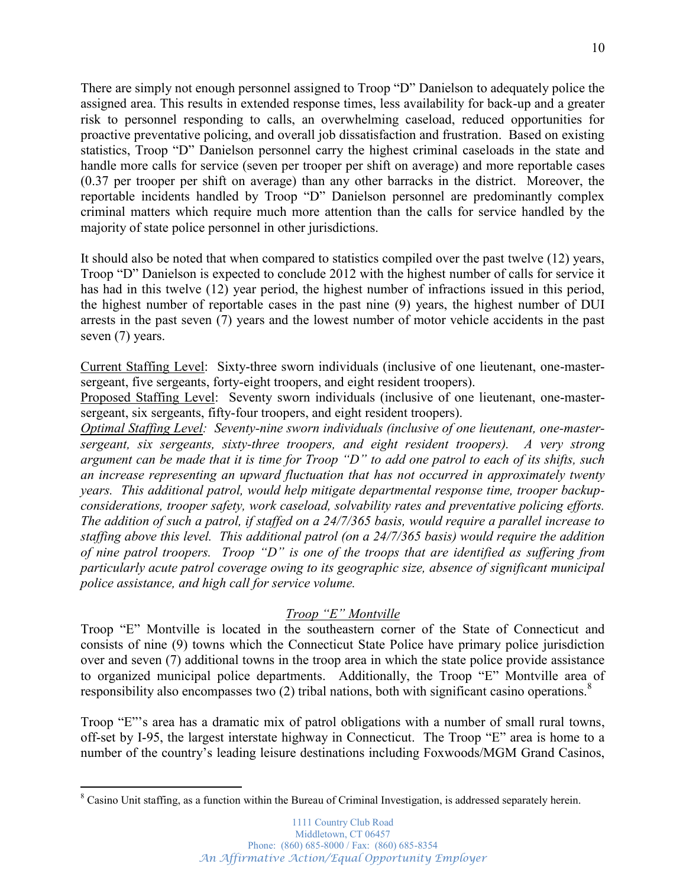There are simply not enough personnel assigned to Troop "D" Danielson to adequately police the assigned area. This results in extended response times, less availability for back-up and a greater risk to personnel responding to calls, an overwhelming caseload, reduced opportunities for proactive preventative policing, and overall job dissatisfaction and frustration. Based on existing statistics, Troop "D" Danielson personnel carry the highest criminal caseloads in the state and handle more calls for service (seven per trooper per shift on average) and more reportable cases (0.37 per trooper per shift on average) than any other barracks in the district. Moreover, the reportable incidents handled by Troop "D" Danielson personnel are predominantly complex criminal matters which require much more attention than the calls for service handled by the majority of state police personnel in other jurisdictions.

It should also be noted that when compared to statistics compiled over the past twelve (12) years, Troop "D" Danielson is expected to conclude 2012 with the highest number of calls for service it has had in this twelve (12) year period, the highest number of infractions issued in this period, the highest number of reportable cases in the past nine (9) years, the highest number of DUI arrests in the past seven (7) years and the lowest number of motor vehicle accidents in the past seven  $(7)$  years.

Current Staffing Level: Sixty-three sworn individuals (inclusive of one lieutenant, one-mastersergeant, five sergeants, forty-eight troopers, and eight resident troopers).

Proposed Staffing Level: Seventy sworn individuals (inclusive of one lieutenant, one-mastersergeant, six sergeants, fifty-four troopers, and eight resident troopers).

*Optimal Staffing Level: Seventy-nine sworn individuals (inclusive of one lieutenant, one-mastersergeant, six sergeants, sixty-three troopers, and eight resident troopers). A very strong*  argument can be made that it is time for Troop "D" to add one patrol to each of its shifts, such *an increase representing an upward fluctuation that has not occurred in approximately twenty years. This additional patrol, would help mitigate departmental response time, trooper backupconsiderations, trooper safety, work caseload, solvability rates and preventative policing efforts. The addition of such a patrol, if staffed on a 24/7/365 basis, would require a parallel increase to staffing above this level. This additional patrol (on a 24/7/365 basis) would require the addition of nine patrol troopers. Troop "D" is one of the troops that are identified as suffering from particularly acute patrol coverage owing to its geographic size, absence of significant municipal police assistance, and high call for service volume.*

## *Troop* "E" Montville

Troop "E" Montville is located in the southeastern corner of the State of Connecticut and consists of nine (9) towns which the Connecticut State Police have primary police jurisdiction over and seven (7) additional towns in the troop area in which the state police provide assistance to organized municipal police departments. Additionally, the Troop "E" Montville area of responsibility also encompasses two (2) tribal nations, both with significant casino operations.<sup>8</sup>

Troop "E"'s area has a dramatic mix of patrol obligations with a number of small rural towns, off-set by I-95, the largest interstate highway in Connecticut. The Troop "E" area is home to a number of the country's leading leisure destinations including Foxwoods/MGM Grand Casinos,

<sup>&</sup>lt;sup>8</sup> Casino Unit staffing, as a function within the Bureau of Criminal Investigation, is addressed separately herein.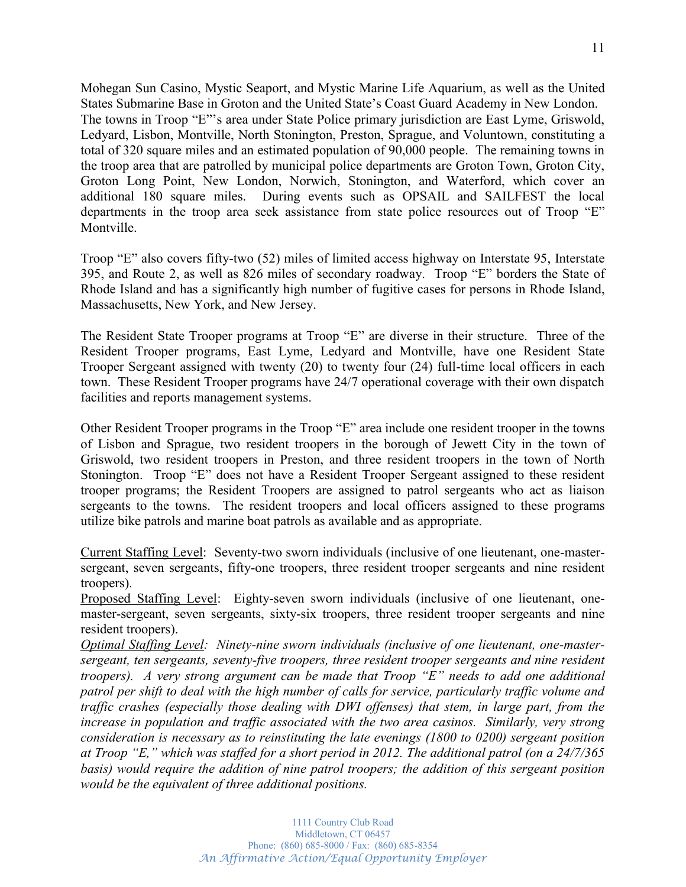Mohegan Sun Casino, Mystic Seaport, and Mystic Marine Life Aquarium, as well as the United States Submarine Base in Groton and the United State's Coast Guard Academy in New London. The towns in Troop "E"'s area under State Police primary jurisdiction are East Lyme, Griswold, Ledyard, Lisbon, Montville, North Stonington, Preston, Sprague, and Voluntown, constituting a total of 320 square miles and an estimated population of 90,000 people. The remaining towns in the troop area that are patrolled by municipal police departments are Groton Town, Groton City, Groton Long Point, New London, Norwich, Stonington, and Waterford, which cover an additional 180 square miles. During events such as OPSAIL and SAILFEST the local departments in the troop area seek assistance from state police resources out of Troop "E" Montville.

Troop "E" also covers fifty-two (52) miles of limited access highway on Interstate 95, Interstate 395, and Route 2, as well as 826 miles of secondary roadway. Troop "E" borders the State of Rhode Island and has a significantly high number of fugitive cases for persons in Rhode Island, Massachusetts, New York, and New Jersey.

The Resident State Trooper programs at Troop "E" are diverse in their structure. Three of the Resident Trooper programs, East Lyme, Ledyard and Montville, have one Resident State Trooper Sergeant assigned with twenty (20) to twenty four (24) full-time local officers in each town. These Resident Trooper programs have 24/7 operational coverage with their own dispatch facilities and reports management systems.

Other Resident Trooper programs in the Troop "E" area include one resident trooper in the towns of Lisbon and Sprague, two resident troopers in the borough of Jewett City in the town of Griswold, two resident troopers in Preston, and three resident troopers in the town of North Stonington. Troop "E" does not have a Resident Trooper Sergeant assigned to these resident trooper programs; the Resident Troopers are assigned to patrol sergeants who act as liaison sergeants to the towns. The resident troopers and local officers assigned to these programs utilize bike patrols and marine boat patrols as available and as appropriate.

Current Staffing Level: Seventy-two sworn individuals (inclusive of one lieutenant, one-mastersergeant, seven sergeants, fifty-one troopers, three resident trooper sergeants and nine resident troopers).

Proposed Staffing Level: Eighty-seven sworn individuals (inclusive of one lieutenant, onemaster-sergeant, seven sergeants, sixty-six troopers, three resident trooper sergeants and nine resident troopers).

*Optimal Staffing Level: Ninety-nine sworn individuals (inclusive of one lieutenant, one-mastersergeant, ten sergeants, seventy-five troopers, three resident trooper sergeants and nine resident troopers). A very strong argument can be made that Troop "E" needs to add one additional patrol per shift to deal with the high number of calls for service, particularly traffic volume and traffic crashes (especially those dealing with DWI offenses) that stem, in large part, from the increase in population and traffic associated with the two area casinos. Similarly, very strong consideration is necessary as to reinstituting the late evenings (1800 to 0200) sergeant position*  at Troop "E," which was staffed for a short period in 2012. The additional patrol (on a 24/7/365 *basis) would require the addition of nine patrol troopers; the addition of this sergeant position would be the equivalent of three additional positions.*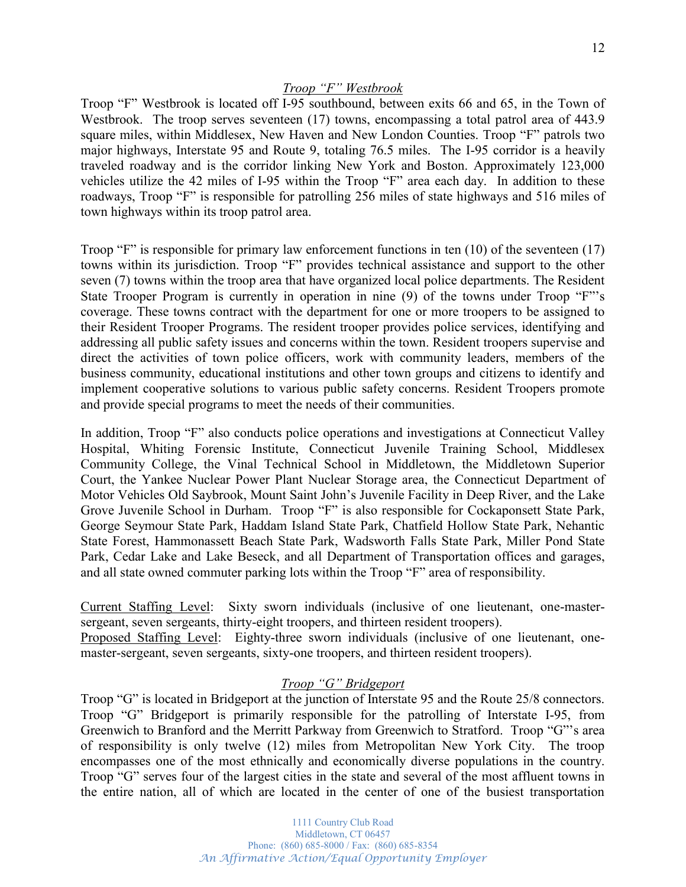### *Troop* "F" Westbrook

Troop "F" Westbrook is located off I-95 southbound, between exits 66 and 65, in the Town of Westbrook. The troop serves seventeen (17) towns, encompassing a total patrol area of 443.9 square miles, within Middlesex, New Haven and New London Counties. Troop "F" patrols two major highways, Interstate 95 and Route 9, totaling 76.5 miles. The I-95 corridor is a heavily traveled roadway and is the corridor linking New York and Boston. Approximately 123,000 vehicles utilize the 42 miles of I-95 within the Troop "F" area each day. In addition to these roadways, Troop "F" is responsible for patrolling 256 miles of state highways and 516 miles of town highways within its troop patrol area.

Troop "F" is responsible for primary law enforcement functions in ten  $(10)$  of the seventeen  $(17)$ towns within its jurisdiction. Troop "F" provides technical assistance and support to the other seven (7) towns within the troop area that have organized local police departments. The Resident State Trooper Program is currently in operation in nine  $(9)$  of the towns under Troop "F"'s coverage. These towns contract with the department for one or more troopers to be assigned to their Resident Trooper Programs. The resident trooper provides police services, identifying and addressing all public safety issues and concerns within the town. Resident troopers supervise and direct the activities of town police officers, work with community leaders, members of the business community, educational institutions and other town groups and citizens to identify and implement cooperative solutions to various public safety concerns. Resident Troopers promote and provide special programs to meet the needs of their communities.

In addition, Troop "F" also conducts police operations and investigations at Connecticut Valley Hospital, Whiting Forensic Institute, Connecticut Juvenile Training School, Middlesex Community College, the Vinal Technical School in Middletown, the Middletown Superior Court, the Yankee Nuclear Power Plant Nuclear Storage area, the Connecticut Department of Motor Vehicles Old Saybrook, Mount Saint John's Juvenile Facility in Deep River, and the Lake Grove Juvenile School in Durham. Troop "F" is also responsible for Cockaponsett State Park, George Seymour State Park, Haddam Island State Park, Chatfield Hollow State Park, Nehantic State Forest, Hammonassett Beach State Park, Wadsworth Falls State Park, Miller Pond State Park, Cedar Lake and Lake Beseck, and all Department of Transportation offices and garages, and all state owned commuter parking lots within the Troop "F" area of responsibility.

Current Staffing Level: Sixty sworn individuals (inclusive of one lieutenant, one-mastersergeant, seven sergeants, thirty-eight troopers, and thirteen resident troopers).

Proposed Staffing Level: Eighty-three sworn individuals (inclusive of one lieutenant, onemaster-sergeant, seven sergeants, sixty-one troopers, and thirteen resident troopers).

### *Troop* "G" Bridgeport

Troop "G" is located in Bridgeport at the junction of Interstate 95 and the Route 25/8 connectors. Troop "G" Bridgeport is primarily responsible for the patrolling of Interstate I-95, from Greenwich to Branford and the Merritt Parkway from Greenwich to Stratford. Troop "G"'s area of responsibility is only twelve (12) miles from Metropolitan New York City. The troop encompasses one of the most ethnically and economically diverse populations in the country. Troop "G" serves four of the largest cities in the state and several of the most affluent towns in the entire nation, all of which are located in the center of one of the busiest transportation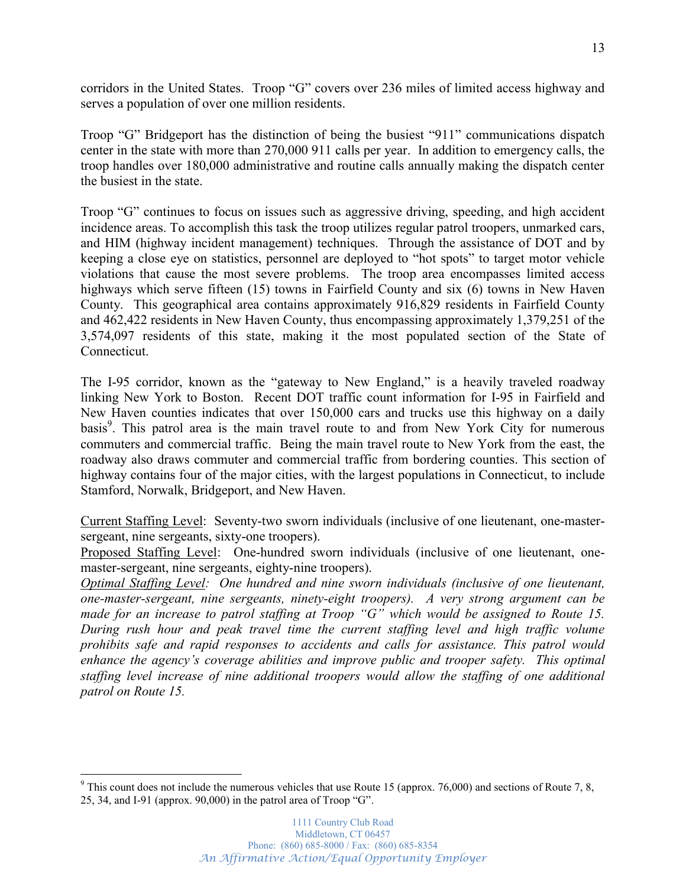corridors in the United States. Troop "G" covers over 236 miles of limited access highway and serves a population of over one million residents.

Troop "G" Bridgeport has the distinction of being the busiest "911" communications dispatch center in the state with more than 270,000 911 calls per year. In addition to emergency calls, the troop handles over 180,000 administrative and routine calls annually making the dispatch center the busiest in the state.

Troop "G" continues to focus on issues such as aggressive driving, speeding, and high accident incidence areas. To accomplish this task the troop utilizes regular patrol troopers, unmarked cars, and HIM (highway incident management) techniques. Through the assistance of DOT and by keeping a close eye on statistics, personnel are deployed to "hot spots" to target motor vehicle violations that cause the most severe problems. The troop area encompasses limited access highways which serve fifteen (15) towns in Fairfield County and six (6) towns in New Haven County. This geographical area contains approximately 916,829 residents in Fairfield County and 462,422 residents in New Haven County, thus encompassing approximately 1,379,251 of the 3,574,097 residents of this state, making it the most populated section of the State of Connecticut.

The I-95 corridor, known as the "gateway to New England," is a heavily traveled roadway linking New York to Boston. Recent DOT traffic count information for I-95 in Fairfield and New Haven counties indicates that over 150,000 cars and trucks use this highway on a daily basis<sup>9</sup>. This patrol area is the main travel route to and from New York City for numerous commuters and commercial traffic. Being the main travel route to New York from the east, the roadway also draws commuter and commercial traffic from bordering counties. This section of highway contains four of the major cities, with the largest populations in Connecticut, to include Stamford, Norwalk, Bridgeport, and New Haven.

Current Staffing Level: Seventy-two sworn individuals (inclusive of one lieutenant, one-mastersergeant, nine sergeants, sixty-one troopers).

Proposed Staffing Level: One-hundred sworn individuals (inclusive of one lieutenant, onemaster-sergeant, nine sergeants, eighty-nine troopers).

*Optimal Staffing Level: One hundred and nine sworn individuals (inclusive of one lieutenant, one-master-sergeant, nine sergeants, ninety-eight troopers). A very strong argument can be Phade for an increase to patrol staffing at Troop "G" which would be assigned to Route 15. During rush hour and peak travel time the current staffing level and high traffic volume prohibits safe and rapid responses to accidents and calls for assistance. This patrol would enhance the agency's coverage abilities and improve public and trooper safety. This optimal staffing level increase of nine additional troopers would allow the staffing of one additional patrol on Route 15.*

 $9$  This count does not include the numerous vehicles that use Route 15 (approx. 76,000) and sections of Route 7, 8, 25, 34, and I-91 (approx. 90,000) in the patrol area of Troop "G".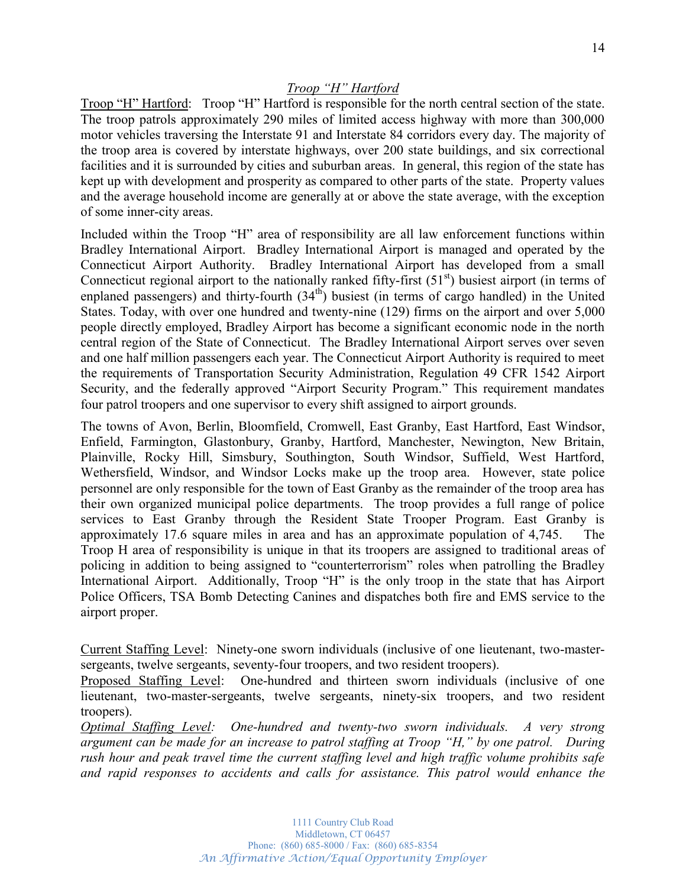Troop "H" Hartford: Troop "H" Hartford is responsible for the north central section of the state. The troop patrols approximately 290 miles of limited access highway with more than 300,000 motor vehicles traversing the Interstate 91 and Interstate 84 corridors every day. The majority of the troop area is covered by interstate highways, over 200 state buildings, and six correctional facilities and it is surrounded by cities and suburban areas. In general, this region of the state has kept up with development and prosperity as compared to other parts of the state. Property values and the average household income are generally at or above the state average, with the exception of some inner-city areas.

Included within the Troop "H" area of responsibility are all law enforcement functions within Bradley International Airport. Bradley International Airport is managed and operated by the Connecticut Airport Authority. Bradley International Airport has developed from a small Connecticut regional airport to the nationally ranked fifty-first  $(51<sup>st</sup>)$  busiest airport (in terms of enplaned passengers) and thirty-fourth (34<sup>th</sup>) busiest (in terms of cargo handled) in the United States. Today, with over one hundred and twenty-nine (129) firms on the airport and over 5,000 people directly employed, Bradley Airport has become a significant economic node in the north central region of the State of Connecticut. The Bradley International Airport serves over seven and one half million passengers each year. The Connecticut Airport Authority is required to meet the requirements of Transportation Security Administration, Regulation 49 CFR 1542 Airport Security, and the federally approved "Airport Security Program." This requirement mandates four patrol troopers and one supervisor to every shift assigned to airport grounds.

The towns of Avon, Berlin, Bloomfield, Cromwell, East Granby, East Hartford, East Windsor, Enfield, Farmington, Glastonbury, Granby, Hartford, Manchester, Newington, New Britain, Plainville, Rocky Hill, Simsbury, Southington, South Windsor, Suffield, West Hartford, Wethersfield, Windsor, and Windsor Locks make up the troop area. However, state police personnel are only responsible for the town of East Granby as the remainder of the troop area has their own organized municipal police departments. The troop provides a full range of police services to East Granby through the Resident State Trooper Program. East Granby is approximately 17.6 square miles in area and has an approximate population of 4,745. The Troop H area of responsibility is unique in that its troopers are assigned to traditional areas of policing in addition to being assigned to "counterterrorism" roles when patrolling the Bradley International Airport. Additionally, Troop "H" is the only troop in the state that has Airport Police Officers, TSA Bomb Detecting Canines and dispatches both fire and EMS service to the airport proper.

Current Staffing Level: Ninety-one sworn individuals (inclusive of one lieutenant, two-mastersergeants, twelve sergeants, seventy-four troopers, and two resident troopers).

Proposed Staffing Level: One-hundred and thirteen sworn individuals (inclusive of one lieutenant, two-master-sergeants, twelve sergeants, ninety-six troopers, and two resident troopers).

*Optimal Staffing Level: One-hundred and twenty-two sworn individuals. A very strong argument can be made for an increase to patrol staffing at Troop "H," by one patrol. During rush hour and peak travel time the current staffing level and high traffic volume prohibits safe and rapid responses to accidents and calls for assistance. This patrol would enhance the*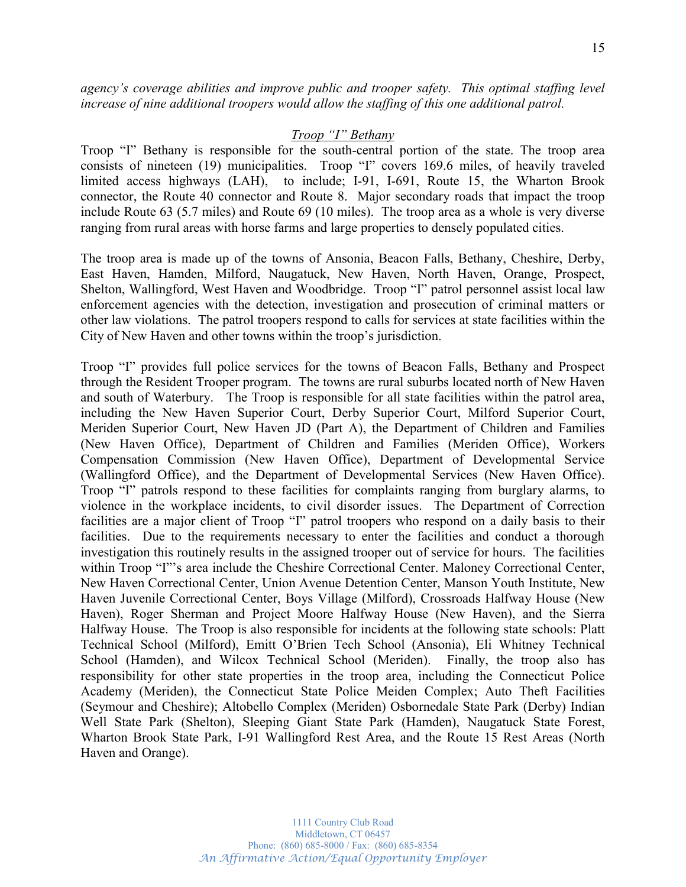*DJHQF\¶V coverage abilities and improve public and trooper safety. This optimal staffing level increase of nine additional troopers would allow the staffing of this one additional patrol.*

### *Troop* "I" Bethany

Troop "I" Bethany is responsible for the south-central portion of the state. The troop area consists of nineteen (19) municipalities. Troop "I" covers 169.6 miles, of heavily traveled limited access highways (LAH), to include; I-91, I-691, Route 15, the Wharton Brook connector, the Route 40 connector and Route 8. Major secondary roads that impact the troop include Route 63 (5.7 miles) and Route 69 (10 miles). The troop area as a whole is very diverse ranging from rural areas with horse farms and large properties to densely populated cities.

The troop area is made up of the towns of Ansonia, Beacon Falls, Bethany, Cheshire, Derby, East Haven, Hamden, Milford, Naugatuck, New Haven, North Haven, Orange, Prospect, Shelton, Wallingford, West Haven and Woodbridge. Troop "I" patrol personnel assist local law enforcement agencies with the detection, investigation and prosecution of criminal matters or other law violations. The patrol troopers respond to calls for services at state facilities within the City of New Haven and other towns within the troop's jurisdiction.

Troop "I" provides full police services for the towns of Beacon Falls, Bethany and Prospect through the Resident Trooper program. The towns are rural suburbs located north of New Haven and south of Waterbury. The Troop is responsible for all state facilities within the patrol area, including the New Haven Superior Court, Derby Superior Court, Milford Superior Court, Meriden Superior Court, New Haven JD (Part A), the Department of Children and Families (New Haven Office), Department of Children and Families (Meriden Office), Workers Compensation Commission (New Haven Office), Department of Developmental Service (Wallingford Office), and the Department of Developmental Services (New Haven Office). Troop "I" patrols respond to these facilities for complaints ranging from burglary alarms, to violence in the workplace incidents, to civil disorder issues. The Department of Correction facilities are a major client of Troop "I" patrol troopers who respond on a daily basis to their facilities. Due to the requirements necessary to enter the facilities and conduct a thorough investigation this routinely results in the assigned trooper out of service for hours. The facilities within Troop "I"'s area include the Cheshire Correctional Center. Maloney Correctional Center, New Haven Correctional Center, Union Avenue Detention Center, Manson Youth Institute, New Haven Juvenile Correctional Center, Boys Village (Milford), Crossroads Halfway House (New Haven), Roger Sherman and Project Moore Halfway House (New Haven), and the Sierra Halfway House. The Troop is also responsible for incidents at the following state schools: Platt Technical School (Milford), Emitt O'Brien Tech School (Ansonia), Eli Whitney Technical School (Hamden), and Wilcox Technical School (Meriden). Finally, the troop also has responsibility for other state properties in the troop area, including the Connecticut Police Academy (Meriden), the Connecticut State Police Meiden Complex; Auto Theft Facilities (Seymour and Cheshire); Altobello Complex (Meriden) Osbornedale State Park (Derby) Indian Well State Park (Shelton), Sleeping Giant State Park (Hamden), Naugatuck State Forest, Wharton Brook State Park, I-91 Wallingford Rest Area, and the Route 15 Rest Areas (North Haven and Orange).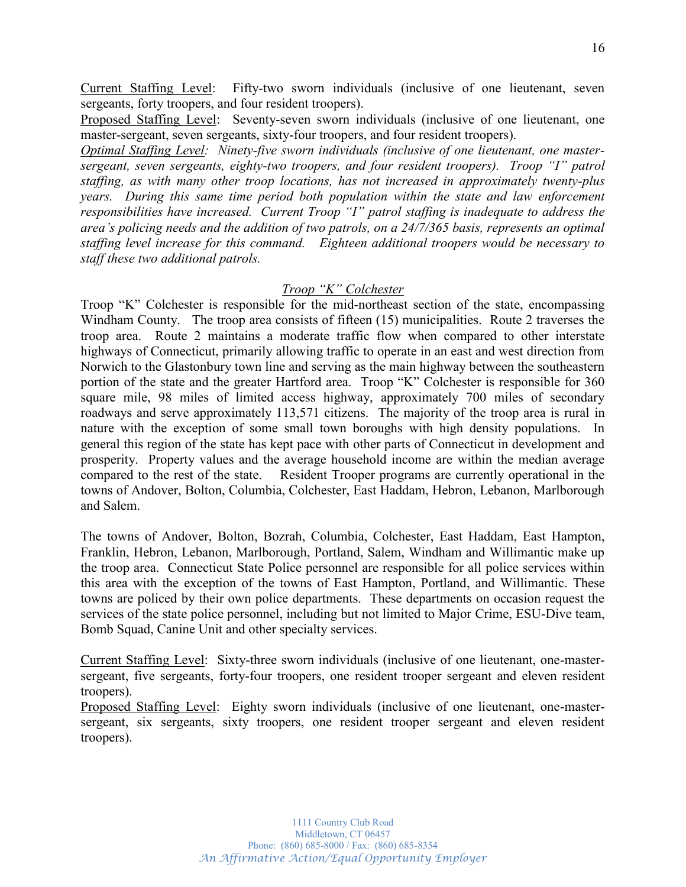Current Staffing Level: Fifty-two sworn individuals (inclusive of one lieutenant, seven sergeants, forty troopers, and four resident troopers).

Proposed Staffing Level: Seventy-seven sworn individuals (inclusive of one lieutenant, one master-sergeant, seven sergeants, sixty-four troopers, and four resident troopers).

*Optimal Staffing Level: Ninety-five sworn individuals (inclusive of one lieutenant, one mastersergeant, seven sergeants, eighty-two troopers, and four resident troopers). Troop "I" patrol staffing, as with many other troop locations, has not increased in approximately twenty-plus years. During this same time period both population within the state and law enforcement responsibilities have increased. Current Troop "I" patrol staffing is inadequate to address the area's policing needs and the addition of two patrols, on a 24/7/365 basis, represents an optimal staffing level increase for this command. Eighteen additional troopers would be necessary to staff these two additional patrols.*

### *Troop* "K" Colchester

Troop "K" Colchester is responsible for the mid-northeast section of the state, encompassing Windham County. The troop area consists of fifteen (15) municipalities. Route 2 traverses the troop area. Route 2 maintains a moderate traffic flow when compared to other interstate highways of Connecticut, primarily allowing traffic to operate in an east and west direction from Norwich to the Glastonbury town line and serving as the main highway between the southeastern portion of the state and the greater Hartford area. Troop "K" Colchester is responsible for 360 square mile, 98 miles of limited access highway, approximately 700 miles of secondary roadways and serve approximately 113,571 citizens. The majority of the troop area is rural in nature with the exception of some small town boroughs with high density populations. In general this region of the state has kept pace with other parts of Connecticut in development and prosperity. Property values and the average household income are within the median average compared to the rest of the state. Resident Trooper programs are currently operational in the towns of Andover, Bolton, Columbia, Colchester, East Haddam, Hebron, Lebanon, Marlborough and Salem.

The towns of Andover, Bolton, Bozrah, Columbia, Colchester, East Haddam, East Hampton, Franklin, Hebron, Lebanon, Marlborough, Portland, Salem, Windham and Willimantic make up the troop area. Connecticut State Police personnel are responsible for all police services within this area with the exception of the towns of East Hampton, Portland, and Willimantic. These towns are policed by their own police departments. These departments on occasion request the services of the state police personnel, including but not limited to Major Crime, ESU-Dive team, Bomb Squad, Canine Unit and other specialty services.

Current Staffing Level: Sixty-three sworn individuals (inclusive of one lieutenant, one-mastersergeant, five sergeants, forty-four troopers, one resident trooper sergeant and eleven resident troopers).

Proposed Staffing Level: Eighty sworn individuals (inclusive of one lieutenant, one-mastersergeant, six sergeants, sixty troopers, one resident trooper sergeant and eleven resident troopers).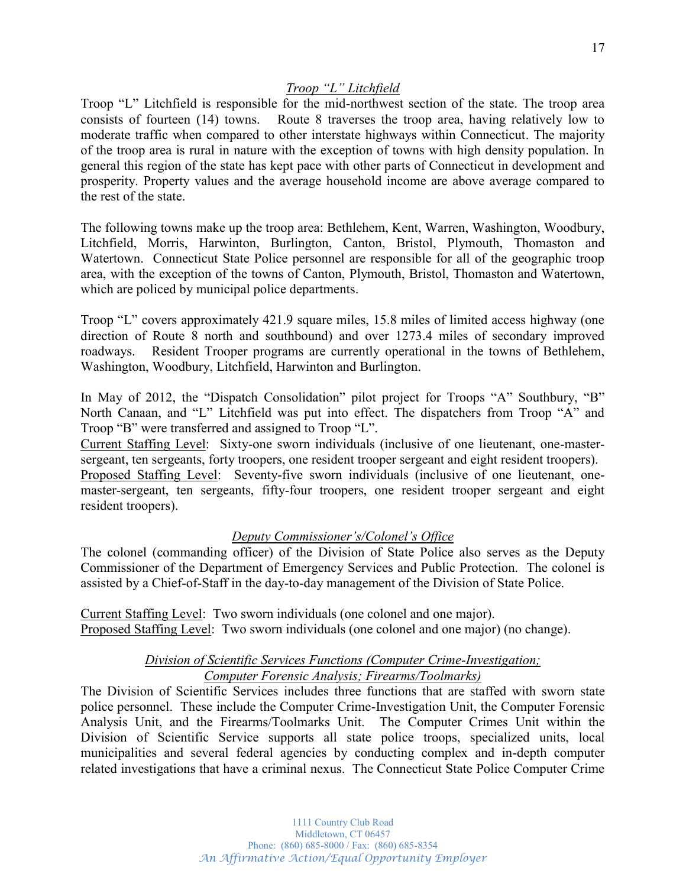Troop "L" Litchfield is responsible for the mid-northwest section of the state. The troop area consists of fourteen (14) towns. Route 8 traverses the troop area, having relatively low to moderate traffic when compared to other interstate highways within Connecticut. The majority of the troop area is rural in nature with the exception of towns with high density population. In general this region of the state has kept pace with other parts of Connecticut in development and prosperity. Property values and the average household income are above average compared to the rest of the state.

The following towns make up the troop area: Bethlehem, Kent, Warren, Washington, Woodbury, Litchfield, Morris, Harwinton, Burlington, Canton, Bristol, Plymouth, Thomaston and Watertown. Connecticut State Police personnel are responsible for all of the geographic troop area, with the exception of the towns of Canton, Plymouth, Bristol, Thomaston and Watertown, which are policed by municipal police departments.

Troop "L" covers approximately 421.9 square miles, 15.8 miles of limited access highway (one direction of Route 8 north and southbound) and over 1273.4 miles of secondary improved roadways. Resident Trooper programs are currently operational in the towns of Bethlehem, Washington, Woodbury, Litchfield, Harwinton and Burlington.

In May of 2012, the "Dispatch Consolidation" pilot project for Troops "A" Southbury, "B" North Canaan, and "L" Litchfield was put into effect. The dispatchers from Troop "A" and Troop "B" were transferred and assigned to Troop "L".

Current Staffing Level: Sixty-one sworn individuals (inclusive of one lieutenant, one-mastersergeant, ten sergeants, forty troopers, one resident trooper sergeant and eight resident troopers).

Proposed Staffing Level: Seventy-five sworn individuals (inclusive of one lieutenant, onemaster-sergeant, ten sergeants, fifty-four troopers, one resident trooper sergeant and eight resident troopers).

### *Deputy Commissioner's/Colonel's Office*

The colonel (commanding officer) of the Division of State Police also serves as the Deputy Commissioner of the Department of Emergency Services and Public Protection. The colonel is assisted by a Chief-of-Staff in the day-to-day management of the Division of State Police.

Current Staffing Level: Two sworn individuals (one colonel and one major). Proposed Staffing Level: Two sworn individuals (one colonel and one major) (no change).

## *Division of Scientific Services Functions (Computer Crime-Investigation; Computer Forensic Analysis; Firearms/Toolmarks)*

The Division of Scientific Services includes three functions that are staffed with sworn state police personnel. These include the Computer Crime-Investigation Unit, the Computer Forensic Analysis Unit, and the Firearms/Toolmarks Unit. The Computer Crimes Unit within the Division of Scientific Service supports all state police troops, specialized units, local municipalities and several federal agencies by conducting complex and in-depth computer related investigations that have a criminal nexus. The Connecticut State Police Computer Crime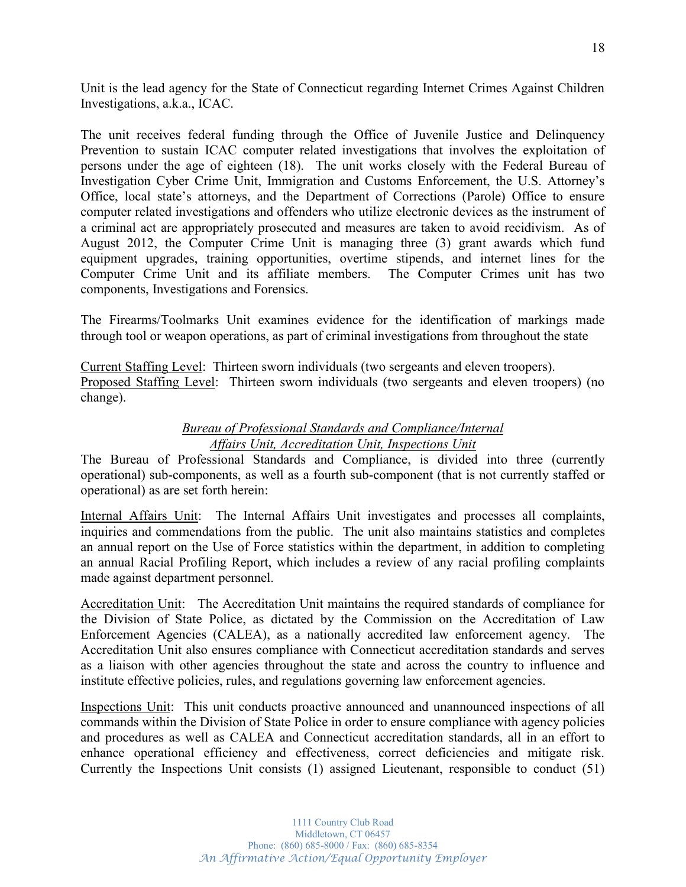Unit is the lead agency for the State of Connecticut regarding Internet Crimes Against Children Investigations, a.k.a., ICAC.

The unit receives federal funding through the Office of Juvenile Justice and Delinquency Prevention to sustain ICAC computer related investigations that involves the exploitation of persons under the age of eighteen (18). The unit works closely with the Federal Bureau of Investigation Cyber Crime Unit, Immigration and Customs Enforcement, the U.S. Attorney's Office, local state's attorneys, and the Department of Corrections (Parole) Office to ensure computer related investigations and offenders who utilize electronic devices as the instrument of a criminal act are appropriately prosecuted and measures are taken to avoid recidivism. As of August 2012, the Computer Crime Unit is managing three (3) grant awards which fund equipment upgrades, training opportunities, overtime stipends, and internet lines for the Computer Crime Unit and its affiliate members. The Computer Crimes unit has two components, Investigations and Forensics.

The Firearms/Toolmarks Unit examines evidence for the identification of markings made through tool or weapon operations, as part of criminal investigations from throughout the state

Current Staffing Level: Thirteen sworn individuals (two sergeants and eleven troopers). Proposed Staffing Level: Thirteen sworn individuals (two sergeants and eleven troopers) (no change).

## *Bureau of Professional Standards and Compliance/Internal Affairs Unit, Accreditation Unit, Inspections Unit*

The Bureau of Professional Standards and Compliance, is divided into three (currently operational) sub-components, as well as a fourth sub-component (that is not currently staffed or operational) as are set forth herein:

Internal Affairs Unit: The Internal Affairs Unit investigates and processes all complaints, inquiries and commendations from the public. The unit also maintains statistics and completes an annual report on the Use of Force statistics within the department, in addition to completing an annual Racial Profiling Report, which includes a review of any racial profiling complaints made against department personnel.

Accreditation Unit: The Accreditation Unit maintains the required standards of compliance for the Division of State Police, as dictated by the Commission on the Accreditation of Law Enforcement Agencies (CALEA), as a nationally accredited law enforcement agency. The Accreditation Unit also ensures compliance with Connecticut accreditation standards and serves as a liaison with other agencies throughout the state and across the country to influence and institute effective policies, rules, and regulations governing law enforcement agencies.

Inspections Unit: This unit conducts proactive announced and unannounced inspections of all commands within the Division of State Police in order to ensure compliance with agency policies and procedures as well as CALEA and Connecticut accreditation standards, all in an effort to enhance operational efficiency and effectiveness, correct deficiencies and mitigate risk. Currently the Inspections Unit consists (1) assigned Lieutenant, responsible to conduct (51)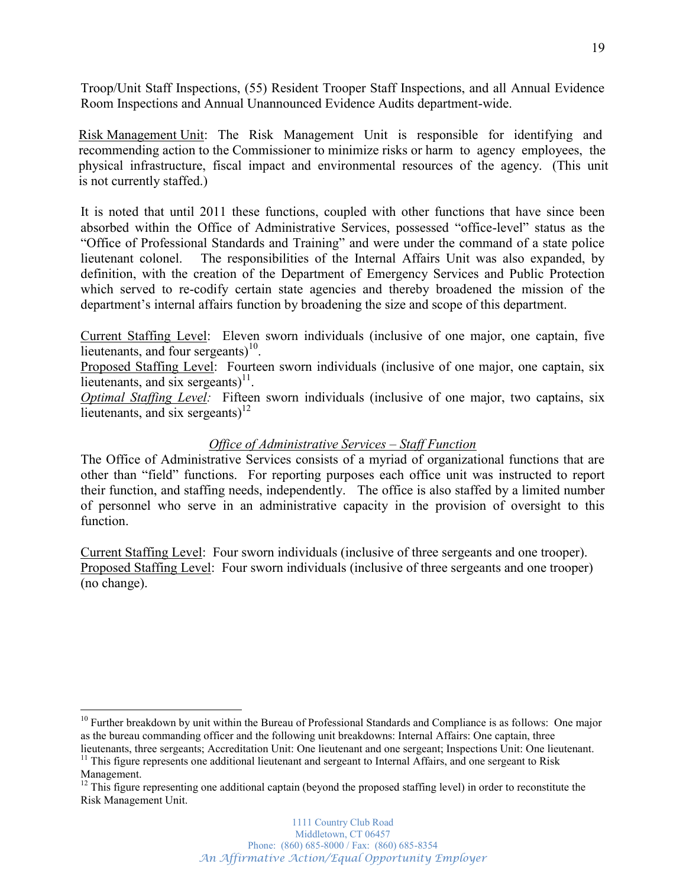Troop/Unit Staff Inspections, (55) Resident Trooper Staff Inspections, and all Annual Evidence Room Inspections and Annual Unannounced Evidence Audits department-wide.

Risk Management Unit: The Risk Management Unit is responsible for identifying and recommending action to the Commissioner to minimize risks or harm to agency employees, the physical infrastructure, fiscal impact and environmental resources of the agency. (This unit is not currently staffed.)

It is noted that until 2011 these functions, coupled with other functions that have since been absorbed within the Office of Administrative Services, possessed "office-level" status as the "Office of Professional Standards and Training" and were under the command of a state police lieutenant colonel. The responsibilities of the Internal Affairs Unit was also expanded, by definition, with the creation of the Department of Emergency Services and Public Protection which served to re-codify certain state agencies and thereby broadened the mission of the department's internal affairs function by broadening the size and scope of this department.

Current Staffing Level: Eleven sworn individuals (inclusive of one major, one captain, five lieutenants, and four sergeants)<sup>10</sup>.

Proposed Staffing Level: Fourteen sworn individuals (inclusive of one major, one captain, six lieutenants, and six sergeants $1^{11}$ .

*Optimal Staffing Level:* Fifteen sworn individuals (inclusive of one major, two captains, six lieutenants, and six sergeants)<sup>12</sup>

## *Office of Administrative Services ± Staff Function*

The Office of Administrative Services consists of a myriad of organizational functions that are other than "field" functions. For reporting purposes each office unit was instructed to report their function, and staffing needs, independently. The office is also staffed by a limited number of personnel who serve in an administrative capacity in the provision of oversight to this function.

Current Staffing Level: Four sworn individuals (inclusive of three sergeants and one trooper). Proposed Staffing Level: Four sworn individuals (inclusive of three sergeants and one trooper) (no change).

 $10$  Further breakdown by unit within the Bureau of Professional Standards and Compliance is as follows: One major as the bureau commanding officer and the following unit breakdowns: Internal Affairs: One captain, three lieutenants, three sergeants; Accreditation Unit: One lieutenant and one sergeant; Inspections Unit: One lieutenant.

<sup>&</sup>lt;sup>11</sup> This figure represents one additional lieutenant and sergeant to Internal Affairs, and one sergeant to Risk Management.

<sup>&</sup>lt;sup>12</sup> This figure representing one additional captain (beyond the proposed staffing level) in order to reconstitute the Risk Management Unit.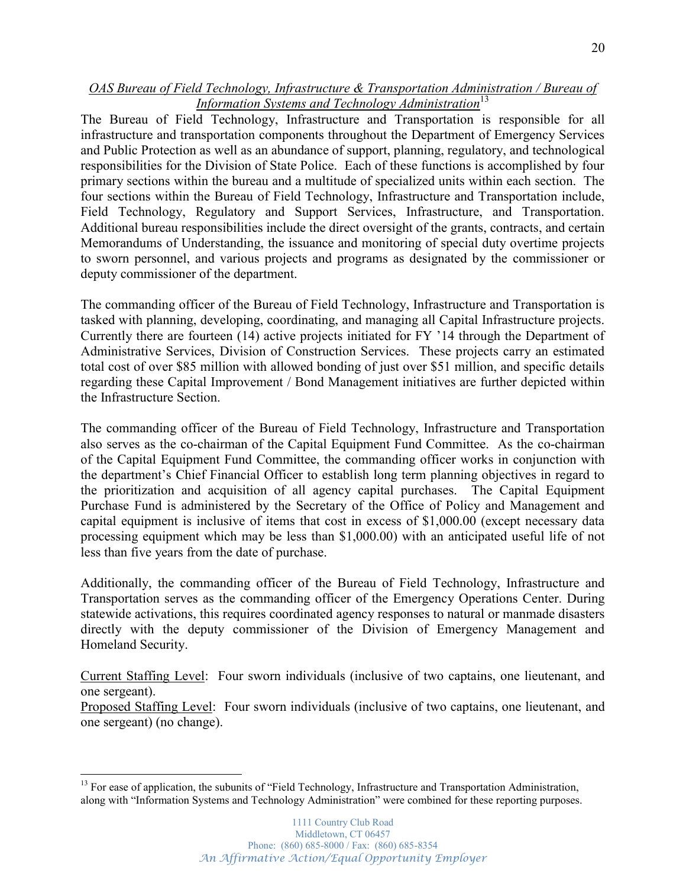## *OAS Bureau of Field Technology, Infrastructure & Transportation Administration / Bureau of Information Systems and Technology Administration* 13

The Bureau of Field Technology, Infrastructure and Transportation is responsible for all infrastructure and transportation components throughout the Department of Emergency Services and Public Protection as well as an abundance of support, planning, regulatory, and technological responsibilities for the Division of State Police. Each of these functions is accomplished by four primary sections within the bureau and a multitude of specialized units within each section. The four sections within the Bureau of Field Technology, Infrastructure and Transportation include, Field Technology, Regulatory and Support Services, Infrastructure, and Transportation. Additional bureau responsibilities include the direct oversight of the grants, contracts, and certain Memorandums of Understanding, the issuance and monitoring of special duty overtime projects to sworn personnel, and various projects and programs as designated by the commissioner or deputy commissioner of the department.

The commanding officer of the Bureau of Field Technology, Infrastructure and Transportation is tasked with planning, developing, coordinating, and managing all Capital Infrastructure projects. Currently there are fourteen  $(14)$  active projects initiated for FY  $'14$  through the Department of Administrative Services, Division of Construction Services. These projects carry an estimated total cost of over \$85 million with allowed bonding of just over \$51 million, and specific details regarding these Capital Improvement / Bond Management initiatives are further depicted within the Infrastructure Section.

The commanding officer of the Bureau of Field Technology, Infrastructure and Transportation also serves as the co-chairman of the Capital Equipment Fund Committee. As the co-chairman of the Capital Equipment Fund Committee, the commanding officer works in conjunction with the department's Chief Financial Officer to establish long term planning objectives in regard to the prioritization and acquisition of all agency capital purchases. The Capital Equipment Purchase Fund is administered by the Secretary of the Office of Policy and Management and capital equipment is inclusive of items that cost in excess of \$1,000.00 (except necessary data processing equipment which may be less than \$1,000.00) with an anticipated useful life of not less than five years from the date of purchase.

Additionally, the commanding officer of the Bureau of Field Technology, Infrastructure and Transportation serves as the commanding officer of the Emergency Operations Center. During statewide activations, this requires coordinated agency responses to natural or manmade disasters directly with the deputy commissioner of the Division of Emergency Management and Homeland Security.

Current Staffing Level: Four sworn individuals (inclusive of two captains, one lieutenant, and one sergeant).

Proposed Staffing Level: Four sworn individuals (inclusive of two captains, one lieutenant, and one sergeant) (no change).

 $13$  For ease of application, the subunits of "Field Technology, Infrastructure and Transportation Administration, along with "Information Systems and Technology Administration" were combined for these reporting purposes.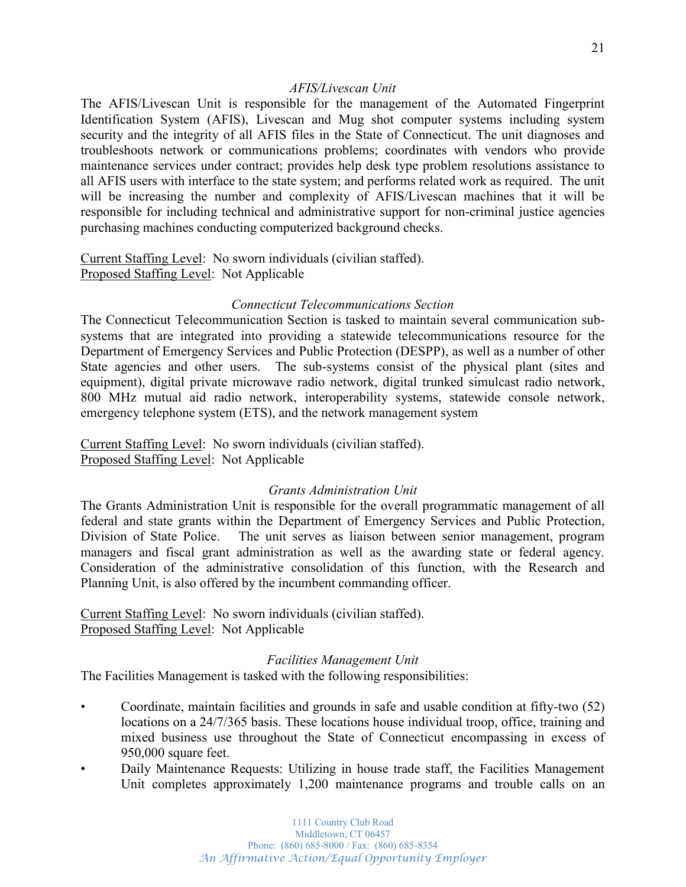### *AFIS/Livescan Unit*

The AFIS/Livescan Unit is responsible for the management of the Automated Fingerprint Identification System (AFIS), Livescan and Mug shot computer systems including system security and the integrity of all AFIS files in the State of Connecticut. The unit diagnoses and troubleshoots network or communications problems; coordinates with vendors who provide maintenance services under contract; provides help desk type problem resolutions assistance to all AFIS users with interface to the state system; and performs related work as required. The unit will be increasing the number and complexity of AFIS/Livescan machines that it will be responsible for including technical and administrative support for non-criminal justice agencies purchasing machines conducting computerized background checks.

Current Staffing Level: No sworn individuals (civilian staffed). Proposed Staffing Level: Not Applicable

### *Connecticut Telecommunications Section*

The Connecticut Telecommunication Section is tasked to maintain several communication subsystems that are integrated into providing a statewide telecommunications resource for the Department of Emergency Services and Public Protection (DESPP), as well as a number of other State agencies and other users. The sub-systems consist of the physical plant (sites and equipment), digital private microwave radio network, digital trunked simulcast radio network, 800 MHz mutual aid radio network, interoperability systems, statewide console network, emergency telephone system (ETS), and the network management system

Current Staffing Level: No sworn individuals (civilian staffed). Proposed Staffing Level: Not Applicable

### *Grants Administration Unit*

The Grants Administration Unit is responsible for the overall programmatic management of all federal and state grants within the Department of Emergency Services and Public Protection, Division of State Police. The unit serves as liaison between senior management, program managers and fiscal grant administration as well as the awarding state or federal agency. Consideration of the administrative consolidation of this function, with the Research and Planning Unit, is also offered by the incumbent commanding officer.

Current Staffing Level: No sworn individuals (civilian staffed). Proposed Staffing Level: Not Applicable

### *Facilities Management Unit*

The Facilities Management is tasked with the following responsibilities:

- Coordinate, maintain facilities and grounds in safe and usable condition at fifty-two (52) locations on a 24/7/365 basis. These locations house individual troop, office, training and mixed business use throughout the State of Connecticut encompassing in excess of 950,000 square feet.
- Daily Maintenance Requests: Utilizing in house trade staff, the Facilities Management Unit completes approximately 1,200 maintenance programs and trouble calls on an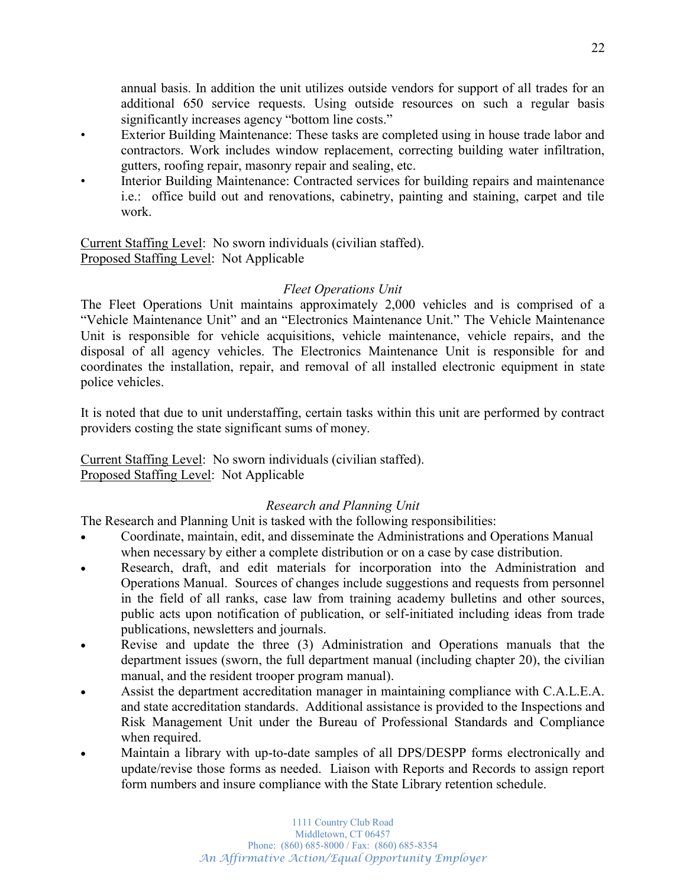annual basis. In addition the unit utilizes outside vendors for support of all trades for an additional 650 service requests. Using outside resources on such a regular basis significantly increases agency "bottom line costs."

- Exterior Building Maintenance: These tasks are completed using in house trade labor and contractors. Work includes window replacement, correcting building water infiltration, gutters, roofing repair, masonry repair and sealing, etc.
- Interior Building Maintenance: Contracted services for building repairs and maintenance i.e.: office build out and renovations, cabinetry, painting and staining, carpet and tile work.

Current Staffing Level: No sworn individuals (civilian staffed). Proposed Staffing Level: Not Applicable

## *Fleet Operations Unit*

The Fleet Operations Unit maintains approximately 2,000 vehicles and is comprised of a "Vehicle Maintenance Unit" and an "Electronics Maintenance Unit." The Vehicle Maintenance Unit is responsible for vehicle acquisitions, vehicle maintenance, vehicle repairs, and the disposal of all agency vehicles. The Electronics Maintenance Unit is responsible for and coordinates the installation, repair, and removal of all installed electronic equipment in state police vehicles.

It is noted that due to unit understaffing, certain tasks within this unit are performed by contract providers costing the state significant sums of money.

Current Staffing Level: No sworn individuals (civilian staffed). Proposed Staffing Level: Not Applicable

## *Research and Planning Unit*

The Research and Planning Unit is tasked with the following responsibilities:

- Coordinate, maintain, edit, and disseminate the Administrations and Operations Manual when necessary by either a complete distribution or on a case by case distribution.
- Research, draft, and edit materials for incorporation into the Administration and Operations Manual. Sources of changes include suggestions and requests from personnel in the field of all ranks, case law from training academy bulletins and other sources, public acts upon notification of publication, or self-initiated including ideas from trade publications, newsletters and journals.
- Revise and update the three (3) Administration and Operations manuals that the department issues (sworn, the full department manual (including chapter 20), the civilian manual, and the resident trooper program manual).
- Assist the department accreditation manager in maintaining compliance with C.A.L.E.A. and state accreditation standards. Additional assistance is provided to the Inspections and Risk Management Unit under the Bureau of Professional Standards and Compliance when required.
- Maintain a library with up-to-date samples of all DPS/DESPP forms electronically and update/revise those forms as needed. Liaison with Reports and Records to assign report form numbers and insure compliance with the State Library retention schedule.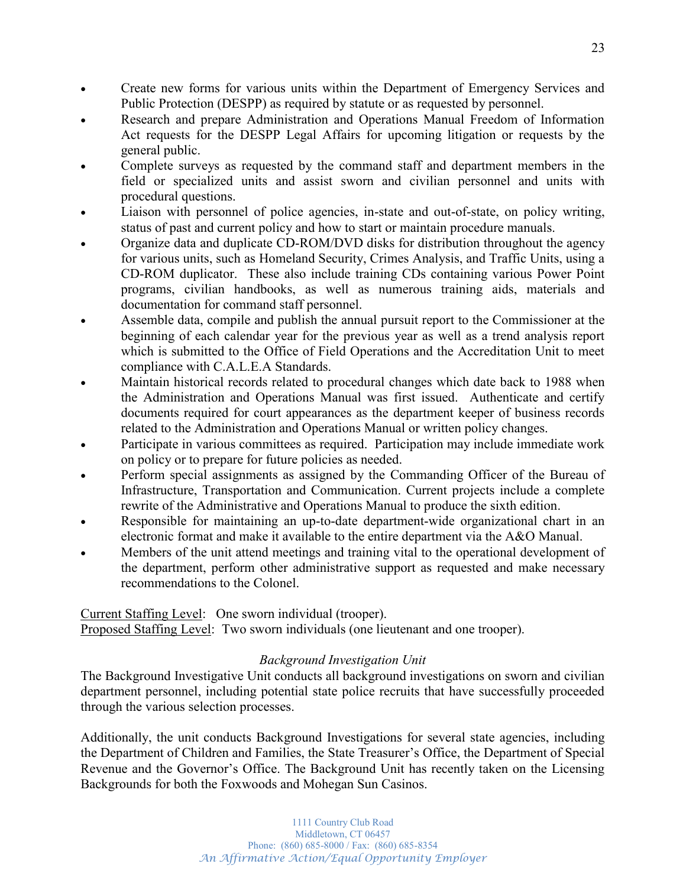- Create new forms for various units within the Department of Emergency Services and Public Protection (DESPP) as required by statute or as requested by personnel.
- Research and prepare Administration and Operations Manual Freedom of Information Act requests for the DESPP Legal Affairs for upcoming litigation or requests by the general public.
- Complete surveys as requested by the command staff and department members in the field or specialized units and assist sworn and civilian personnel and units with procedural questions.
- Liaison with personnel of police agencies, in-state and out-of-state, on policy writing, status of past and current policy and how to start or maintain procedure manuals.
- Organize data and duplicate CD-ROM/DVD disks for distribution throughout the agency for various units, such as Homeland Security, Crimes Analysis, and Traffic Units, using a CD-ROM duplicator. These also include training CDs containing various Power Point programs, civilian handbooks, as well as numerous training aids, materials and documentation for command staff personnel.
- Assemble data, compile and publish the annual pursuit report to the Commissioner at the beginning of each calendar year for the previous year as well as a trend analysis report which is submitted to the Office of Field Operations and the Accreditation Unit to meet compliance with C.A.L.E.A Standards.
- Maintain historical records related to procedural changes which date back to 1988 when the Administration and Operations Manual was first issued. Authenticate and certify documents required for court appearances as the department keeper of business records related to the Administration and Operations Manual or written policy changes.
- Participate in various committees as required. Participation may include immediate work on policy or to prepare for future policies as needed.
- Perform special assignments as assigned by the Commanding Officer of the Bureau of Infrastructure, Transportation and Communication. Current projects include a complete rewrite of the Administrative and Operations Manual to produce the sixth edition.
- Responsible for maintaining an up-to-date department-wide organizational chart in an electronic format and make it available to the entire department via the A&O Manual.
- Members of the unit attend meetings and training vital to the operational development of the department, perform other administrative support as requested and make necessary recommendations to the Colonel.

Current Staffing Level: One sworn individual (trooper).

Proposed Staffing Level: Two sworn individuals (one lieutenant and one trooper).

## *Background Investigation Unit*

The Background Investigative Unit conducts all background investigations on sworn and civilian department personnel, including potential state police recruits that have successfully proceeded through the various selection processes.

Additionally, the unit conducts Background Investigations for several state agencies, including the Department of Children and Families, the State Treasurer's Office, the Department of Special Revenue and the Governor's Office. The Background Unit has recently taken on the Licensing Backgrounds for both the Foxwoods and Mohegan Sun Casinos.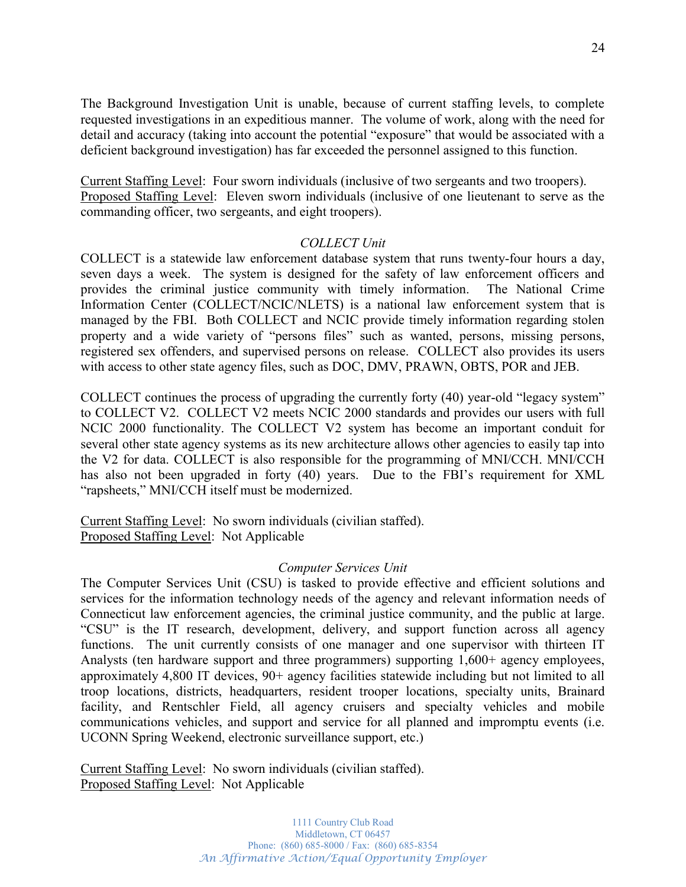The Background Investigation Unit is unable, because of current staffing levels, to complete requested investigations in an expeditious manner. The volume of work, along with the need for detail and accuracy (taking into account the potential "exposure" that would be associated with a deficient background investigation) has far exceeded the personnel assigned to this function.

Current Staffing Level: Four sworn individuals (inclusive of two sergeants and two troopers). Proposed Staffing Level: Eleven sworn individuals (inclusive of one lieutenant to serve as the commanding officer, two sergeants, and eight troopers).

### *COLLECT Unit*

COLLECT is a statewide law enforcement database system that runs twenty-four hours a day, seven days a week. The system is designed for the safety of law enforcement officers and provides the criminal justice community with timely information. The National Crime Information Center (COLLECT/NCIC/NLETS) is a national law enforcement system that is managed by the FBI. Both COLLECT and NCIC provide timely information regarding stolen property and a wide variety of "persons files" such as wanted, persons, missing persons, registered sex offenders, and supervised persons on release. COLLECT also provides its users with access to other state agency files, such as DOC, DMV, PRAWN, OBTS, POR and JEB.

COLLECT continues the process of upgrading the currently forty  $(40)$  year-old "legacy system" to COLLECT V2. COLLECT V2 meets NCIC 2000 standards and provides our users with full NCIC 2000 functionality. The COLLECT V2 system has become an important conduit for several other state agency systems as its new architecture allows other agencies to easily tap into the V2 for data. COLLECT is also responsible for the programming of MNI/CCH. MNI/CCH has also not been upgraded in forty  $(40)$  years. Due to the FBI's requirement for XML "rapsheets," MNI/CCH itself must be modernized.

Current Staffing Level: No sworn individuals (civilian staffed). Proposed Staffing Level: Not Applicable

### *Computer Services Unit*

The Computer Services Unit (CSU) is tasked to provide effective and efficient solutions and services for the information technology needs of the agency and relevant information needs of Connecticut law enforcement agencies, the criminal justice community, and the public at large. "CSU" is the IT research, development, delivery, and support function across all agency functions. The unit currently consists of one manager and one supervisor with thirteen IT Analysts (ten hardware support and three programmers) supporting 1,600+ agency employees, approximately 4,800 IT devices, 90+ agency facilities statewide including but not limited to all troop locations, districts, headquarters, resident trooper locations, specialty units, Brainard facility, and Rentschler Field, all agency cruisers and specialty vehicles and mobile communications vehicles, and support and service for all planned and impromptu events (i.e. UCONN Spring Weekend, electronic surveillance support, etc.)

Current Staffing Level: No sworn individuals (civilian staffed). Proposed Staffing Level: Not Applicable

> 1111 Country Club Road Middletown, CT 06457 Phone: (860) 685-8000 / Fax: (860) 685-8354 *An Affirmative Action/Equal Opportunity Employer*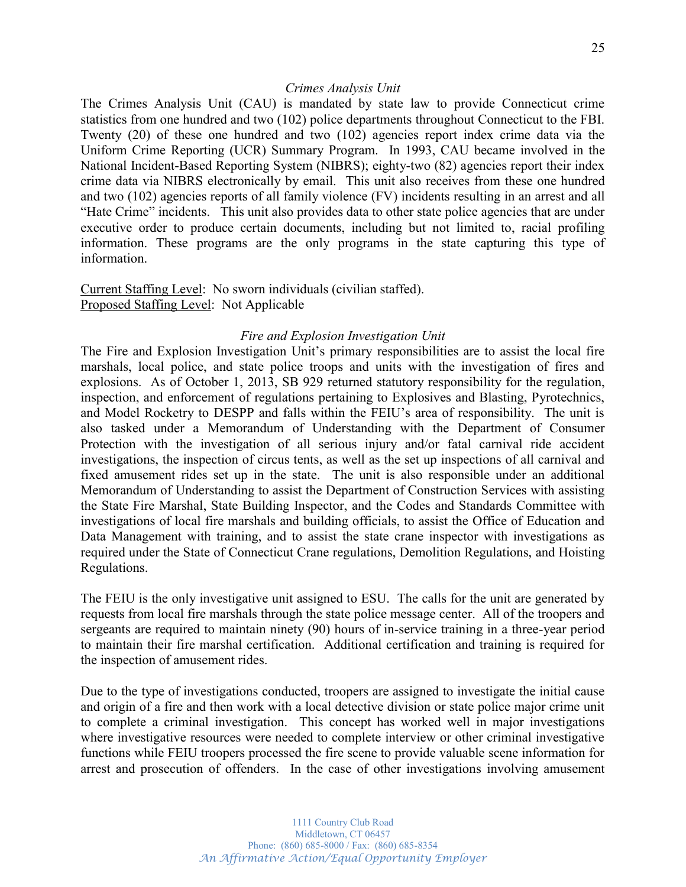### *Crimes Analysis Unit*

The Crimes Analysis Unit (CAU) is mandated by state law to provide Connecticut crime statistics from one hundred and two (102) police departments throughout Connecticut to the FBI. Twenty (20) of these one hundred and two (102) agencies report index crime data via the Uniform Crime Reporting (UCR) Summary Program. In 1993, CAU became involved in the National Incident-Based Reporting System (NIBRS); eighty-two (82) agencies report their index crime data via NIBRS electronically by email. This unit also receives from these one hundred and two (102) agencies reports of all family violence (FV) incidents resulting in an arrest and all "Hate Crime" incidents. This unit also provides data to other state police agencies that are under executive order to produce certain documents, including but not limited to, racial profiling information. These programs are the only programs in the state capturing this type of information.

Current Staffing Level: No sworn individuals (civilian staffed). Proposed Staffing Level: Not Applicable

#### *Fire and Explosion Investigation Unit*

The Fire and Explosion Investigation Unit's primary responsibilities are to assist the local fire marshals, local police, and state police troops and units with the investigation of fires and explosions. As of October 1, 2013, SB 929 returned statutory responsibility for the regulation, inspection, and enforcement of regulations pertaining to Explosives and Blasting, Pyrotechnics, and Model Rocketry to DESPP and falls within the FEIU's area of responsibility. The unit is also tasked under a Memorandum of Understanding with the Department of Consumer Protection with the investigation of all serious injury and/or fatal carnival ride accident investigations, the inspection of circus tents, as well as the set up inspections of all carnival and fixed amusement rides set up in the state. The unit is also responsible under an additional Memorandum of Understanding to assist the Department of Construction Services with assisting the State Fire Marshal, State Building Inspector, and the Codes and Standards Committee with investigations of local fire marshals and building officials, to assist the Office of Education and Data Management with training, and to assist the state crane inspector with investigations as required under the State of Connecticut Crane regulations, Demolition Regulations, and Hoisting Regulations.

The FEIU is the only investigative unit assigned to ESU. The calls for the unit are generated by requests from local fire marshals through the state police message center. All of the troopers and sergeants are required to maintain ninety (90) hours of in-service training in a three-year period to maintain their fire marshal certification. Additional certification and training is required for the inspection of amusement rides.

Due to the type of investigations conducted, troopers are assigned to investigate the initial cause and origin of a fire and then work with a local detective division or state police major crime unit to complete a criminal investigation. This concept has worked well in major investigations where investigative resources were needed to complete interview or other criminal investigative functions while FEIU troopers processed the fire scene to provide valuable scene information for arrest and prosecution of offenders. In the case of other investigations involving amusement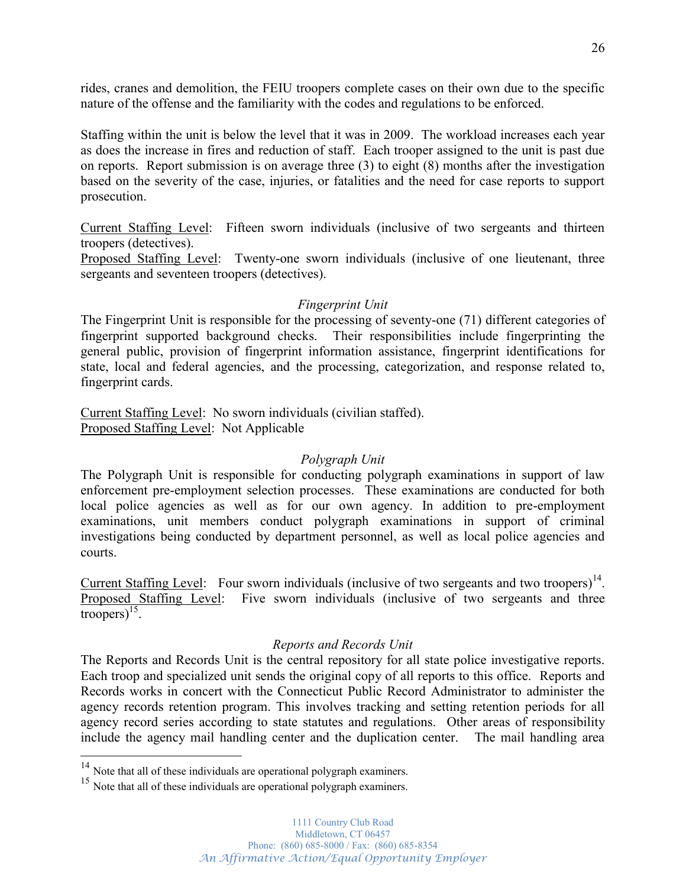rides, cranes and demolition, the FEIU troopers complete cases on their own due to the specific nature of the offense and the familiarity with the codes and regulations to be enforced.

Staffing within the unit is below the level that it was in 2009. The workload increases each year as does the increase in fires and reduction of staff. Each trooper assigned to the unit is past due on reports. Report submission is on average three (3) to eight (8) months after the investigation based on the severity of the case, injuries, or fatalities and the need for case reports to support prosecution.

Current Staffing Level: Fifteen sworn individuals (inclusive of two sergeants and thirteen troopers (detectives).

Proposed Staffing Level: Twenty-one sworn individuals (inclusive of one lieutenant, three sergeants and seventeen troopers (detectives).

### *Fingerprint Unit*

The Fingerprint Unit is responsible for the processing of seventy-one (71) different categories of fingerprint supported background checks. Their responsibilities include fingerprinting the general public, provision of fingerprint information assistance, fingerprint identifications for state, local and federal agencies, and the processing, categorization, and response related to, fingerprint cards.

Current Staffing Level: No sworn individuals (civilian staffed). Proposed Staffing Level: Not Applicable

### *Polygraph Unit*

The Polygraph Unit is responsible for conducting polygraph examinations in support of law enforcement pre-employment selection processes. These examinations are conducted for both local police agencies as well as for our own agency. In addition to pre-employment examinations, unit members conduct polygraph examinations in support of criminal investigations being conducted by department personnel, as well as local police agencies and courts.

Current Staffing Level: Four sworn individuals (inclusive of two sergeants and two troopers)<sup>14</sup>. Proposed Staffing Level: Five sworn individuals (inclusive of two sergeants and three troopers) $^{15}$ .

## *Reports and Records Unit*

The Reports and Records Unit is the central repository for all state police investigative reports. Each troop and specialized unit sends the original copy of all reports to this office. Reports and Records works in concert with the Connecticut Public Record Administrator to administer the agency records retention program. This involves tracking and setting retention periods for all agency record series according to state statutes and regulations. Other areas of responsibility include the agency mail handling center and the duplication center. The mail handling area

<sup>&</sup>lt;sup>14</sup> Note that all of these individuals are operational polygraph examiners.

<sup>&</sup>lt;sup>15</sup> Note that all of these individuals are operational polygraph examiners.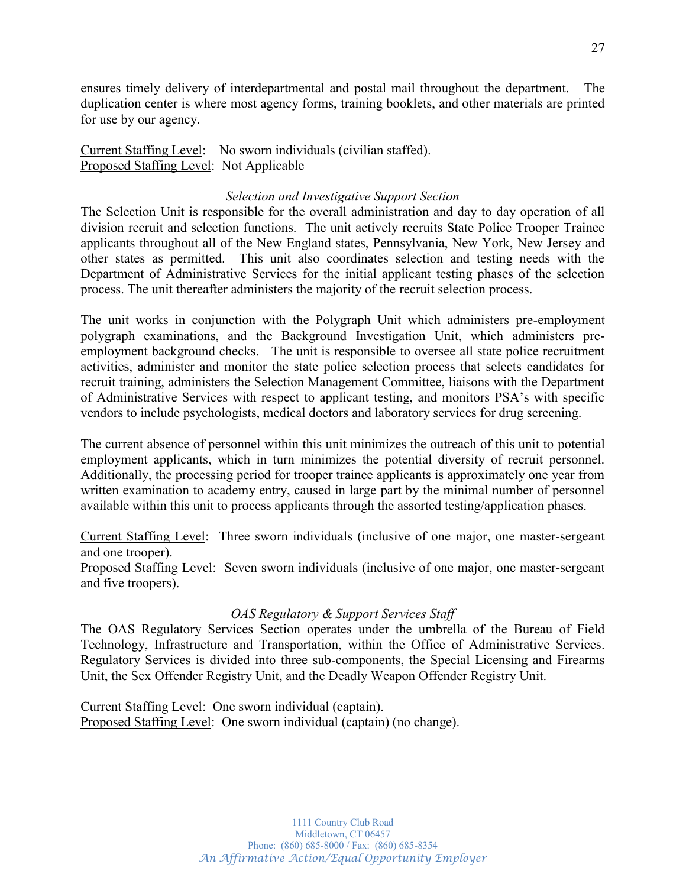ensures timely delivery of interdepartmental and postal mail throughout the department. The duplication center is where most agency forms, training booklets, and other materials are printed for use by our agency.

Current Staffing Level: No sworn individuals (civilian staffed). Proposed Staffing Level: Not Applicable

## *Selection and Investigative Support Section*

The Selection Unit is responsible for the overall administration and day to day operation of all division recruit and selection functions. The unit actively recruits State Police Trooper Trainee applicants throughout all of the New England states, Pennsylvania, New York, New Jersey and other states as permitted. This unit also coordinates selection and testing needs with the Department of Administrative Services for the initial applicant testing phases of the selection process. The unit thereafter administers the majority of the recruit selection process.

The unit works in conjunction with the Polygraph Unit which administers pre-employment polygraph examinations, and the Background Investigation Unit, which administers preemployment background checks. The unit is responsible to oversee all state police recruitment activities, administer and monitor the state police selection process that selects candidates for recruit training, administers the Selection Management Committee, liaisons with the Department of Administrative Services with respect to applicant testing, and monitors PSA's with specific vendors to include psychologists, medical doctors and laboratory services for drug screening.

The current absence of personnel within this unit minimizes the outreach of this unit to potential employment applicants, which in turn minimizes the potential diversity of recruit personnel. Additionally, the processing period for trooper trainee applicants is approximately one year from written examination to academy entry, caused in large part by the minimal number of personnel available within this unit to process applicants through the assorted testing/application phases.

Current Staffing Level: Three sworn individuals (inclusive of one major, one master-sergeant and one trooper).

Proposed Staffing Level: Seven sworn individuals (inclusive of one major, one master-sergeant and five troopers).

### *OAS Regulatory & Support Services Staff*

The OAS Regulatory Services Section operates under the umbrella of the Bureau of Field Technology, Infrastructure and Transportation, within the Office of Administrative Services. Regulatory Services is divided into three sub-components, the Special Licensing and Firearms Unit, the Sex Offender Registry Unit, and the Deadly Weapon Offender Registry Unit.

Current Staffing Level: One sworn individual (captain). Proposed Staffing Level: One sworn individual (captain) (no change).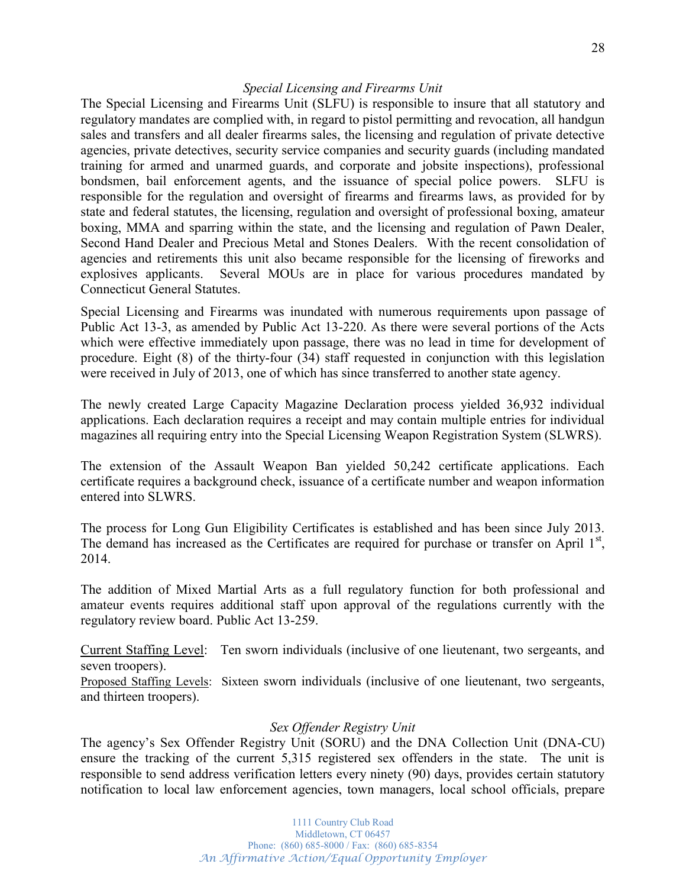### *Special Licensing and Firearms Unit*

The Special Licensing and Firearms Unit (SLFU) is responsible to insure that all statutory and regulatory mandates are complied with, in regard to pistol permitting and revocation, all handgun sales and transfers and all dealer firearms sales, the licensing and regulation of private detective agencies, private detectives, security service companies and security guards (including mandated training for armed and unarmed guards, and corporate and jobsite inspections), professional bondsmen, bail enforcement agents, and the issuance of special police powers. SLFU is responsible for the regulation and oversight of firearms and firearms laws, as provided for by state and federal statutes, the licensing, regulation and oversight of professional boxing, amateur boxing, MMA and sparring within the state, and the licensing and regulation of Pawn Dealer, Second Hand Dealer and Precious Metal and Stones Dealers. With the recent consolidation of agencies and retirements this unit also became responsible for the licensing of fireworks and explosives applicants. Several MOUs are in place for various procedures mandated by Connecticut General Statutes.

Special Licensing and Firearms was inundated with numerous requirements upon passage of Public Act 13-3, as amended by Public Act 13-220. As there were several portions of the Acts which were effective immediately upon passage, there was no lead in time for development of procedure. Eight (8) of the thirty-four (34) staff requested in conjunction with this legislation were received in July of 2013, one of which has since transferred to another state agency.

The newly created Large Capacity Magazine Declaration process yielded 36,932 individual applications. Each declaration requires a receipt and may contain multiple entries for individual magazines all requiring entry into the Special Licensing Weapon Registration System (SLWRS).

The extension of the Assault Weapon Ban yielded 50,242 certificate applications. Each certificate requires a background check, issuance of a certificate number and weapon information entered into SLWRS.

The process for Long Gun Eligibility Certificates is established and has been since July 2013. The demand has increased as the Certificates are required for purchase or transfer on April  $1<sup>st</sup>$ , 2014.

The addition of Mixed Martial Arts as a full regulatory function for both professional and amateur events requires additional staff upon approval of the regulations currently with the regulatory review board. Public Act 13-259.

Current Staffing Level: Ten sworn individuals (inclusive of one lieutenant, two sergeants, and seven troopers).

Proposed Staffing Levels: Sixteen sworn individuals (inclusive of one lieutenant, two sergeants, and thirteen troopers).

### *Sex Offender Registry Unit*

The agency's Sex Offender Registry Unit (SORU) and the DNA Collection Unit (DNA-CU) ensure the tracking of the current 5,315 registered sex offenders in the state. The unit is responsible to send address verification letters every ninety (90) days, provides certain statutory notification to local law enforcement agencies, town managers, local school officials, prepare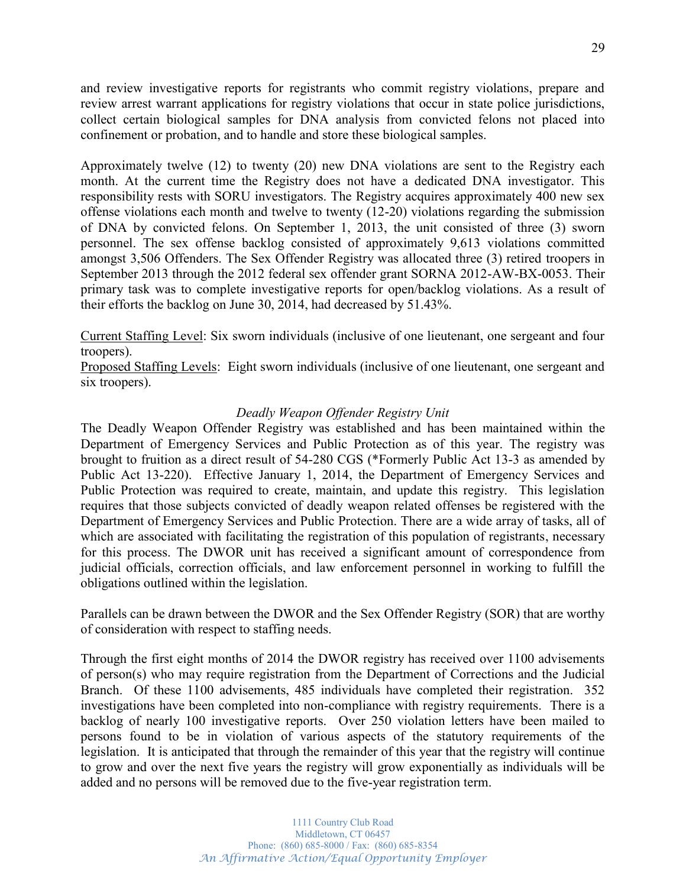and review investigative reports for registrants who commit registry violations, prepare and review arrest warrant applications for registry violations that occur in state police jurisdictions, collect certain biological samples for DNA analysis from convicted felons not placed into confinement or probation, and to handle and store these biological samples.

Approximately twelve (12) to twenty (20) new DNA violations are sent to the Registry each month. At the current time the Registry does not have a dedicated DNA investigator. This responsibility rests with SORU investigators. The Registry acquires approximately 400 new sex offense violations each month and twelve to twenty (12-20) violations regarding the submission of DNA by convicted felons. On September 1, 2013, the unit consisted of three (3) sworn personnel. The sex offense backlog consisted of approximately 9,613 violations committed amongst 3,506 Offenders. The Sex Offender Registry was allocated three (3) retired troopers in September 2013 through the 2012 federal sex offender grant SORNA 2012-AW-BX-0053. Their primary task was to complete investigative reports for open/backlog violations. As a result of their efforts the backlog on June 30, 2014, had decreased by 51.43%.

Current Staffing Level: Six sworn individuals (inclusive of one lieutenant, one sergeant and four troopers).

Proposed Staffing Levels: Eight sworn individuals (inclusive of one lieutenant, one sergeant and six troopers).

## *Deadly Weapon Offender Registry Unit*

The Deadly Weapon Offender Registry was established and has been maintained within the Department of Emergency Services and Public Protection as of this year. The registry was brought to fruition as a direct result of 54-280 CGS (\*Formerly Public Act 13-3 as amended by Public Act 13-220). Effective January 1, 2014, the Department of Emergency Services and Public Protection was required to create, maintain, and update this registry. This legislation requires that those subjects convicted of deadly weapon related offenses be registered with the Department of Emergency Services and Public Protection. There are a wide array of tasks, all of which are associated with facilitating the registration of this population of registrants, necessary for this process. The DWOR unit has received a significant amount of correspondence from judicial officials, correction officials, and law enforcement personnel in working to fulfill the obligations outlined within the legislation.

Parallels can be drawn between the DWOR and the Sex Offender Registry (SOR) that are worthy of consideration with respect to staffing needs.

Through the first eight months of 2014 the DWOR registry has received over 1100 advisements of person(s) who may require registration from the Department of Corrections and the Judicial Branch. Of these 1100 advisements, 485 individuals have completed their registration. 352 investigations have been completed into non-compliance with registry requirements. There is a backlog of nearly 100 investigative reports. Over 250 violation letters have been mailed to persons found to be in violation of various aspects of the statutory requirements of the legislation. It is anticipated that through the remainder of this year that the registry will continue to grow and over the next five years the registry will grow exponentially as individuals will be added and no persons will be removed due to the five-year registration term.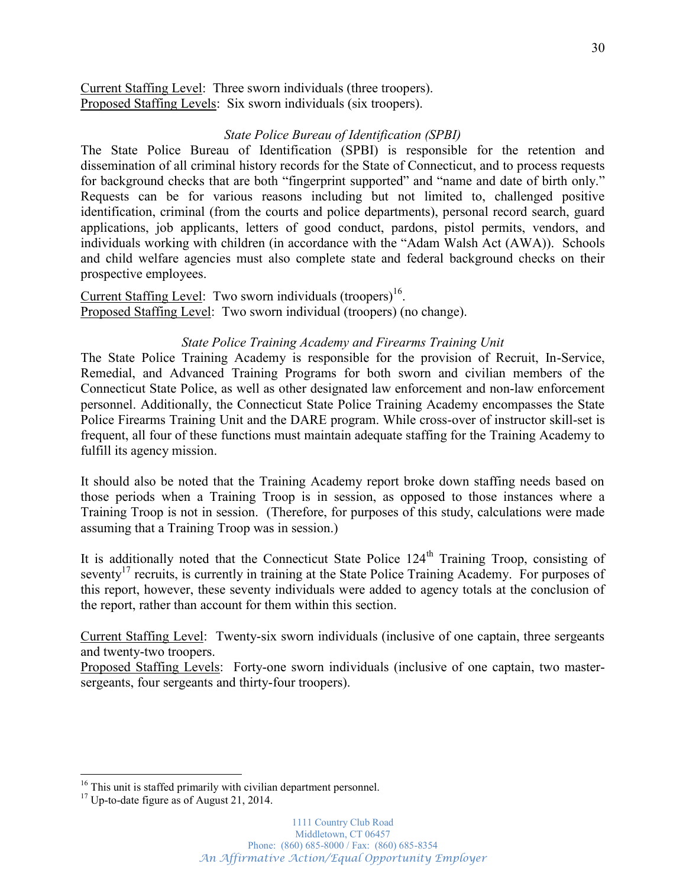Current Staffing Level: Three sworn individuals (three troopers). Proposed Staffing Levels: Six sworn individuals (six troopers).

### *State Police Bureau of Identification (SPBI)*

The State Police Bureau of Identification (SPBI) is responsible for the retention and dissemination of all criminal history records for the State of Connecticut, and to process requests for background checks that are both "fingerprint supported" and "name and date of birth only." Requests can be for various reasons including but not limited to, challenged positive identification, criminal (from the courts and police departments), personal record search, guard applications, job applicants, letters of good conduct, pardons, pistol permits, vendors, and individuals working with children (in accordance with the "Adam Walsh Act (AWA)). Schools and child welfare agencies must also complete state and federal background checks on their prospective employees.

Current Staffing Level: Two sworn individuals (troopers)<sup>16</sup>. Proposed Staffing Level: Two sworn individual (troopers) (no change).

#### *State Police Training Academy and Firearms Training Unit*

The State Police Training Academy is responsible for the provision of Recruit, In-Service, Remedial, and Advanced Training Programs for both sworn and civilian members of the Connecticut State Police, as well as other designated law enforcement and non-law enforcement personnel. Additionally, the Connecticut State Police Training Academy encompasses the State Police Firearms Training Unit and the DARE program. While cross-over of instructor skill-set is frequent, all four of these functions must maintain adequate staffing for the Training Academy to fulfill its agency mission.

It should also be noted that the Training Academy report broke down staffing needs based on those periods when a Training Troop is in session, as opposed to those instances where a Training Troop is not in session. (Therefore, for purposes of this study, calculations were made assuming that a Training Troop was in session.)

It is additionally noted that the Connecticut State Police  $124<sup>th</sup>$  Training Troop, consisting of seventy<sup>17</sup> recruits, is currently in training at the State Police Training Academy. For purposes of this report, however, these seventy individuals were added to agency totals at the conclusion of the report, rather than account for them within this section.

Current Staffing Level: Twenty-six sworn individuals (inclusive of one captain, three sergeants and twenty-two troopers.

Proposed Staffing Levels: Forty-one sworn individuals (inclusive of one captain, two mastersergeants, four sergeants and thirty-four troopers).

<sup>&</sup>lt;sup>16</sup> This unit is staffed primarily with civilian department personnel.<br><sup>17</sup> Up-to-date figure as of August 21, 2014.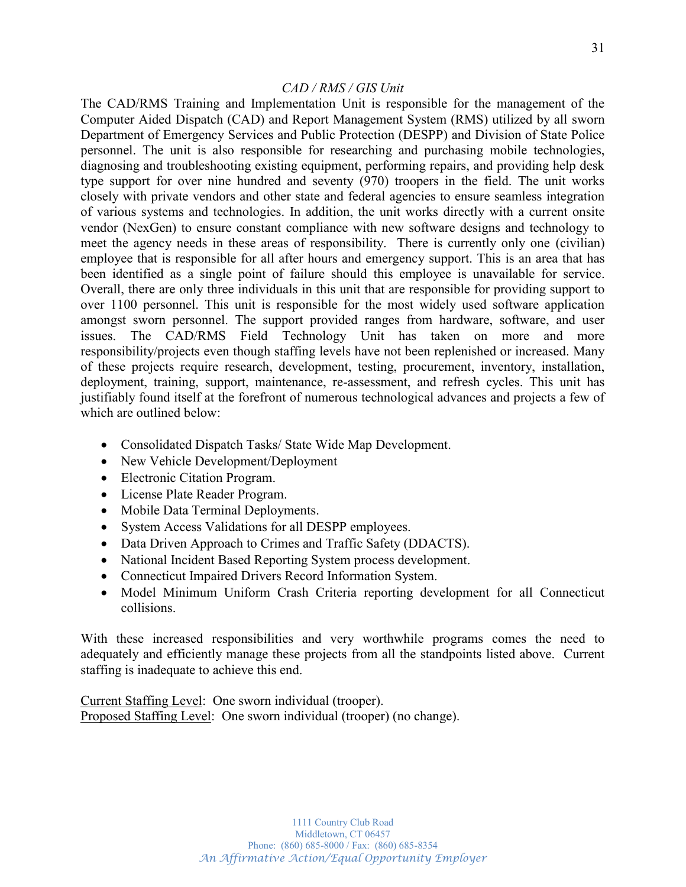The CAD/RMS Training and Implementation Unit is responsible for the management of the Computer Aided Dispatch (CAD) and Report Management System (RMS) utilized by all sworn Department of Emergency Services and Public Protection (DESPP) and Division of State Police personnel. The unit is also responsible for researching and purchasing mobile technologies, diagnosing and troubleshooting existing equipment, performing repairs, and providing help desk type support for over nine hundred and seventy (970) troopers in the field. The unit works closely with private vendors and other state and federal agencies to ensure seamless integration of various systems and technologies. In addition, the unit works directly with a current onsite vendor (NexGen) to ensure constant compliance with new software designs and technology to meet the agency needs in these areas of responsibility. There is currently only one (civilian) employee that is responsible for all after hours and emergency support. This is an area that has been identified as a single point of failure should this employee is unavailable for service. Overall, there are only three individuals in this unit that are responsible for providing support to over 1100 personnel. This unit is responsible for the most widely used software application amongst sworn personnel. The support provided ranges from hardware, software, and user issues. The CAD/RMS Field Technology Unit has taken on more and more responsibility/projects even though staffing levels have not been replenished or increased. Many of these projects require research, development, testing, procurement, inventory, installation, deployment, training, support, maintenance, re-assessment, and refresh cycles. This unit has justifiably found itself at the forefront of numerous technological advances and projects a few of which are outlined below:

- Consolidated Dispatch Tasks/ State Wide Map Development.
- New Vehicle Development/Deployment
- Electronic Citation Program.
- License Plate Reader Program.
- Mobile Data Terminal Deployments.
- System Access Validations for all DESPP employees.
- Data Driven Approach to Crimes and Traffic Safety (DDACTS).
- National Incident Based Reporting System process development.
- Connecticut Impaired Drivers Record Information System.
- Model Minimum Uniform Crash Criteria reporting development for all Connecticut collisions.

With these increased responsibilities and very worthwhile programs comes the need to adequately and efficiently manage these projects from all the standpoints listed above. Current staffing is inadequate to achieve this end.

Current Staffing Level: One sworn individual (trooper). Proposed Staffing Level: One sworn individual (trooper) (no change).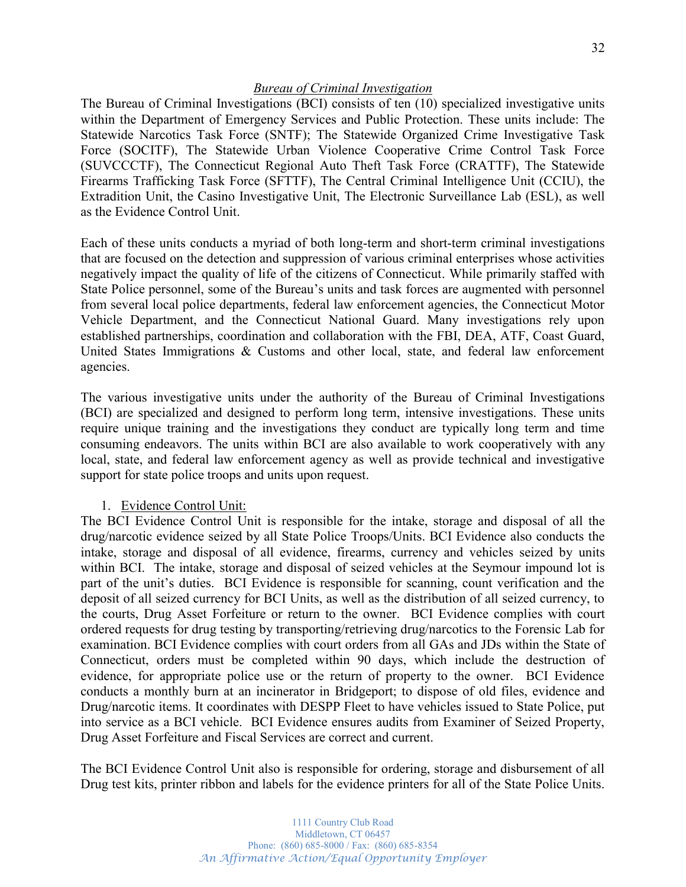### *Bureau of Criminal Investigation*

The Bureau of Criminal Investigations (BCI) consists of ten (10) specialized investigative units within the Department of Emergency Services and Public Protection. These units include: The Statewide Narcotics Task Force (SNTF); The Statewide Organized Crime Investigative Task Force (SOCITF), The Statewide Urban Violence Cooperative Crime Control Task Force (SUVCCCTF), The Connecticut Regional Auto Theft Task Force (CRATTF), The Statewide Firearms Trafficking Task Force (SFTTF), The Central Criminal Intelligence Unit (CCIU), the Extradition Unit, the Casino Investigative Unit, The Electronic Surveillance Lab (ESL), as well as the Evidence Control Unit.

Each of these units conducts a myriad of both long-term and short-term criminal investigations that are focused on the detection and suppression of various criminal enterprises whose activities negatively impact the quality of life of the citizens of Connecticut. While primarily staffed with State Police personnel, some of the Bureau's units and task forces are augmented with personnel from several local police departments, federal law enforcement agencies, the Connecticut Motor Vehicle Department, and the Connecticut National Guard. Many investigations rely upon established partnerships, coordination and collaboration with the FBI, DEA, ATF, Coast Guard, United States Immigrations & Customs and other local, state, and federal law enforcement agencies.

The various investigative units under the authority of the Bureau of Criminal Investigations (BCI) are specialized and designed to perform long term, intensive investigations. These units require unique training and the investigations they conduct are typically long term and time consuming endeavors. The units within BCI are also available to work cooperatively with any local, state, and federal law enforcement agency as well as provide technical and investigative support for state police troops and units upon request.

### 1. Evidence Control Unit:

The BCI Evidence Control Unit is responsible for the intake, storage and disposal of all the drug/narcotic evidence seized by all State Police Troops/Units. BCI Evidence also conducts the intake, storage and disposal of all evidence, firearms, currency and vehicles seized by units within BCI. The intake, storage and disposal of seized vehicles at the Seymour impound lot is part of the unit's duties. BCI Evidence is responsible for scanning, count verification and the deposit of all seized currency for BCI Units, as well as the distribution of all seized currency, to the courts, Drug Asset Forfeiture or return to the owner. BCI Evidence complies with court ordered requests for drug testing by transporting/retrieving drug/narcotics to the Forensic Lab for examination. BCI Evidence complies with court orders from all GAs and JDs within the State of Connecticut, orders must be completed within 90 days, which include the destruction of evidence, for appropriate police use or the return of property to the owner. BCI Evidence conducts a monthly burn at an incinerator in Bridgeport; to dispose of old files, evidence and Drug/narcotic items. It coordinates with DESPP Fleet to have vehicles issued to State Police, put into service as a BCI vehicle. BCI Evidence ensures audits from Examiner of Seized Property, Drug Asset Forfeiture and Fiscal Services are correct and current.

The BCI Evidence Control Unit also is responsible for ordering, storage and disbursement of all Drug test kits, printer ribbon and labels for the evidence printers for all of the State Police Units.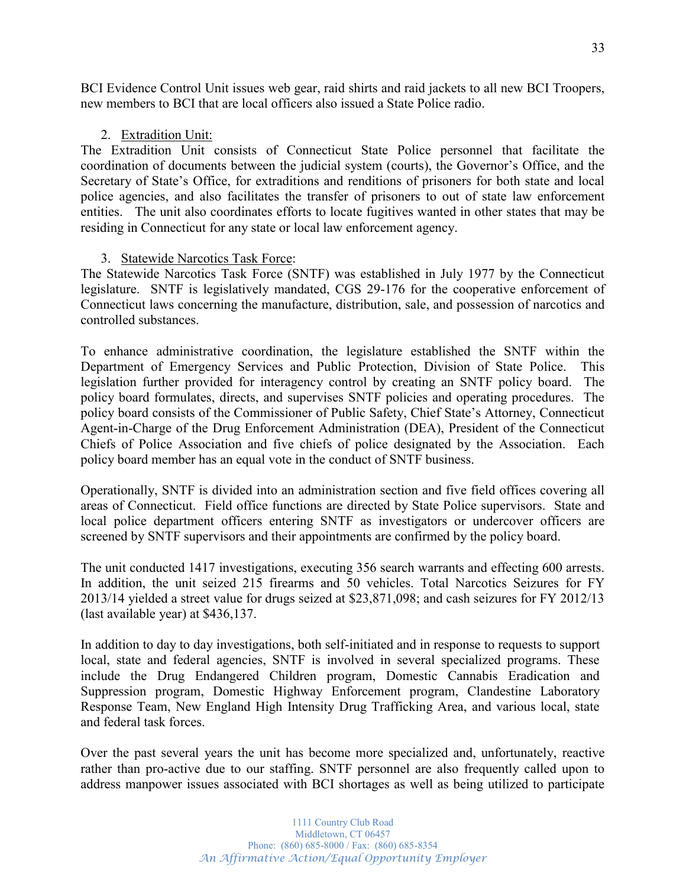BCI Evidence Control Unit issues web gear, raid shirts and raid jackets to all new BCI Troopers, new members to BCI that are local officers also issued a State Police radio.

## 2. Extradition Unit:

The Extradition Unit consists of Connecticut State Police personnel that facilitate the coordination of documents between the judicial system (courts), the Governor's Office, and the Secretary of State's Office, for extraditions and renditions of prisoners for both state and local police agencies, and also facilitates the transfer of prisoners to out of state law enforcement entities. The unit also coordinates efforts to locate fugitives wanted in other states that may be residing in Connecticut for any state or local law enforcement agency.

### 3. Statewide Narcotics Task Force:

The Statewide Narcotics Task Force (SNTF) was established in July 1977 by the Connecticut legislature. SNTF is legislatively mandated, CGS 29-176 for the cooperative enforcement of Connecticut laws concerning the manufacture, distribution, sale, and possession of narcotics and controlled substances.

To enhance administrative coordination, the legislature established the SNTF within the Department of Emergency Services and Public Protection, Division of State Police. This legislation further provided for interagency control by creating an SNTF policy board. The policy board formulates, directs, and supervises SNTF policies and operating procedures. The policy board consists of the Commissioner of Public Safety, Chief State's Attorney, Connecticut Agent-in-Charge of the Drug Enforcement Administration (DEA), President of the Connecticut Chiefs of Police Association and five chiefs of police designated by the Association. Each policy board member has an equal vote in the conduct of SNTF business.

Operationally, SNTF is divided into an administration section and five field offices covering all areas of Connecticut. Field office functions are directed by State Police supervisors. State and local police department officers entering SNTF as investigators or undercover officers are screened by SNTF supervisors and their appointments are confirmed by the policy board.

The unit conducted 1417 investigations, executing 356 search warrants and effecting 600 arrests. In addition, the unit seized 215 firearms and 50 vehicles. Total Narcotics Seizures for FY 2013/14 yielded a street value for drugs seized at \$23,871,098; and cash seizures for FY 2012/13 (last available year) at \$436,137.

In addition to day to day investigations, both self-initiated and in response to requests to support local, state and federal agencies, SNTF is involved in several specialized programs. These include the Drug Endangered Children program, Domestic Cannabis Eradication and Suppression program, Domestic Highway Enforcement program, Clandestine Laboratory Response Team, New England High Intensity Drug Trafficking Area, and various local, state and federal task forces.

Over the past several years the unit has become more specialized and, unfortunately, reactive rather than pro-active due to our staffing. SNTF personnel are also frequently called upon to address manpower issues associated with BCI shortages as well as being utilized to participate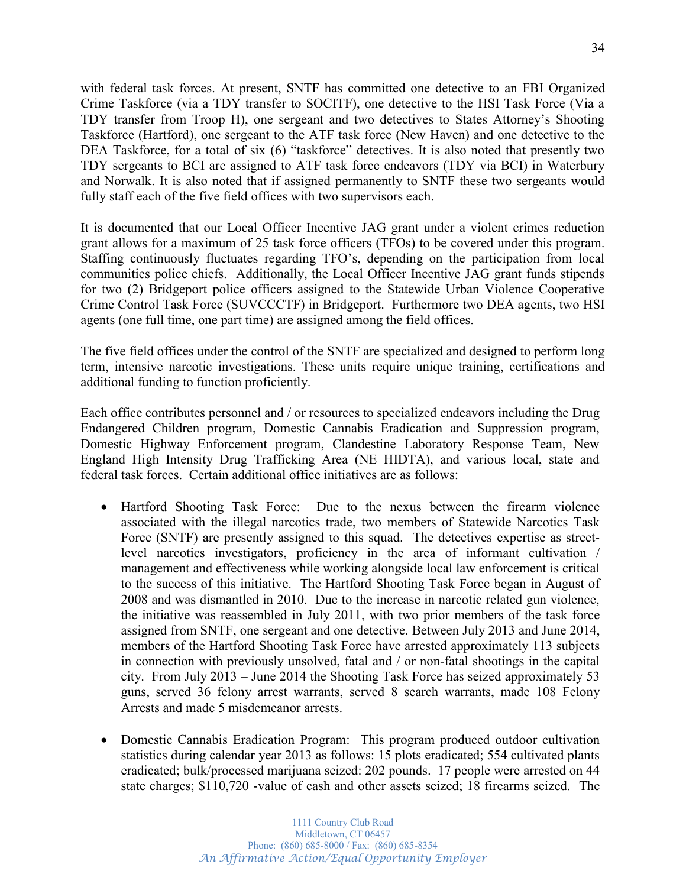with federal task forces. At present, SNTF has committed one detective to an FBI Organized Crime Taskforce (via a TDY transfer to SOCITF), one detective to the HSI Task Force (Via a TDY transfer from Troop H), one sergeant and two detectives to States Attorney's Shooting Taskforce (Hartford), one sergeant to the ATF task force (New Haven) and one detective to the DEA Taskforce, for a total of six  $(6)$  "taskforce" detectives. It is also noted that presently two TDY sergeants to BCI are assigned to ATF task force endeavors (TDY via BCI) in Waterbury and Norwalk. It is also noted that if assigned permanently to SNTF these two sergeants would fully staff each of the five field offices with two supervisors each.

It is documented that our Local Officer Incentive JAG grant under a violent crimes reduction grant allows for a maximum of 25 task force officers (TFOs) to be covered under this program. Staffing continuously fluctuates regarding TFO's, depending on the participation from local communities police chiefs. Additionally, the Local Officer Incentive JAG grant funds stipends for two (2) Bridgeport police officers assigned to the Statewide Urban Violence Cooperative Crime Control Task Force (SUVCCCTF) in Bridgeport. Furthermore two DEA agents, two HSI agents (one full time, one part time) are assigned among the field offices.

The five field offices under the control of the SNTF are specialized and designed to perform long term, intensive narcotic investigations. These units require unique training, certifications and additional funding to function proficiently.

Each office contributes personnel and / or resources to specialized endeavors including the Drug Endangered Children program, Domestic Cannabis Eradication and Suppression program, Domestic Highway Enforcement program, Clandestine Laboratory Response Team, New England High Intensity Drug Trafficking Area (NE HIDTA), and various local, state and federal task forces. Certain additional office initiatives are as follows:

- Hartford Shooting Task Force: Due to the nexus between the firearm violence associated with the illegal narcotics trade, two members of Statewide Narcotics Task Force (SNTF) are presently assigned to this squad. The detectives expertise as streetlevel narcotics investigators, proficiency in the area of informant cultivation / management and effectiveness while working alongside local law enforcement is critical to the success of this initiative. The Hartford Shooting Task Force began in August of 2008 and was dismantled in 2010. Due to the increase in narcotic related gun violence, the initiative was reassembled in July 2011, with two prior members of the task force assigned from SNTF, one sergeant and one detective. Between July 2013 and June 2014, members of the Hartford Shooting Task Force have arrested approximately 113 subjects in connection with previously unsolved, fatal and / or non-fatal shootings in the capital city. From July 2013 – June 2014 the Shooting Task Force has seized approximately 53 guns, served 36 felony arrest warrants, served 8 search warrants, made 108 Felony Arrests and made 5 misdemeanor arrests.
- Domestic Cannabis Eradication Program: This program produced outdoor cultivation statistics during calendar year 2013 as follows: 15 plots eradicated; 554 cultivated plants eradicated; bulk/processed marijuana seized: 202 pounds. 17 people were arrested on 44 state charges; \$110,720 -value of cash and other assets seized; 18 firearms seized. The

34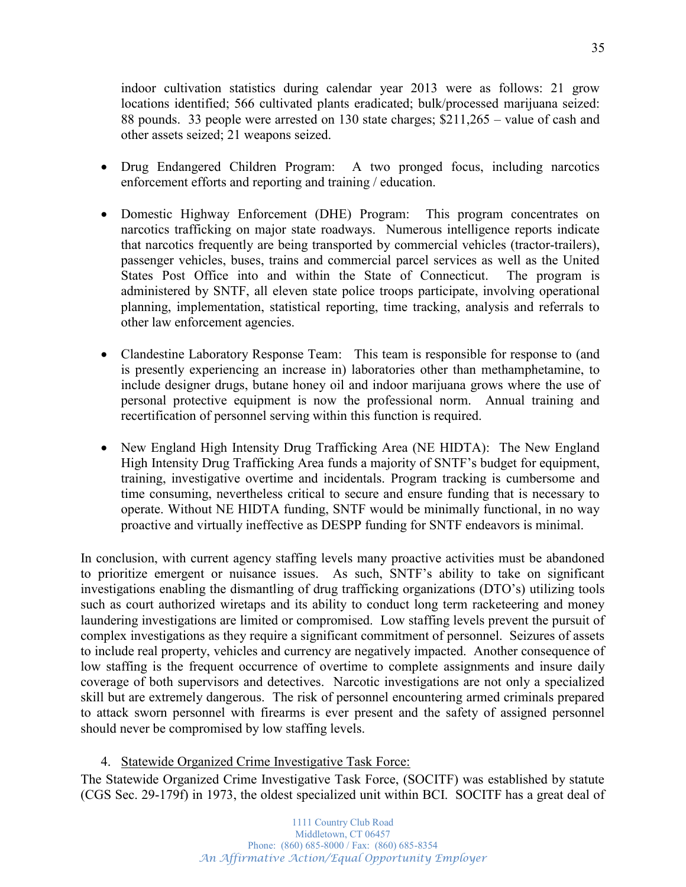indoor cultivation statistics during calendar year 2013 were as follows: 21 grow locations identified; 566 cultivated plants eradicated; bulk/processed marijuana seized: 88 pounds. 33 people were arrested on  $130$  state charges;  $$211,265 -$  value of cash and other assets seized; 21 weapons seized.

- x Drug Endangered Children Program: A two pronged focus, including narcotics enforcement efforts and reporting and training / education.
- Domestic Highway Enforcement (DHE) Program: This program concentrates on narcotics trafficking on major state roadways. Numerous intelligence reports indicate that narcotics frequently are being transported by commercial vehicles (tractor-trailers), passenger vehicles, buses, trains and commercial parcel services as well as the United States Post Office into and within the State of Connecticut. The program is administered by SNTF, all eleven state police troops participate, involving operational planning, implementation, statistical reporting, time tracking, analysis and referrals to other law enforcement agencies.
- Clandestine Laboratory Response Team: This team is responsible for response to (and is presently experiencing an increase in) laboratories other than methamphetamine, to include designer drugs, butane honey oil and indoor marijuana grows where the use of personal protective equipment is now the professional norm. Annual training and recertification of personnel serving within this function is required.
- New England High Intensity Drug Trafficking Area (NE HIDTA): The New England High Intensity Drug Trafficking Area funds a majority of SNTF's budget for equipment, training, investigative overtime and incidentals. Program tracking is cumbersome and time consuming, nevertheless critical to secure and ensure funding that is necessary to operate. Without NE HIDTA funding, SNTF would be minimally functional, in no way proactive and virtually ineffective as DESPP funding for SNTF endeavors is minimal.

In conclusion, with current agency staffing levels many proactive activities must be abandoned to prioritize emergent or nuisance issues. As such, SNTF's ability to take on significant investigations enabling the dismantling of drug trafficking organizations (DTO's) utilizing tools such as court authorized wiretaps and its ability to conduct long term racketeering and money laundering investigations are limited or compromised. Low staffing levels prevent the pursuit of complex investigations as they require a significant commitment of personnel. Seizures of assets to include real property, vehicles and currency are negatively impacted. Another consequence of low staffing is the frequent occurrence of overtime to complete assignments and insure daily coverage of both supervisors and detectives. Narcotic investigations are not only a specialized skill but are extremely dangerous. The risk of personnel encountering armed criminals prepared to attack sworn personnel with firearms is ever present and the safety of assigned personnel should never be compromised by low staffing levels.

## 4. Statewide Organized Crime Investigative Task Force:

The Statewide Organized Crime Investigative Task Force, (SOCITF) was established by statute (CGS Sec. 29-179f) in 1973, the oldest specialized unit within BCI. SOCITF has a great deal of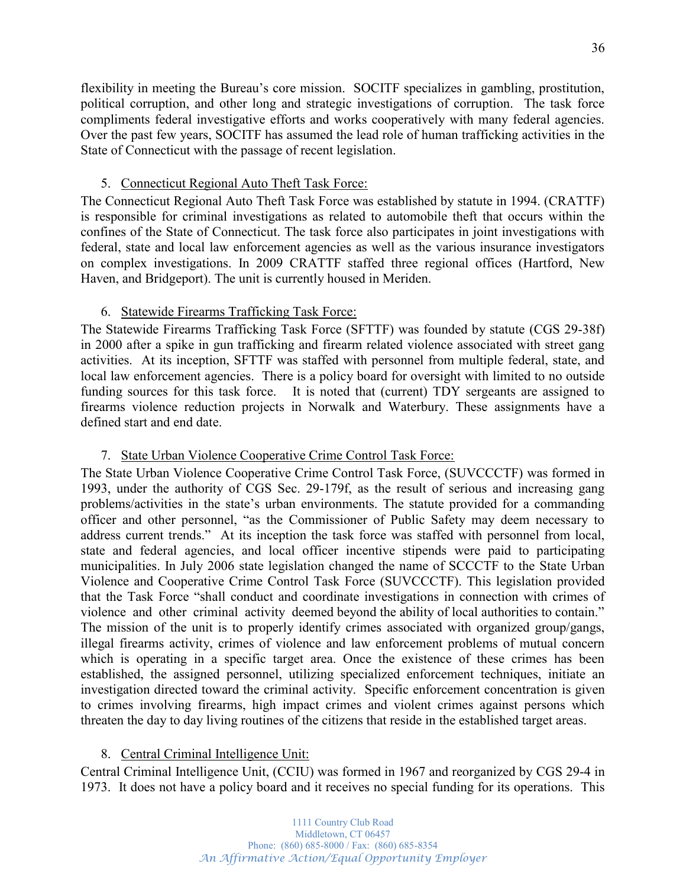flexibility in meeting the Bureau's core mission. SOCITF specializes in gambling, prostitution, political corruption, and other long and strategic investigations of corruption. The task force compliments federal investigative efforts and works cooperatively with many federal agencies. Over the past few years, SOCITF has assumed the lead role of human trafficking activities in the State of Connecticut with the passage of recent legislation.

## 5. Connecticut Regional Auto Theft Task Force:

The Connecticut Regional Auto Theft Task Force was established by statute in 1994. (CRATTF) is responsible for criminal investigations as related to automobile theft that occurs within the confines of the State of Connecticut. The task force also participates in joint investigations with federal, state and local law enforcement agencies as well as the various insurance investigators on complex investigations. In 2009 CRATTF staffed three regional offices (Hartford, New Haven, and Bridgeport). The unit is currently housed in Meriden.

## 6. Statewide Firearms Trafficking Task Force:

The Statewide Firearms Trafficking Task Force (SFTTF) was founded by statute (CGS 29-38f) in 2000 after a spike in gun trafficking and firearm related violence associated with street gang activities. At its inception, SFTTF was staffed with personnel from multiple federal, state, and local law enforcement agencies. There is a policy board for oversight with limited to no outside funding sources for this task force. It is noted that (current) TDY sergeants are assigned to firearms violence reduction projects in Norwalk and Waterbury. These assignments have a defined start and end date.

## 7. State Urban Violence Cooperative Crime Control Task Force:

The State Urban Violence Cooperative Crime Control Task Force, (SUVCCCTF) was formed in 1993, under the authority of CGS Sec. 29-179f, as the result of serious and increasing gang problems/activities in the state's urban environments. The statute provided for a commanding officer and other personnel, "as the Commissioner of Public Safety may deem necessary to address current trends." At its inception the task force was staffed with personnel from local, state and federal agencies, and local officer incentive stipends were paid to participating municipalities. In July 2006 state legislation changed the name of SCCCTF to the State Urban Violence and Cooperative Crime Control Task Force (SUVCCCTF). This legislation provided that the Task Force "shall conduct and coordinate investigations in connection with crimes of violence and other criminal activity deemed beyond the ability of local authorities to contain.<sup>"</sup> The mission of the unit is to properly identify crimes associated with organized group/gangs, illegal firearms activity, crimes of violence and law enforcement problems of mutual concern which is operating in a specific target area. Once the existence of these crimes has been established, the assigned personnel, utilizing specialized enforcement techniques, initiate an investigation directed toward the criminal activity. Specific enforcement concentration is given to crimes involving firearms, high impact crimes and violent crimes against persons which threaten the day to day living routines of the citizens that reside in the established target areas.

## 8. Central Criminal Intelligence Unit:

Central Criminal Intelligence Unit, (CCIU) was formed in 1967 and reorganized by CGS 29-4 in 1973. It does not have a policy board and it receives no special funding for its operations. This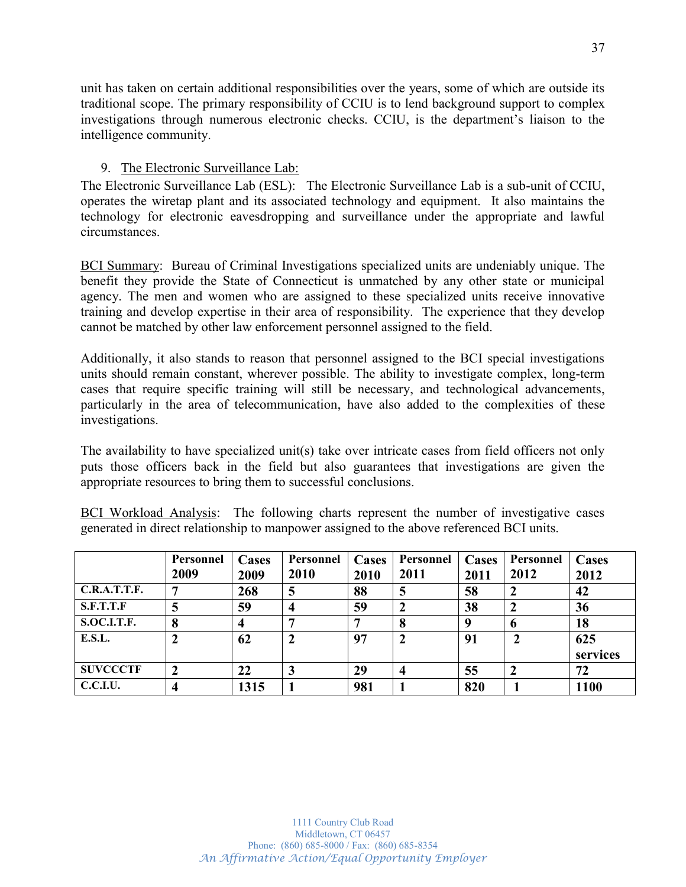unit has taken on certain additional responsibilities over the years, some of which are outside its traditional scope. The primary responsibility of CCIU is to lend background support to complex investigations through numerous electronic checks. CCIU, is the department's liaison to the intelligence community.

## 9. The Electronic Surveillance Lab:

The Electronic Surveillance Lab (ESL): The Electronic Surveillance Lab is a sub-unit of CCIU, operates the wiretap plant and its associated technology and equipment. It also maintains the technology for electronic eavesdropping and surveillance under the appropriate and lawful circumstances.

BCI Summary: Bureau of Criminal Investigations specialized units are undeniably unique. The benefit they provide the State of Connecticut is unmatched by any other state or municipal agency. The men and women who are assigned to these specialized units receive innovative training and develop expertise in their area of responsibility. The experience that they develop cannot be matched by other law enforcement personnel assigned to the field.

Additionally, it also stands to reason that personnel assigned to the BCI special investigations units should remain constant, wherever possible. The ability to investigate complex, long-term cases that require specific training will still be necessary, and technological advancements, particularly in the area of telecommunication, have also added to the complexities of these investigations.

The availability to have specialized unit(s) take over intricate cases from field officers not only puts those officers back in the field but also guarantees that investigations are given the appropriate resources to bring them to successful conclusions.

BCI Workload Analysis:The following charts represent the number of investigative cases generated in direct relationship to manpower assigned to the above referenced BCI units.

|                    | Personnel<br>2009 | Cases<br>2009 | Personnel<br>2010 | <b>Cases</b><br>2010 | Personnel<br>2011 | <b>Cases</b><br>2011 | Personnel<br>2012 | Cases<br>2012 |
|--------------------|-------------------|---------------|-------------------|----------------------|-------------------|----------------------|-------------------|---------------|
| C.R.A.T.T.F.       |                   | 268           | 5                 | 88                   | 5                 | 58                   |                   | 42            |
| <b>S.F.T.T.F</b>   |                   | 59            |                   | 59                   |                   | 38                   |                   | 36            |
| <b>S.OC.I.T.F.</b> | 8                 |               |                   |                      |                   | q                    | o                 | 18            |
| E.S.L.             |                   | 62            |                   | 97                   |                   | 91                   |                   | 625           |
|                    |                   |               |                   |                      |                   |                      |                   | services      |
| <b>SUVCCCTF</b>    |                   | 22            | J                 | 29                   | 4                 | 55                   | 2                 | 72            |
| <b>C.C.I.U.</b>    |                   | 1315          |                   | 981                  |                   | 820                  |                   | 1100          |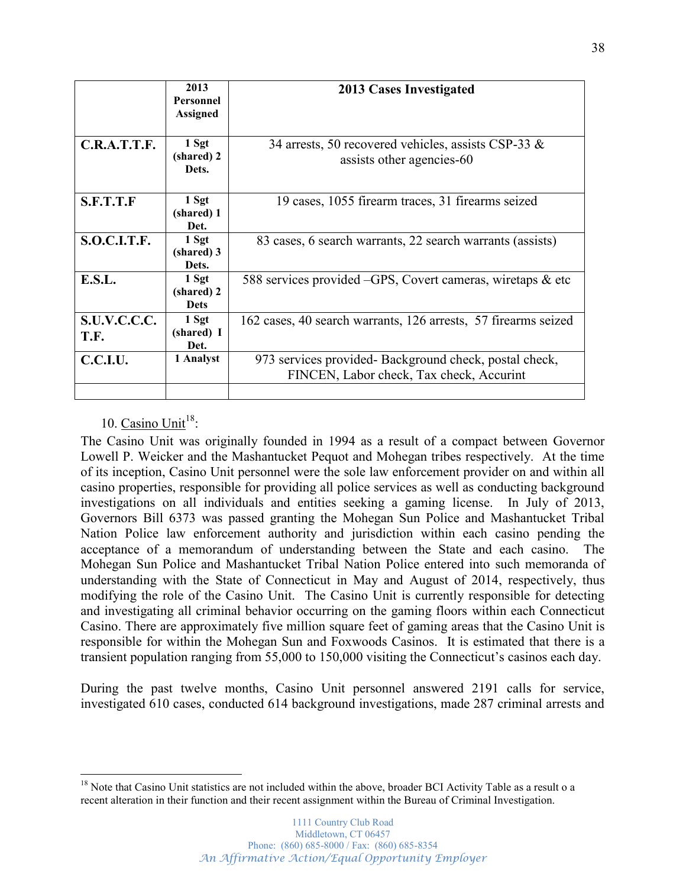|                      | 2013<br><b>Personnel</b><br><b>Assigned</b> | <b>2013 Cases Investigated</b>                                                                    |
|----------------------|---------------------------------------------|---------------------------------------------------------------------------------------------------|
| C.R.A.T.T.F.         | 1 Sgt<br>(shared) 2<br>Dets.                | 34 arrests, 50 recovered vehicles, assists CSP-33 $\&$<br>assists other agencies-60               |
| S.F.T.T.F            | 1 Sgt<br>(shared) 1<br>Det.                 | 19 cases, 1055 firearm traces, 31 firearms seized                                                 |
| <b>S.O.C.I.T.F.</b>  | 1 Sgt<br>(shared) 3<br>Dets.                | 83 cases, 6 search warrants, 22 search warrants (assists)                                         |
| E.S.L.               | 1 Sgt<br>(shared) 2<br><b>Dets</b>          | 588 services provided -GPS, Covert cameras, wiretaps & etc                                        |
| S.U.V.C.C.C.<br>T.F. | 1 Sgt<br>(shared) I<br>Det.                 | 162 cases, 40 search warrants, 126 arrests, 57 firearms seized                                    |
| C.C.I.U.             | 1 Analyst                                   | 973 services provided-Background check, postal check,<br>FINCEN, Labor check, Tax check, Accurint |
|                      |                                             |                                                                                                   |

## 10.  $Casino$  Unit<sup>18</sup>:

The Casino Unit was originally founded in 1994 as a result of a compact between Governor Lowell P. Weicker and the Mashantucket Pequot and Mohegan tribes respectively. At the time of its inception, Casino Unit personnel were the sole law enforcement provider on and within all casino properties, responsible for providing all police services as well as conducting background investigations on all individuals and entities seeking a gaming license. In July of 2013, Governors Bill 6373 was passed granting the Mohegan Sun Police and Mashantucket Tribal Nation Police law enforcement authority and jurisdiction within each casino pending the acceptance of a memorandum of understanding between the State and each casino. The Mohegan Sun Police and Mashantucket Tribal Nation Police entered into such memoranda of understanding with the State of Connecticut in May and August of 2014, respectively, thus modifying the role of the Casino Unit. The Casino Unit is currently responsible for detecting and investigating all criminal behavior occurring on the gaming floors within each Connecticut Casino. There are approximately five million square feet of gaming areas that the Casino Unit is responsible for within the Mohegan Sun and Foxwoods Casinos. It is estimated that there is a transient population ranging from 55,000 to 150,000 visiting the Connecticut's casinos each day.

During the past twelve months, Casino Unit personnel answered 2191 calls for service, investigated 610 cases, conducted 614 background investigations, made 287 criminal arrests and

<sup>&</sup>lt;sup>18</sup> Note that Casino Unit statistics are not included within the above, broader BCI Activity Table as a result o a recent alteration in their function and their recent assignment within the Bureau of Criminal Investigation.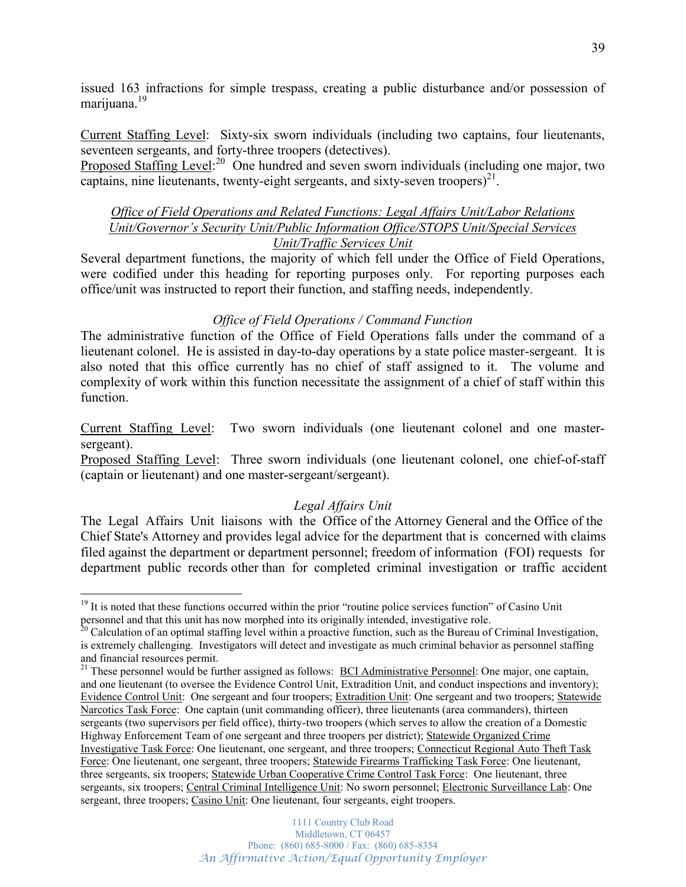issued 163 infractions for simple trespass, creating a public disturbance and/or possession of marijuana.<sup>19</sup>

Current Staffing Level: Sixty-six sworn individuals (including two captains, four lieutenants, seventeen sergeants, and forty-three troopers (detectives).

Proposed Staffing Level:<sup>20</sup> One hundred and seven sworn individuals (including one major, two captains, nine lieutenants, twenty-eight sergeants, and sixty-seven troopers $)^{21}$ .

## *Office of Field Operations and Related Functions: Legal Affairs Unit/Labor Relations Unit/Governor's Security Unit/Public Information Office/STOPS Unit/Special Services Unit/Traffic Services Unit*

Several department functions, the majority of which fell under the Office of Field Operations, were codified under this heading for reporting purposes only. For reporting purposes each office/unit was instructed to report their function, and staffing needs, independently.

## *Office of Field Operations / Command Function*

The administrative function of the Office of Field Operations falls under the command of a lieutenant colonel. He is assisted in day-to-day operations by a state police master-sergeant. It is also noted that this office currently has no chief of staff assigned to it. The volume and complexity of work within this function necessitate the assignment of a chief of staff within this function.

Current Staffing Level: Two sworn individuals (one lieutenant colonel and one mastersergeant).

Proposed Staffing Level: Three sworn individuals (one lieutenant colonel, one chief-of-staff (captain or lieutenant) and one master-sergeant/sergeant).

## *Legal Affairs Unit*

The Legal Affairs Unit liaisons with the Office of the Attorney General and the Office of the Chief State's Attorney and provides legal advice for the department that is concerned with claims filed against the department or department personnel; freedom of information (FOI) requests for department public records other than for completed criminal investigation or traffic accident

 $19$  It is noted that these functions occurred within the prior "routine police services function" of Casino Unit personnel and that this unit has now morphed into its originally intended, investigative role.

 $20$  Calculation of an optimal staffing level within a proactive function, such as the Bureau of Criminal Investigation, is extremely challenging. Investigators will detect and investigate as much criminal behavior as personnel staffing and financial resources permit.

<sup>&</sup>lt;sup>21</sup> These personnel would be further assigned as follows: **BCI Administrative Personnel**: One major, one captain, and one lieutenant (to oversee the Evidence Control Unit, Extradition Unit, and conduct inspections and inventory); Evidence Control Unit: One sergeant and four troopers; Extradition Unit: One sergeant and two troopers; Statewide Narcotics Task Force: One captain (unit commanding officer), three lieutenants (area commanders), thirteen sergeants (two supervisors per field office), thirty-two troopers (which serves to allow the creation of a Domestic Highway Enforcement Team of one sergeant and three troopers per district); Statewide Organized Crime Investigative Task Force: One lieutenant, one sergeant, and three troopers; Connecticut Regional Auto Theft Task Force: One lieutenant, one sergeant, three troopers; Statewide Firearms Trafficking Task Force: One lieutenant, three sergeants, six troopers; Statewide Urban Cooperative Crime Control Task Force: One lieutenant, three sergeants, six troopers; Central Criminal Intelligence Unit: No sworn personnel; Electronic Surveillance Lab: One sergeant, three troopers; Casino Unit: One lieutenant, four sergeants, eight troopers.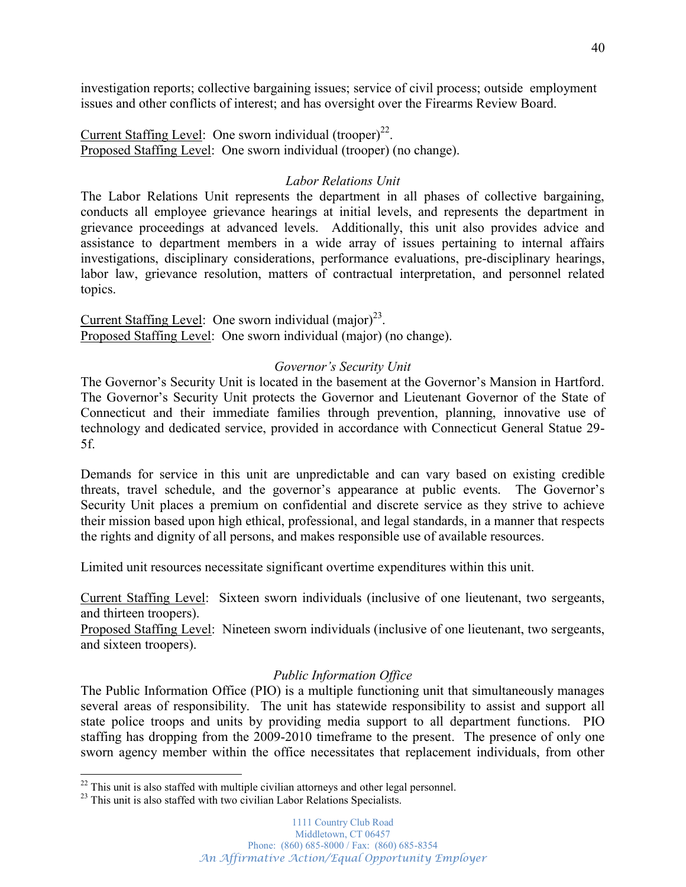investigation reports; collective bargaining issues; service of civil process; outside employment issues and other conflicts of interest; and has oversight over the Firearms Review Board.

Current Staffing Level: One sworn individual  $(trooper)^{22}$ . Proposed Staffing Level: One sworn individual (trooper) (no change).

## *Labor Relations Unit*

The Labor Relations Unit represents the department in all phases of collective bargaining, conducts all employee grievance hearings at initial levels, and represents the department in grievance proceedings at advanced levels. Additionally, this unit also provides advice and assistance to department members in a wide array of issues pertaining to internal affairs investigations, disciplinary considerations, performance evaluations, pre-disciplinary hearings, labor law, grievance resolution, matters of contractual interpretation, and personnel related topics.

Current Staffing Level: One sworn individual  $(major)^{23}$ . Proposed Staffing Level: One sworn individual (major) (no change).

## *Governor's Security Unit*

The Governor's Security Unit is located in the basement at the Governor's Mansion in Hartford. The Governor's Security Unit protects the Governor and Lieutenant Governor of the State of Connecticut and their immediate families through prevention, planning, innovative use of technology and dedicated service, provided in accordance with Connecticut General Statue 29- 5f.

Demands for service in this unit are unpredictable and can vary based on existing credible threats, travel schedule, and the governor's appearance at public events. The Governor's Security Unit places a premium on confidential and discrete service as they strive to achieve their mission based upon high ethical, professional, and legal standards, in a manner that respects the rights and dignity of all persons, and makes responsible use of available resources.

Limited unit resources necessitate significant overtime expenditures within this unit.

Current Staffing Level: Sixteen sworn individuals (inclusive of one lieutenant, two sergeants, and thirteen troopers).

Proposed Staffing Level: Nineteen sworn individuals (inclusive of one lieutenant, two sergeants, and sixteen troopers).

### *Public Information Office*

The Public Information Office (PIO) is a multiple functioning unit that simultaneously manages several areas of responsibility. The unit has statewide responsibility to assist and support all state police troops and units by providing media support to all department functions. PIO staffing has dropping from the 2009-2010 timeframe to the present. The presence of only one sworn agency member within the office necessitates that replacement individuals, from other

 $22$  This unit is also staffed with multiple civilian attorneys and other legal personnel.<br> $23$  This unit is also staffed with two civilian Labor Relations Specialists.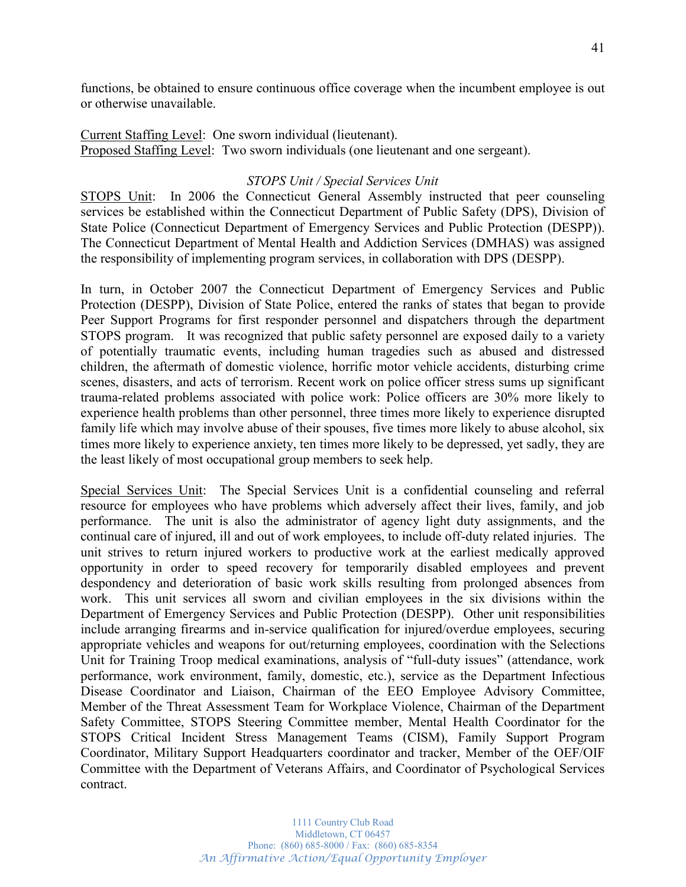functions, be obtained to ensure continuous office coverage when the incumbent employee is out or otherwise unavailable.

Current Staffing Level: One sworn individual (lieutenant). Proposed Staffing Level: Two sworn individuals (one lieutenant and one sergeant).

## *STOPS Unit / Special Services Unit*

STOPS Unit: In 2006 the Connecticut General Assembly instructed that peer counseling services be established within the Connecticut Department of Public Safety (DPS), Division of State Police (Connecticut Department of Emergency Services and Public Protection (DESPP)). The Connecticut Department of Mental Health and Addiction Services (DMHAS) was assigned the responsibility of implementing program services, in collaboration with DPS (DESPP).

In turn, in October 2007 the Connecticut Department of Emergency Services and Public Protection (DESPP), Division of State Police, entered the ranks of states that began to provide Peer Support Programs for first responder personnel and dispatchers through the department STOPS program. It was recognized that public safety personnel are exposed daily to a variety of potentially traumatic events, including human tragedies such as abused and distressed children, the aftermath of domestic violence, horrific motor vehicle accidents, disturbing crime scenes, disasters, and acts of terrorism. Recent work on police officer stress sums up significant trauma-related problems associated with police work: Police officers are 30% more likely to experience health problems than other personnel, three times more likely to experience disrupted family life which may involve abuse of their spouses, five times more likely to abuse alcohol, six times more likely to experience anxiety, ten times more likely to be depressed, yet sadly, they are the least likely of most occupational group members to seek help.

Special Services Unit:The Special Services Unit is a confidential counseling and referral resource for employees who have problems which adversely affect their lives, family, and job performance. The unit is also the administrator of agency light duty assignments, and the continual care of injured, ill and out of work employees, to include off-duty related injuries. The unit strives to return injured workers to productive work at the earliest medically approved opportunity in order to speed recovery for temporarily disabled employees and prevent despondency and deterioration of basic work skills resulting from prolonged absences from work. This unit services all sworn and civilian employees in the six divisions within the Department of Emergency Services and Public Protection (DESPP). Other unit responsibilities include arranging firearms and in-service qualification for injured/overdue employees, securing appropriate vehicles and weapons for out/returning employees, coordination with the Selections Unit for Training Troop medical examinations, analysis of "full-duty issues" (attendance, work performance, work environment, family, domestic, etc.), service as the Department Infectious Disease Coordinator and Liaison, Chairman of the EEO Employee Advisory Committee, Member of the Threat Assessment Team for Workplace Violence, Chairman of the Department Safety Committee, STOPS Steering Committee member, Mental Health Coordinator for the STOPS Critical Incident Stress Management Teams (CISM), Family Support Program Coordinator, Military Support Headquarters coordinator and tracker, Member of the OEF/OIF Committee with the Department of Veterans Affairs, and Coordinator of Psychological Services contract.

> 1111 Country Club Road Middletown, CT 06457 Phone: (860) 685-8000 / Fax: (860) 685-8354 *An Affirmative Action/Equal Opportunity Employer*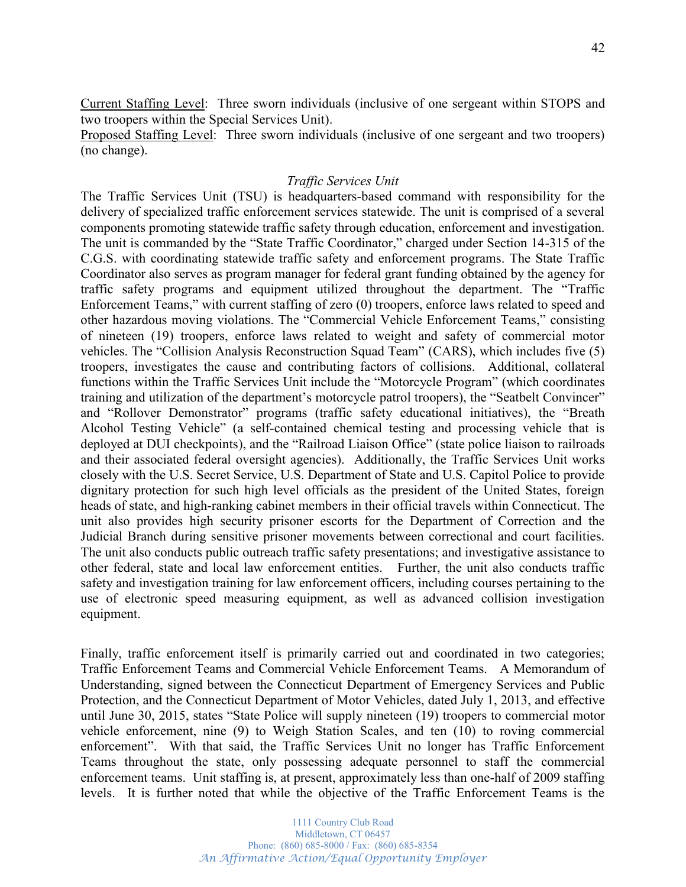Current Staffing Level: Three sworn individuals (inclusive of one sergeant within STOPS and two troopers within the Special Services Unit).

Proposed Staffing Level: Three sworn individuals (inclusive of one sergeant and two troopers) (no change).

### *Traffic Services Unit*

The Traffic Services Unit (TSU) is headquarters-based command with responsibility for the delivery of specialized traffic enforcement services statewide. The unit is comprised of a several components promoting statewide traffic safety through education, enforcement and investigation. The unit is commanded by the "State Traffic Coordinator," charged under Section 14-315 of the C.G.S. with coordinating statewide traffic safety and enforcement programs. The State Traffic Coordinator also serves as program manager for federal grant funding obtained by the agency for traffic safety programs and equipment utilized throughout the department. The "Traffic Enforcement Teams," with current staffing of zero (0) troopers, enforce laws related to speed and other hazardous moving violations. The "Commercial Vehicle Enforcement Teams," consisting of nineteen (19) troopers, enforce laws related to weight and safety of commercial motor vehicles. The "Collision Analysis Reconstruction Squad Team" (CARS), which includes five (5) troopers, investigates the cause and contributing factors of collisions. Additional, collateral functions within the Traffic Services Unit include the "Motorcycle Program" (which coordinates training and utilization of the department's motorcycle patrol troopers), the "Seatbelt Convincer" and "Rollover Demonstrator" programs (traffic safety educational initiatives), the "Breath Alcohol Testing Vehicle<sup>"</sup> (a self-contained chemical testing and processing vehicle that is deployed at DUI checkpoints), and the "Railroad Liaison Office" (state police liaison to railroads and their associated federal oversight agencies). Additionally, the Traffic Services Unit works closely with the U.S. Secret Service, U.S. Department of State and U.S. Capitol Police to provide dignitary protection for such high level officials as the president of the United States, foreign heads of state, and high-ranking cabinet members in their official travels within Connecticut. The unit also provides high security prisoner escorts for the Department of Correction and the Judicial Branch during sensitive prisoner movements between correctional and court facilities. The unit also conducts public outreach traffic safety presentations; and investigative assistance to other federal, state and local law enforcement entities. Further, the unit also conducts traffic safety and investigation training for law enforcement officers, including courses pertaining to the use of electronic speed measuring equipment, as well as advanced collision investigation equipment.

Finally, traffic enforcement itself is primarily carried out and coordinated in two categories; Traffic Enforcement Teams and Commercial Vehicle Enforcement Teams. A Memorandum of Understanding, signed between the Connecticut Department of Emergency Services and Public Protection, and the Connecticut Department of Motor Vehicles, dated July 1, 2013, and effective until June 30, 2015, states "State Police will supply nineteen  $(19)$  troopers to commercial motor vehicle enforcement, nine (9) to Weigh Station Scales, and ten (10) to roving commercial enforcement". With that said, the Traffic Services Unit no longer has Traffic Enforcement Teams throughout the state, only possessing adequate personnel to staff the commercial enforcement teams. Unit staffing is, at present, approximately less than one-half of 2009 staffing levels. It is further noted that while the objective of the Traffic Enforcement Teams is the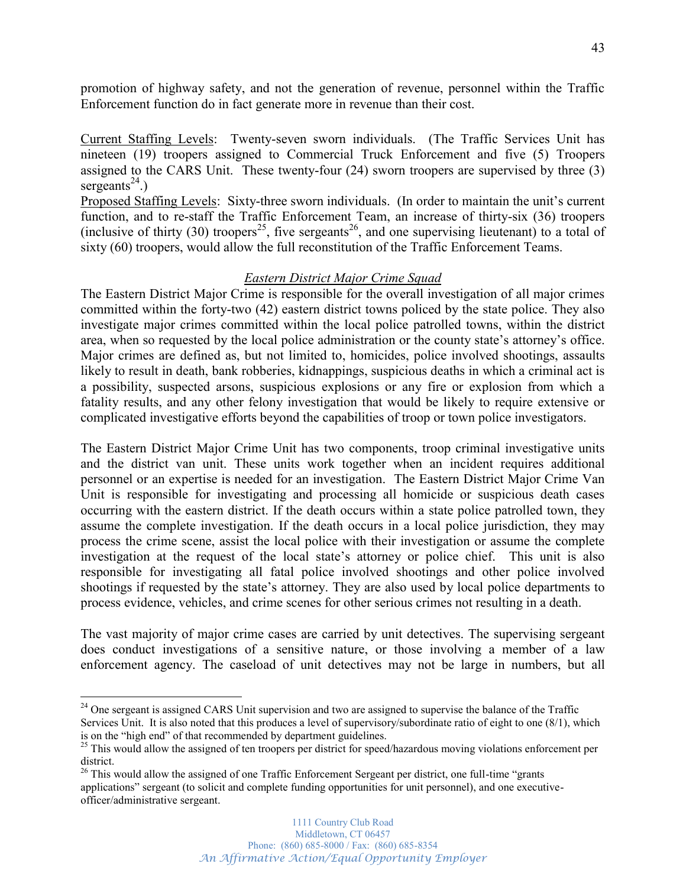promotion of highway safety, and not the generation of revenue, personnel within the Traffic Enforcement function do in fact generate more in revenue than their cost.

Current Staffing Levels: Twenty-seven sworn individuals. (The Traffic Services Unit has nineteen (19) troopers assigned to Commercial Truck Enforcement and five (5) Troopers assigned to the CARS Unit. These twenty-four (24) sworn troopers are supervised by three (3) sergeants<sup>24</sup>.)

Proposed Staffing Levels: Sixty-three sworn individuals. (In order to maintain the unit's current function, and to re-staff the Traffic Enforcement Team, an increase of thirty-six (36) troopers (inclusive of thirty (30) troopers<sup>25</sup>, five sergeants<sup>26</sup>, and one supervising lieutenant) to a total of sixty (60) troopers, would allow the full reconstitution of the Traffic Enforcement Teams.

### *Eastern District Major Crime Squad*

The Eastern District Major Crime is responsible for the overall investigation of all major crimes committed within the forty-two (42) eastern district towns policed by the state police. They also investigate major crimes committed within the local police patrolled towns, within the district area, when so requested by the local police administration or the county state's attorney's office. Major crimes are defined as, but not limited to, homicides, police involved shootings, assaults likely to result in death, bank robberies, kidnappings, suspicious deaths in which a criminal act is a possibility, suspected arsons, suspicious explosions or any fire or explosion from which a fatality results, and any other felony investigation that would be likely to require extensive or complicated investigative efforts beyond the capabilities of troop or town police investigators.

The Eastern District Major Crime Unit has two components, troop criminal investigative units and the district van unit. These units work together when an incident requires additional personnel or an expertise is needed for an investigation. The Eastern District Major Crime Van Unit is responsible for investigating and processing all homicide or suspicious death cases occurring with the eastern district. If the death occurs within a state police patrolled town, they assume the complete investigation. If the death occurs in a local police jurisdiction, they may process the crime scene, assist the local police with their investigation or assume the complete investigation at the request of the local state's attorney or police chief. This unit is also responsible for investigating all fatal police involved shootings and other police involved shootings if requested by the state's attorney. They are also used by local police departments to process evidence, vehicles, and crime scenes for other serious crimes not resulting in a death.

The vast majority of major crime cases are carried by unit detectives. The supervising sergeant does conduct investigations of a sensitive nature, or those involving a member of a law enforcement agency. The caseload of unit detectives may not be large in numbers, but all

<sup>&</sup>lt;sup>24</sup> One sergeant is assigned CARS Unit supervision and two are assigned to supervise the balance of the Traffic Services Unit. It is also noted that this produces a level of supervisory/subordinate ratio of eight to one (8/1), which is on the "high end" of that recommended by department guidelines.

 $\frac{25}{125}$  This would allow the assigned of ten troopers per district for speed/hazardous moving violations enforcement per district.

<sup>&</sup>lt;sup>26</sup> This would allow the assigned of one Traffic Enforcement Sergeant per district, one full-time "grants applications' sergeant (to solicit and complete funding opportunities for unit personnel), and one executiveofficer/administrative sergeant.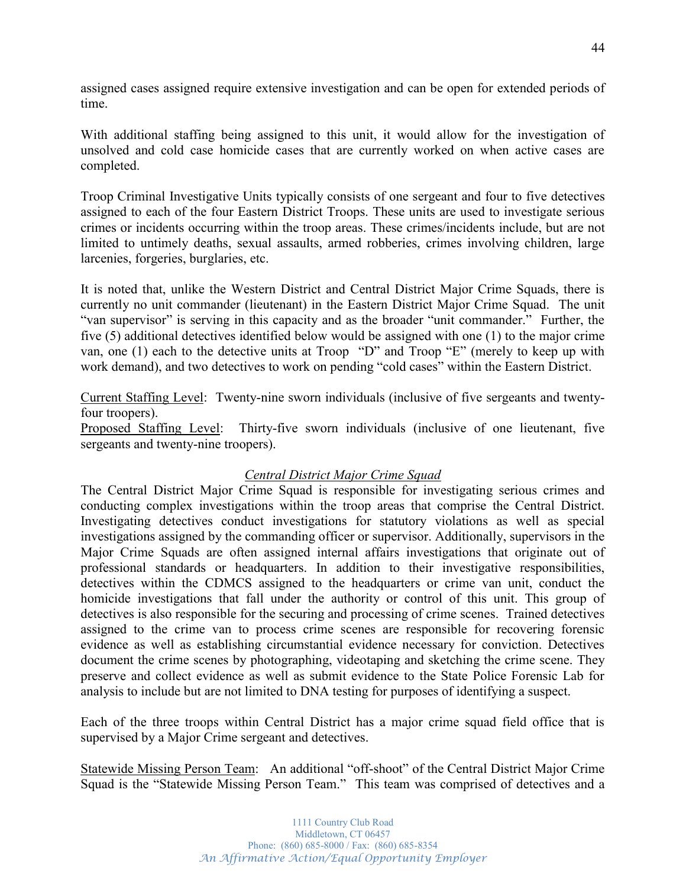assigned cases assigned require extensive investigation and can be open for extended periods of time.

With additional staffing being assigned to this unit, it would allow for the investigation of unsolved and cold case homicide cases that are currently worked on when active cases are completed.

Troop Criminal Investigative Units typically consists of one sergeant and four to five detectives assigned to each of the four Eastern District Troops. These units are used to investigate serious crimes or incidents occurring within the troop areas. These crimes/incidents include, but are not limited to untimely deaths, sexual assaults, armed robberies, crimes involving children, large larcenies, forgeries, burglaries, etc.

It is noted that, unlike the Western District and Central District Major Crime Squads, there is currently no unit commander (lieutenant) in the Eastern District Major Crime Squad. The unit "van supervisor" is serving in this capacity and as the broader "unit commander." Further, the five (5) additional detectives identified below would be assigned with one (1) to the major crime van, one  $(1)$  each to the detective units at Troop  $\alpha D^{\prime\prime}$  and Troop  $\alpha E^{\prime\prime}$  (merely to keep up with work demand), and two detectives to work on pending "cold cases" within the Eastern District.

Current Staffing Level: Twenty-nine sworn individuals (inclusive of five sergeants and twentyfour troopers).

Proposed Staffing Level: Thirty-five sworn individuals (inclusive of one lieutenant, five sergeants and twenty-nine troopers).

## *Central District Major Crime Squad*

The Central District Major Crime Squad is responsible for investigating serious crimes and conducting complex investigations within the troop areas that comprise the Central District. Investigating detectives conduct investigations for statutory violations as well as special investigations assigned by the commanding officer or supervisor. Additionally, supervisors in the Major Crime Squads are often assigned internal affairs investigations that originate out of professional standards or headquarters. In addition to their investigative responsibilities, detectives within the CDMCS assigned to the headquarters or crime van unit, conduct the homicide investigations that fall under the authority or control of this unit. This group of detectives is also responsible for the securing and processing of crime scenes. Trained detectives assigned to the crime van to process crime scenes are responsible for recovering forensic evidence as well as establishing circumstantial evidence necessary for conviction. Detectives document the crime scenes by photographing, videotaping and sketching the crime scene. They preserve and collect evidence as well as submit evidence to the State Police Forensic Lab for analysis to include but are not limited to DNA testing for purposes of identifying a suspect.

Each of the three troops within Central District has a major crime squad field office that is supervised by a Major Crime sergeant and detectives.

Statewide Missing Person Team: An additional "off-shoot" of the Central District Major Crime Squad is the "Statewide Missing Person Team." This team was comprised of detectives and a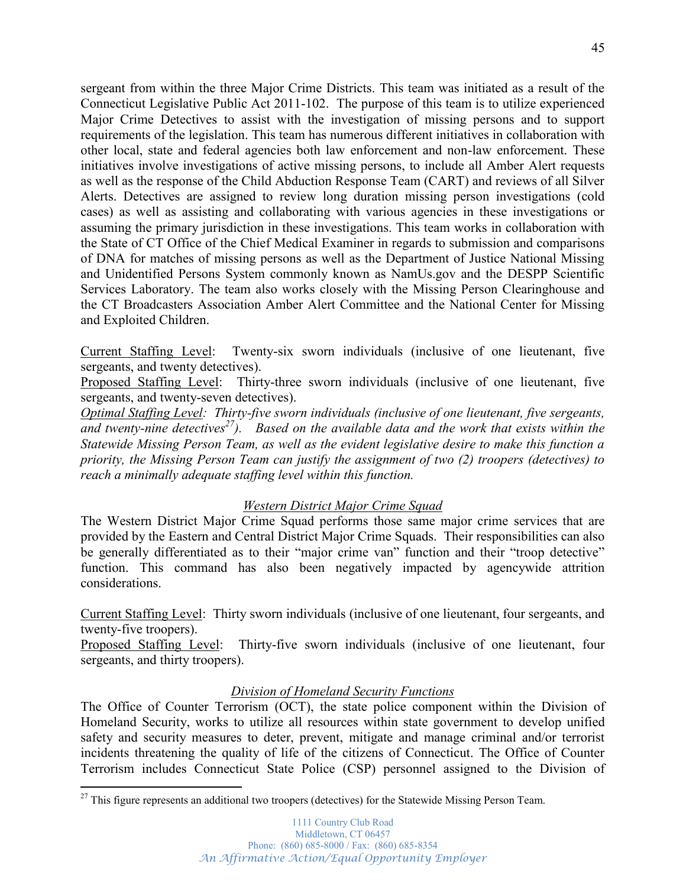sergeant from within the three Major Crime Districts. This team was initiated as a result of the Connecticut Legislative Public Act 2011-102. The purpose of this team is to utilize experienced Major Crime Detectives to assist with the investigation of missing persons and to support requirements of the legislation. This team has numerous different initiatives in collaboration with other local, state and federal agencies both law enforcement and non-law enforcement. These initiatives involve investigations of active missing persons, to include all Amber Alert requests as well as the response of the Child Abduction Response Team (CART) and reviews of all Silver Alerts. Detectives are assigned to review long duration missing person investigations (cold cases) as well as assisting and collaborating with various agencies in these investigations or assuming the primary jurisdiction in these investigations. This team works in collaboration with the State of CT Office of the Chief Medical Examiner in regards to submission and comparisons of DNA for matches of missing persons as well as the Department of Justice National Missing and Unidentified Persons System commonly known as NamUs.gov and the DESPP Scientific Services Laboratory. The team also works closely with the Missing Person Clearinghouse and the CT Broadcasters Association Amber Alert Committee and the National Center for Missing and Exploited Children.

Current Staffing Level: Twenty-six sworn individuals (inclusive of one lieutenant, five sergeants, and twenty detectives).

Proposed Staffing Level: Thirty-three sworn individuals (inclusive of one lieutenant, five sergeants, and twenty-seven detectives).

*Optimal Staffing Level: Thirty-five sworn individuals (inclusive of one lieutenant, five sergeants, and twenty-nine detectives27). Based on the available data and the work that exists within the Statewide Missing Person Team, as well as the evident legislative desire to make this function a priority, the Missing Person Team can justify the assignment of two (2) troopers (detectives) to reach a minimally adequate staffing level within this function.*

## *Western District Major Crime Squad*

The Western District Major Crime Squad performs those same major crime services that are provided by the Eastern and Central District Major Crime Squads. Their responsibilities can also be generally differentiated as to their "major crime van" function and their "troop detective" function. This command has also been negatively impacted by agencywide attrition considerations.

Current Staffing Level: Thirty sworn individuals (inclusive of one lieutenant, four sergeants, and twenty-five troopers).

Proposed Staffing Level: Thirty-five sworn individuals (inclusive of one lieutenant, four sergeants, and thirty troopers).

## *Division of Homeland Security Functions*

The Office of Counter Terrorism (OCT), the state police component within the Division of Homeland Security, works to utilize all resources within state government to develop unified safety and security measures to deter, prevent, mitigate and manage criminal and/or terrorist incidents threatening the quality of life of the citizens of Connecticut. The Office of Counter Terrorism includes Connecticut State Police (CSP) personnel assigned to the Division of

 $27$  This figure represents an additional two troopers (detectives) for the Statewide Missing Person Team.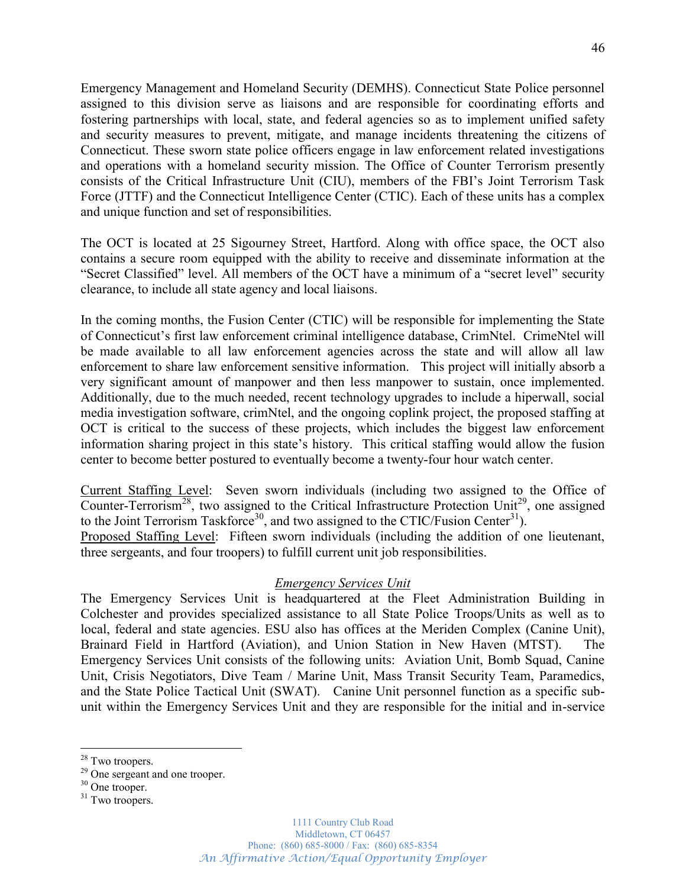Emergency Management and Homeland Security (DEMHS). Connecticut State Police personnel assigned to this division serve as liaisons and are responsible for coordinating efforts and fostering partnerships with local, state, and federal agencies so as to implement unified safety and security measures to prevent, mitigate, and manage incidents threatening the citizens of Connecticut. These sworn state police officers engage in law enforcement related investigations and operations with a homeland security mission. The Office of Counter Terrorism presently consists of the Critical Infrastructure Unit (CIU), members of the FBI's Joint Terrorism Task Force (JTTF) and the Connecticut Intelligence Center (CTIC). Each of these units has a complex and unique function and set of responsibilities.

The OCT is located at 25 Sigourney Street, Hartford. Along with office space, the OCT also contains a secure room equipped with the ability to receive and disseminate information at the "Secret Classified" level. All members of the OCT have a minimum of a "secret level" security clearance, to include all state agency and local liaisons.

In the coming months, the Fusion Center (CTIC) will be responsible for implementing the State of Connecticut's first law enforcement criminal intelligence database, CrimNtel. CrimeNtel will be made available to all law enforcement agencies across the state and will allow all law enforcement to share law enforcement sensitive information. This project will initially absorb a very significant amount of manpower and then less manpower to sustain, once implemented. Additionally, due to the much needed, recent technology upgrades to include a hiperwall, social media investigation software, crimNtel, and the ongoing coplink project, the proposed staffing at OCT is critical to the success of these projects, which includes the biggest law enforcement information sharing project in this state's history. This critical staffing would allow the fusion center to become better postured to eventually become a twenty-four hour watch center.

Current Staffing Level: Seven sworn individuals (including two assigned to the Office of Counter-Terrorism<sup>28</sup>, two assigned to the Critical Infrastructure Protection Unit<sup>29</sup>, one assigned to the Joint Terrorism Taskforce<sup>30</sup>, and two assigned to the CTIC/Fusion Center<sup>31</sup>).

Proposed Staffing Level: Fifteen sworn individuals (including the addition of one lieutenant, three sergeants, and four troopers) to fulfill current unit job responsibilities.

## *Emergency Services Unit*

The Emergency Services Unit is headquartered at the Fleet Administration Building in Colchester and provides specialized assistance to all State Police Troops/Units as well as to local, federal and state agencies. ESU also has offices at the Meriden Complex (Canine Unit), Brainard Field in Hartford (Aviation), and Union Station in New Haven (MTST). The Emergency Services Unit consists of the following units: Aviation Unit, Bomb Squad, Canine Unit, Crisis Negotiators, Dive Team / Marine Unit, Mass Transit Security Team, Paramedics, and the State Police Tactical Unit (SWAT). Canine Unit personnel function as a specific subunit within the Emergency Services Unit and they are responsible for the initial and in-service

<sup>&</sup>lt;sup>28</sup> Two troopers.<br><sup>29</sup> One sergeant and one trooper.<br><sup>30</sup> One trooper.<br><sup>31</sup> Two troopers.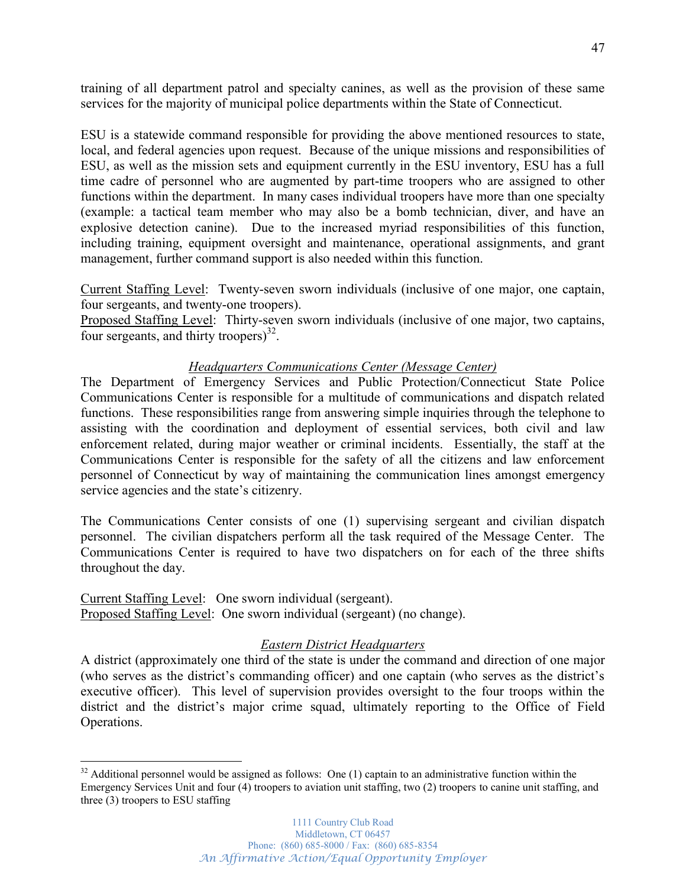training of all department patrol and specialty canines, as well as the provision of these same services for the majority of municipal police departments within the State of Connecticut.

ESU is a statewide command responsible for providing the above mentioned resources to state, local, and federal agencies upon request. Because of the unique missions and responsibilities of ESU, as well as the mission sets and equipment currently in the ESU inventory, ESU has a full time cadre of personnel who are augmented by part-time troopers who are assigned to other functions within the department. In many cases individual troopers have more than one specialty (example: a tactical team member who may also be a bomb technician, diver, and have an explosive detection canine). Due to the increased myriad responsibilities of this function, including training, equipment oversight and maintenance, operational assignments, and grant management, further command support is also needed within this function.

Current Staffing Level: Twenty-seven sworn individuals (inclusive of one major, one captain, four sergeants, and twenty-one troopers).

Proposed Staffing Level: Thirty-seven sworn individuals (inclusive of one major, two captains, four sergeants, and thirty troopers)<sup>32</sup>.

## *Headquarters Communications Center (Message Center)*

The Department of Emergency Services and Public Protection/Connecticut State Police Communications Center is responsible for a multitude of communications and dispatch related functions. These responsibilities range from answering simple inquiries through the telephone to assisting with the coordination and deployment of essential services, both civil and law enforcement related, during major weather or criminal incidents. Essentially, the staff at the Communications Center is responsible for the safety of all the citizens and law enforcement personnel of Connecticut by way of maintaining the communication lines amongst emergency service agencies and the state's citizenry.

The Communications Center consists of one (1) supervising sergeant and civilian dispatch personnel. The civilian dispatchers perform all the task required of the Message Center. The Communications Center is required to have two dispatchers on for each of the three shifts throughout the day.

Current Staffing Level: One sworn individual (sergeant). Proposed Staffing Level: One sworn individual (sergeant) (no change).

### *Eastern District Headquarters*

A district (approximately one third of the state is under the command and direction of one major (who serves as the district's commanding officer) and one captain (who serves as the district's executive officer). This level of supervision provides oversight to the four troops within the district and the district's major crime squad, ultimately reporting to the Office of Field Operations.

 $32$  Additional personnel would be assigned as follows: One (1) captain to an administrative function within the Emergency Services Unit and four (4) troopers to aviation unit staffing, two (2) troopers to canine unit staffing, and three (3) troopers to ESU staffing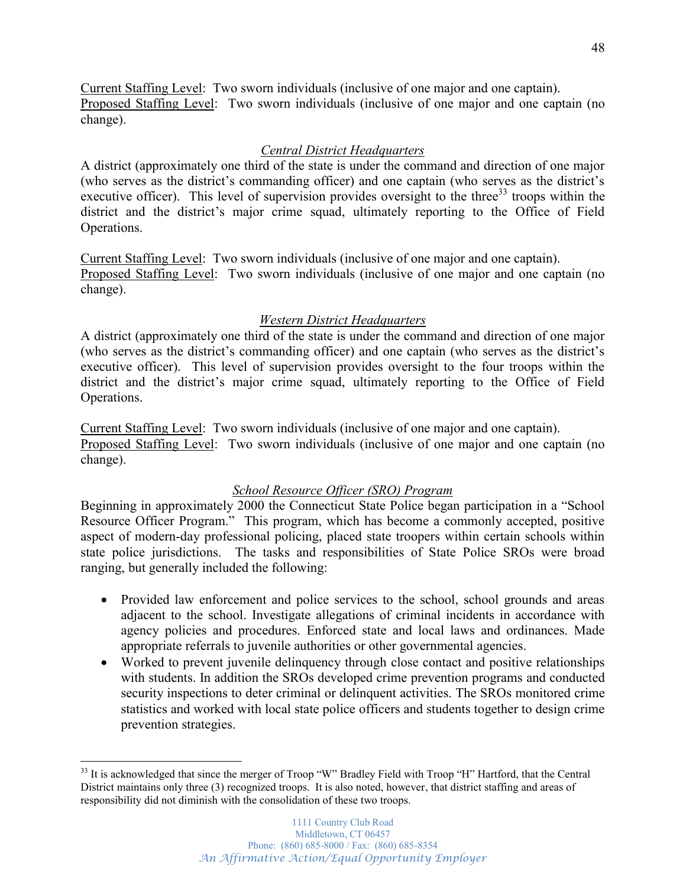Current Staffing Level: Two sworn individuals (inclusive of one major and one captain). Proposed Staffing Level: Two sworn individuals (inclusive of one major and one captain (no change).

## *Central District Headquarters*

A district (approximately one third of the state is under the command and direction of one major (who serves as the district's commanding officer) and one captain (who serves as the district's executive officer). This level of supervision provides oversight to the three<sup>33</sup> troops within the district and the district's major crime squad, ultimately reporting to the Office of Field Operations.

Current Staffing Level: Two sworn individuals (inclusive of one major and one captain). Proposed Staffing Level: Two sworn individuals (inclusive of one major and one captain (no change).

## *Western District Headquarters*

A district (approximately one third of the state is under the command and direction of one major (who serves as the district's commanding officer) and one captain (who serves as the district's executive officer). This level of supervision provides oversight to the four troops within the district and the district's major crime squad, ultimately reporting to the Office of Field Operations.

Current Staffing Level: Two sworn individuals (inclusive of one major and one captain). Proposed Staffing Level: Two sworn individuals (inclusive of one major and one captain (no change).

## *School Resource Officer (SRO) Program*

Beginning in approximately 2000 the Connecticut State Police began participation in a "School" Resource Officer Program." This program, which has become a commonly accepted, positive aspect of modern-day professional policing, placed state troopers within certain schools within state police jurisdictions. The tasks and responsibilities of State Police SROs were broad ranging, but generally included the following:

- Provided law enforcement and police services to the school, school grounds and areas adjacent to the school. Investigate allegations of criminal incidents in accordance with agency policies and procedures. Enforced state and local laws and ordinances. Made appropriate referrals to juvenile authorities or other governmental agencies.
- Worked to prevent juvenile delinguency through close contact and positive relationships with students. In addition the SROs developed crime prevention programs and conducted security inspections to deter criminal or delinquent activities. The SROs monitored crime statistics and worked with local state police officers and students together to design crime prevention strategies.

 $33$  It is acknowledged that since the merger of Troop "W" Bradley Field with Troop "H" Hartford, that the Central District maintains only three (3) recognized troops. It is also noted, however, that district staffing and areas of responsibility did not diminish with the consolidation of these two troops.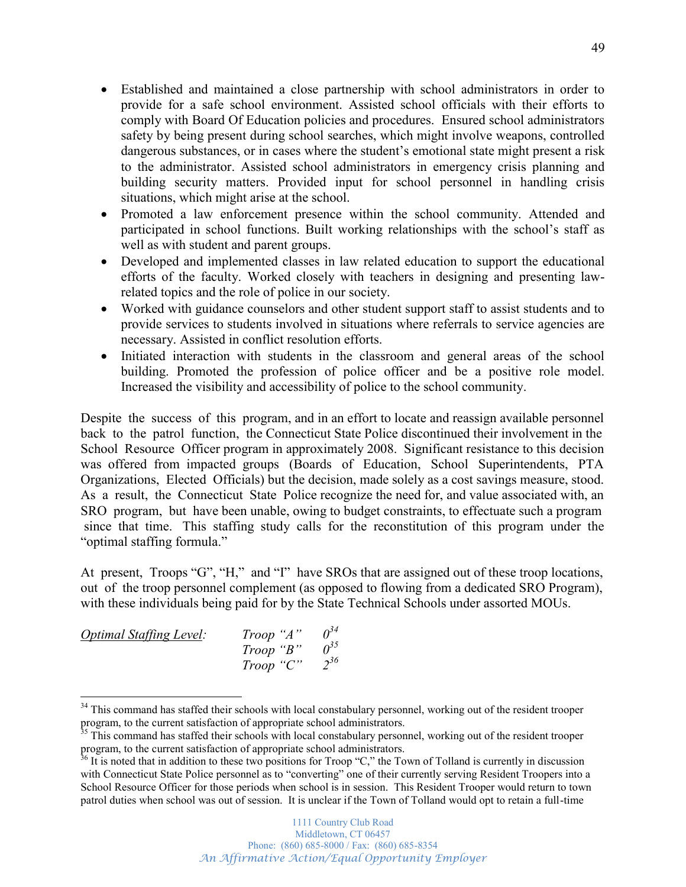- Established and maintained a close partnership with school administrators in order to provide for a safe school environment. Assisted school officials with their efforts to comply with Board Of Education policies and procedures. Ensured school administrators safety by being present during school searches, which might involve weapons, controlled dangerous substances, or in cases where the student's emotional state might present a risk to the administrator. Assisted school administrators in emergency crisis planning and building security matters. Provided input for school personnel in handling crisis situations, which might arise at the school.
- Promoted a law enforcement presence within the school community. Attended and participated in school functions. Built working relationships with the school's staff as well as with student and parent groups.
- Developed and implemented classes in law related education to support the educational efforts of the faculty. Worked closely with teachers in designing and presenting lawrelated topics and the role of police in our society.
- Worked with guidance counselors and other student support staff to assist students and to provide services to students involved in situations where referrals to service agencies are necessary. Assisted in conflict resolution efforts.
- Initiated interaction with students in the classroom and general areas of the school building. Promoted the profession of police officer and be a positive role model. Increased the visibility and accessibility of police to the school community.

Despite the success of this program, and in an effort to locate and reassign available personnel back to the patrol function, the Connecticut State Police discontinued their involvement in the School Resource Officer program in approximately 2008. Significant resistance to this decision was offered from impacted groups (Boards of Education, School Superintendents, PTA Organizations, Elected Officials) but the decision, made solely as a cost savings measure, stood. As a result, the Connecticut State Police recognize the need for, and value associated with, an SRO program, but have been unable, owing to budget constraints, to effectuate such a program since that time. This staffing study calls for the reconstitution of this program under the "optimal staffing formula."

At present, Troops "G", "H," and "I" have SROs that are assigned out of these troop locations, out of the troop personnel complement (as opposed to flowing from a dedicated SRO Program), with these individuals being paid for by the State Technical Schools under assorted MOUs.

| <b>Optimal Staffing Level:</b> | Trop 'A'' |             |
|--------------------------------|-----------|-------------|
|                                | Troop "B" | $\rho^{35}$ |
|                                | Trop 'C'  | $2^{36}$    |

<sup>&</sup>lt;sup>34</sup> This command has staffed their schools with local constabulary personnel, working out of the resident trooper program, to the current satisfaction of appropriate school administrators.<br><sup>35</sup> This command has staffed their schools with local constabulary personnel, working out of the resident trooper

program, to the current satisfaction of appropriate school administrators.

 $36$  It is noted that in addition to these two positions for Troop "C," the Town of Tolland is currently in discussion with Connecticut State Police personnel as to "converting" one of their currently serving Resident Troopers into a School Resource Officer for those periods when school is in session. This Resident Trooper would return to town patrol duties when school was out of session. It is unclear if the Town of Tolland would opt to retain a full-time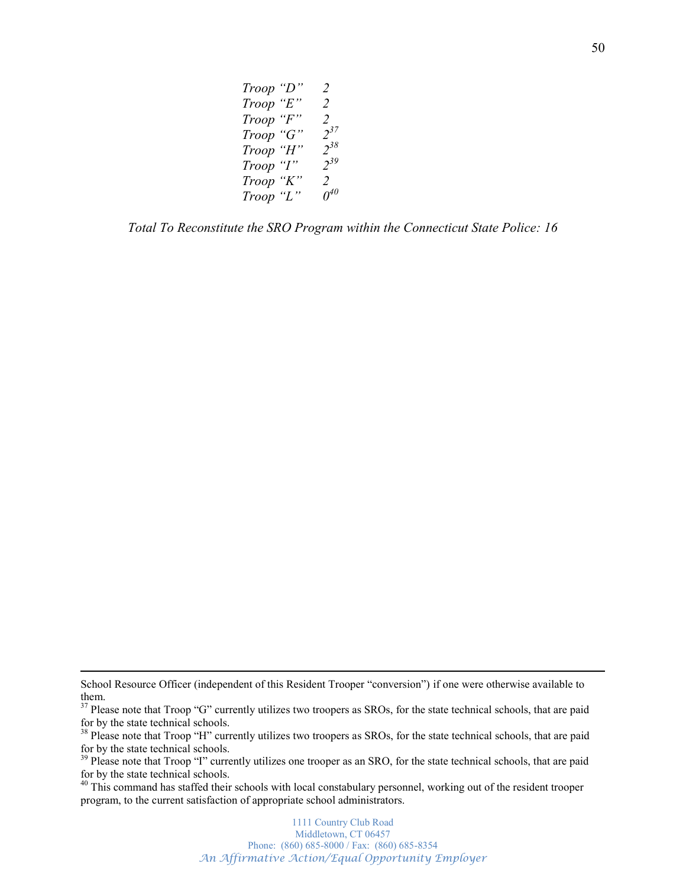| Troop | "D"     | $\overline{2}$ |
|-------|---------|----------------|
| Troop | " $E$ " | 2              |
| Troop | "F"     | 2              |
| Troop | "G"     | $2^{37}$       |
| Troop | "H"     | $2^{38}$       |
| Troop | "I"     | $2^{39}$       |
| Troop | "K"     | 2              |
| Troop | "L"     | $\theta^{40}$  |

*Total To Reconstitute the SRO Program within the Connecticut State Police: 16*

 $\overline{a}$ 

School Resource Officer (independent of this Resident Trooper "conversion") if one were otherwise available to them.

<sup>&</sup>lt;sup>37</sup> Please note that Troop "G" currently utilizes two troopers as SROs, for the state technical schools, that are paid for by the state technical schools.

<sup>&</sup>lt;sup>38</sup> Please note that Troop "H" currently utilizes two troopers as SROs, for the state technical schools, that are paid for by the state technical schools.

<sup>&</sup>lt;sup>39</sup> Please note that Troop "I" currently utilizes one trooper as an SRO, for the state technical schools, that are paid for by the state technical schools.

 $40$  This command has staffed their schools with local constabulary personnel, working out of the resident trooper program, to the current satisfaction of appropriate school administrators.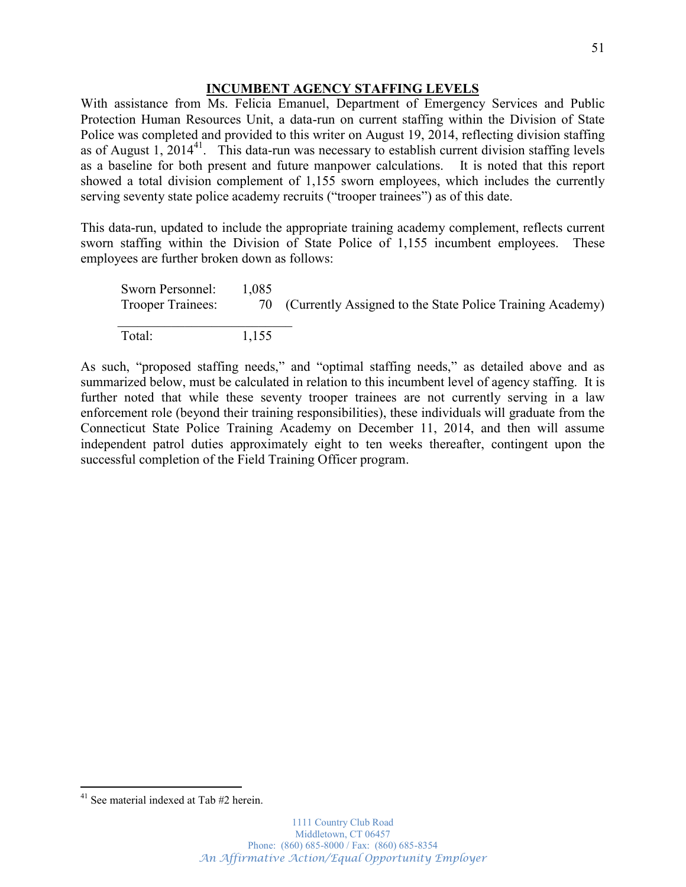### **INCUMBENT AGENCY STAFFING LEVELS**

With assistance from Ms. Felicia Emanuel, Department of Emergency Services and Public Protection Human Resources Unit, a data-run on current staffing within the Division of State Police was completed and provided to this writer on August 19, 2014, reflecting division staffing as of August 1,  $2014^{41}$ . This data-run was necessary to establish current division staffing levels as a baseline for both present and future manpower calculations. It is noted that this report showed a total division complement of 1,155 sworn employees, which includes the currently serving seventy state police academy recruits ("trooper trainees") as of this date.

This data-run, updated to include the appropriate training academy complement, reflects current sworn staffing within the Division of State Police of 1,155 incumbent employees. These employees are further broken down as follows:

Sworn Personnel: 1,085 Trooper Trainees: 70 (Currently Assigned to the State Police Training Academy) \_\_\_\_\_\_\_\_\_\_\_\_\_\_\_\_\_\_\_\_\_\_\_\_\_\_ Total: 1,155

As such, "proposed staffing needs," and "optimal staffing needs," as detailed above and as summarized below, must be calculated in relation to this incumbent level of agency staffing. It is further noted that while these seventy trooper trainees are not currently serving in a law enforcement role (beyond their training responsibilities), these individuals will graduate from the Connecticut State Police Training Academy on December 11, 2014, and then will assume independent patrol duties approximately eight to ten weeks thereafter, contingent upon the successful completion of the Field Training Officer program.

<sup>&</sup>lt;sup>41</sup> See material indexed at Tab #2 herein.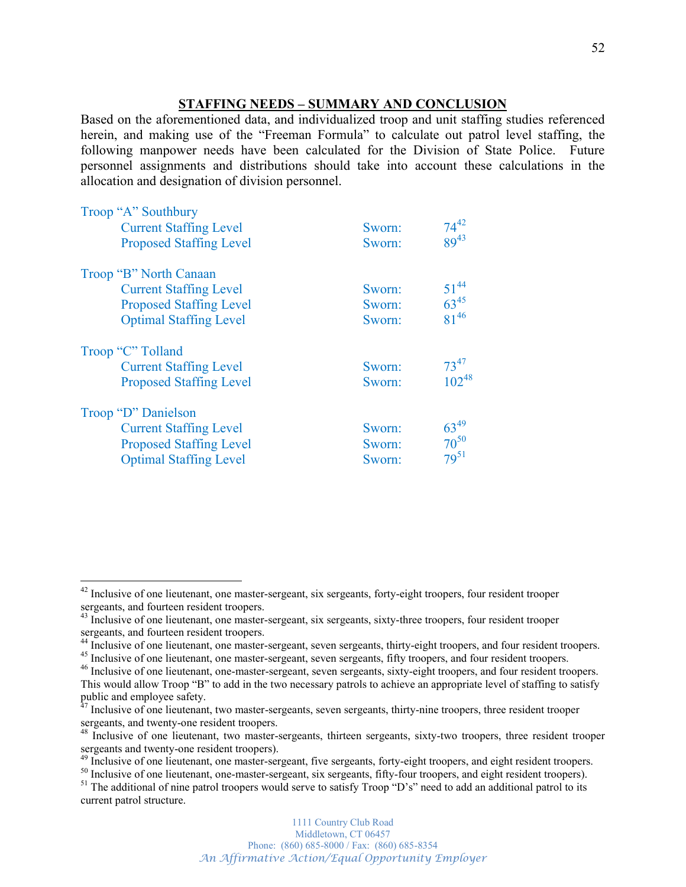## **STAFFING NEEDS ± SUMMARY AND CONCLUSION**

Based on the aforementioned data, and individualized troop and unit staffing studies referenced herein, and making use of the "Freeman Formula" to calculate out patrol level staffing, the following manpower needs have been calculated for the Division of State Police. Future personnel assignments and distributions should take into account these calculations in the allocation and designation of division personnel.

| Troop "A" Southbury            |        |            |
|--------------------------------|--------|------------|
| <b>Current Staffing Level</b>  | Sworn: | $74^{42}$  |
| <b>Proposed Staffing Level</b> | Sworn: | $89^{43}$  |
| Troop "B" North Canaan         |        |            |
| <b>Current Staffing Level</b>  | Sworn: | $51^{44}$  |
| <b>Proposed Staffing Level</b> | Sworn: | $63^{45}$  |
| <b>Optimal Staffing Level</b>  | Sworn: | $81^{46}$  |
| Troop "C" Tolland              |        |            |
| <b>Current Staffing Level</b>  | Sworn: | $73^{47}$  |
| <b>Proposed Staffing Level</b> | Sworn: | $102^{48}$ |
| Troop "D" Danielson            |        |            |
| <b>Current Staffing Level</b>  | Sworn: | $63^{49}$  |
| <b>Proposed Staffing Level</b> | Sworn: | $70^{50}$  |
| <b>Optimal Staffing Level</b>  | Sworn: | $79^{51}$  |

<sup>&</sup>lt;sup>42</sup> Inclusive of one lieutenant, one master-sergeant, six sergeants, forty-eight troopers, four resident trooper sergeants, and fourteen resident troopers.

<sup>&</sup>lt;sup>43</sup> Inclusive of one lieutenant, one master-sergeant, six sergeants, sixty-three troopers, four resident trooper

and fourteen resident troopers.<br>
<sup>44</sup> Inclusive of one lieutenant, one master-sergeant, seven sergeants, thirty-eight troopers, and four resident troopers.<br>
<sup>45</sup> Inclusive of one lieutenant, one master-sergeant, seven serg

This would allow Troop "B" to add in the two necessary patrols to achieve an appropriate level of staffing to satisfy public and employee safety.

 $47$  Inclusive of one lieutenant, two master-sergeants, seven sergeants, thirty-nine troopers, three resident trooper sergeants, and twenty-one resident troopers.

 $48$  Inclusive of one lieutenant, two master-sergeants, thirteen sergeants, sixty-two troopers, three resident trooper sergeants and twenty-one resident troopers).

<sup>&</sup>lt;sup>49</sup> Inclusive of one lieutenant, one master-sergeant, five sergeants, forty-eight troopers, and eight resident troopers.<br><sup>50</sup> Inclusive of one lieutenant, one-master-sergeant, six sergeants, fifty-four troopers, and eigh

current patrol structure.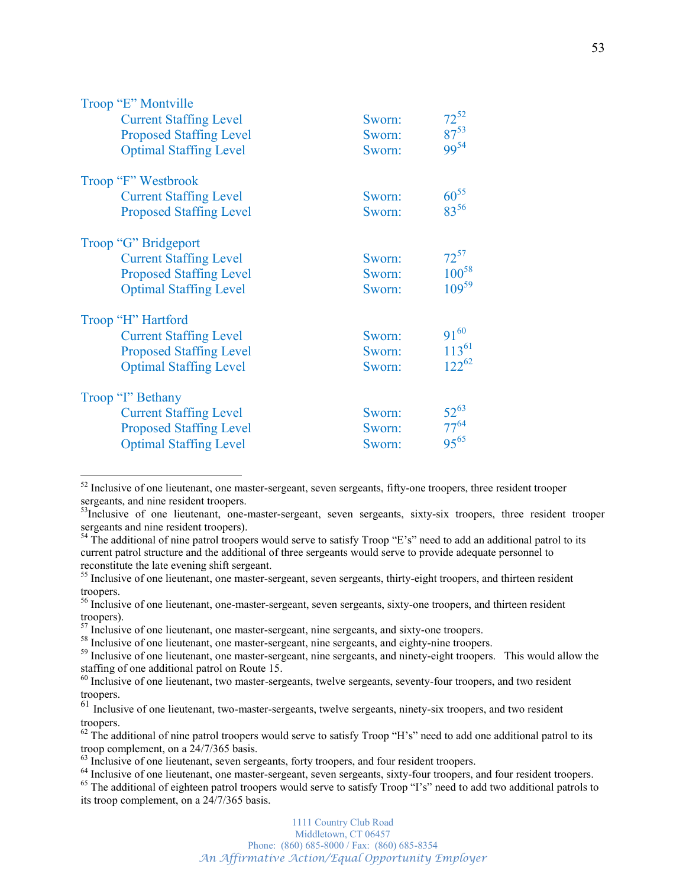| Troop "E" Montville            |        |            |
|--------------------------------|--------|------------|
| <b>Current Staffing Level</b>  | Sworn: | $72^{52}$  |
| <b>Proposed Staffing Level</b> | Sworn: | $87^{53}$  |
| <b>Optimal Staffing Level</b>  | Sworn: | $99^{54}$  |
| Troop "F" Westbrook            |        |            |
| <b>Current Staffing Level</b>  | Sworn: | $60^{55}$  |
| <b>Proposed Staffing Level</b> | Sworn: | 8356       |
| Troop "G" Bridgeport           |        |            |
| <b>Current Staffing Level</b>  | Sworn: | $72^{57}$  |
| <b>Proposed Staffing Level</b> | Sworn: | $100^{58}$ |
| <b>Optimal Staffing Level</b>  | Sworn: | $109^{59}$ |
| Troop "H" Hartford             |        |            |
| <b>Current Staffing Level</b>  | Sworn: | $91^{60}$  |
| <b>Proposed Staffing Level</b> | Sworn: | $113^{61}$ |
| <b>Optimal Staffing Level</b>  | Sworn: | $122^{62}$ |
| Troop "I" Bethany              |        |            |
| <b>Current Staffing Level</b>  | Sworn: | $52^{63}$  |
| <b>Proposed Staffing Level</b> | Sworn: | $77^{64}$  |
| <b>Optimal Staffing Level</b>  | Sworn: | $95^{65}$  |

<sup>&</sup>lt;sup>52</sup> Inclusive of one lieutenant, one master-sergeant, seven sergeants, fifty-one troopers, three resident trooper sergeants, and nine resident troopers.

<sup>&</sup>lt;sup>53</sup>Inclusive of one lieutenant, one-master-sergeant, seven sergeants, sixty-six troopers, three resident trooper sergeants and nine resident troopers).

 $54$  The additional of nine patrol troopers would serve to satisfy Troop "E's" need to add an additional patrol to its current patrol structure and the additional of three sergeants would serve to provide adequate personnel to reconstitute the late evening shift sergeant.

<sup>&</sup>lt;sup>55</sup> Inclusive of one lieutenant, one master-sergeant, seven sergeants, thirty-eight troopers, and thirteen resident troopers.

<sup>&</sup>lt;sup>56</sup> Inclusive of one lieutenant, one-master-sergeant, seven sergeants, sixty-one troopers, and thirteen resident troopers).<br><sup>57</sup> Inclusive of one lieutenant, one master-sergeant, nine sergeants, and sixty-one troopers.

 $58$  Inclusive of one lieutenant, one master-sergeant, nine sergeants, and eighty-nine troopers.<br> $59$  Inclusive of one lieutenant, one master-sergeant, nine sergeants, and ninety-eight troopers. This would allow the

staffing of one additional patrol on Route 15.

<sup>&</sup>lt;sup>60</sup> Inclusive of one lieutenant, two master-sergeants, twelve sergeants, seventy-four troopers, and two resident troopers.

<sup>&</sup>lt;sup>61</sup> Inclusive of one lieutenant, two-master-sergeants, twelve sergeants, ninety-six troopers, and two resident troopers.

 $62$  The additional of nine patrol troopers would serve to satisfy Troop "H's" need to add one additional patrol to its troop complement, on a  $\frac{24}{7365}$  basis.<br><sup>63</sup> Inclusive of one lieutenant, seven sergeants, forty troopers, and four resident troopers.

<sup>&</sup>lt;sup>64</sup> Inclusive of one lieutenant, one master-sergeant, seven sergeants, sixty-four troopers, and four resident troopers.<br><sup>65</sup> The additional of eighteen patrol troopers would serve to satisfy Troop "I's" need to add two ad its troop complement, on a 24/7/365 basis.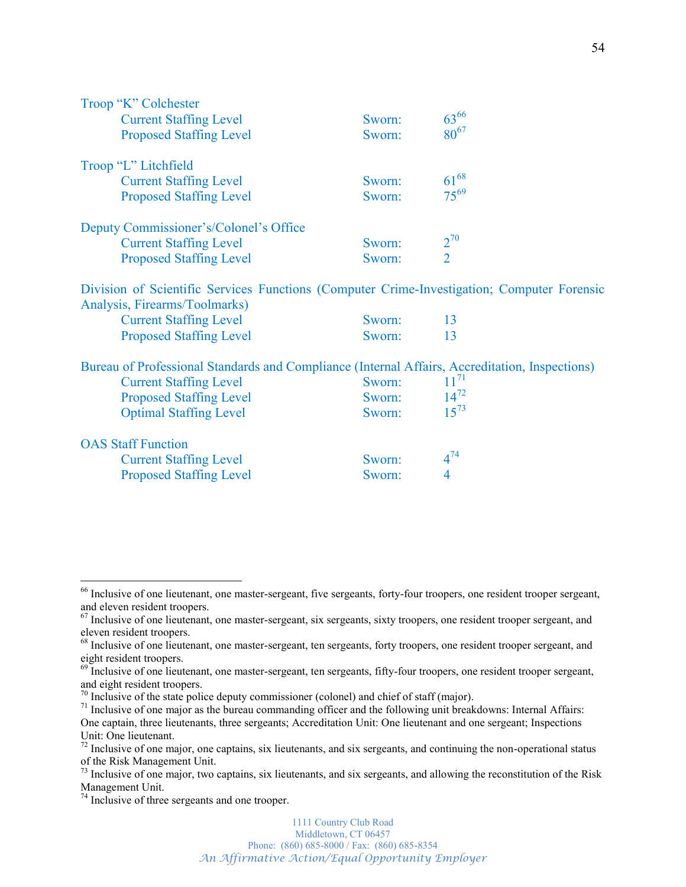| Troop "K" Colchester                                                                                                        |        |                    |
|-----------------------------------------------------------------------------------------------------------------------------|--------|--------------------|
| <b>Current Staffing Level</b>                                                                                               | Sworn: | 6366               |
| <b>Proposed Staffing Level</b>                                                                                              | Sworn: | $80^{67}$          |
| Troop "L" Litchfield                                                                                                        |        |                    |
| <b>Current Staffing Level</b>                                                                                               | Sworn: | $61^{68}$          |
| <b>Proposed Staffing Level</b>                                                                                              | Sworn: | $75^{69}$          |
| Deputy Commissioner's/Colonel's Office                                                                                      |        |                    |
| <b>Current Staffing Level</b>                                                                                               | Sworn: | $\frac{2^{70}}{2}$ |
| <b>Proposed Staffing Level</b>                                                                                              | Sworn: |                    |
| Division of Scientific Services Functions (Computer Crime-Investigation; Computer Forensic<br>Analysis, Firearms/Toolmarks) |        |                    |
| <b>Current Staffing Level</b>                                                                                               | Sworn: | 13                 |
| <b>Proposed Staffing Level</b>                                                                                              | Sworn: | 13                 |
| Bureau of Professional Standards and Compliance (Internal Affairs, Accreditation, Inspections)                              |        |                    |
| <b>Current Staffing Level</b>                                                                                               | Sworn: | $11^{71}$          |
| <b>Proposed Staffing Level</b>                                                                                              | Sworn: | $14^{72}$          |
| <b>Optimal Staffing Level</b>                                                                                               | Sworn: | $15^{73}$          |
| <b>OAS Staff Function</b>                                                                                                   |        |                    |
| <b>Current Staffing Level</b>                                                                                               | Sworn: | $4^{74}$           |
| <b>Proposed Staffing Level</b>                                                                                              | Sworn: | 4                  |
|                                                                                                                             |        |                    |

<sup>&</sup>lt;sup>66</sup> Inclusive of one lieutenant, one master-sergeant, five sergeants, forty-four troopers, one resident trooper sergeant, and eleven resident troopers.

 $67$  Inclusive of one lieutenant, one master-sergeant, six sergeants, sixty troopers, one resident trooper sergeant, and eleven resident troopers.

<sup>&</sup>lt;sup>68</sup> Inclusive of one lieutenant, one master-sergeant, ten sergeants, forty troopers, one resident trooper sergeant, and eight resident troopers.

<sup>&</sup>lt;sup>69</sup> Inclusive of one lieutenant, one master-sergeant, ten sergeants, fifty-four troopers, one resident trooper sergeant, and eight resident troopers.<br> $\frac{70}{10}$  Inclusive of the state police deputy commissioner (colonel) and chief of staff (major).

 $71$  Inclusive of one major as the bureau commanding officer and the following unit breakdowns: Internal Affairs: One captain, three lieutenants, three sergeants; Accreditation Unit: One lieutenant and one sergeant; Inspections Unit: One lieutenant.

 $72$  Inclusive of one major, one captains, six lieutenants, and six sergeants, and continuing the non-operational status of the Risk Management Unit.

 $73$  Inclusive of one major, two captains, six lieutenants, and six sergeants, and allowing the reconstitution of the Risk Management Unit.

<sup>&</sup>lt;sup>74</sup> Inclusive of three sergeants and one trooper.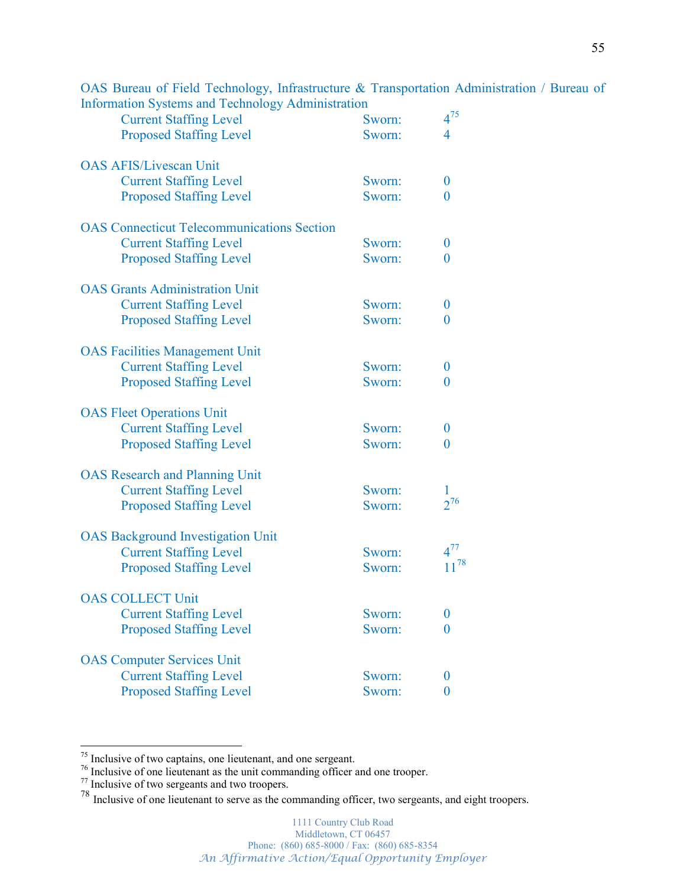| $\frac{1}{2}$<br><i>I</i> <b>MALILLING WELL</b><br><b>Current Staffing Level</b> | Sworn: | $4^{75}$         |
|----------------------------------------------------------------------------------|--------|------------------|
| <b>Proposed Staffing Level</b>                                                   | Sworn: | $\overline{4}$   |
|                                                                                  |        |                  |
| <b>OAS AFIS/Livescan Unit</b>                                                    |        |                  |
| <b>Current Staffing Level</b>                                                    | Sworn: | $\boldsymbol{0}$ |
| <b>Proposed Staffing Level</b>                                                   | Sworn: | 0                |
| <b>OAS</b> Connecticut Telecommunications Section                                |        |                  |
| <b>Current Staffing Level</b>                                                    | Sworn: | $\boldsymbol{0}$ |
| <b>Proposed Staffing Level</b>                                                   | Sworn: | $\overline{0}$   |
| <b>OAS Grants Administration Unit</b>                                            |        |                  |
| <b>Current Staffing Level</b>                                                    | Sworn: | $\boldsymbol{0}$ |
| <b>Proposed Staffing Level</b>                                                   | Sworn: | 0                |
| <b>OAS Facilities Management Unit</b>                                            |        |                  |
| <b>Current Staffing Level</b>                                                    | Sworn: | $\boldsymbol{0}$ |
| <b>Proposed Staffing Level</b>                                                   | Sworn: | $\overline{0}$   |
| <b>OAS Fleet Operations Unit</b>                                                 |        |                  |
| <b>Current Staffing Level</b>                                                    | Sworn: | $\boldsymbol{0}$ |
| <b>Proposed Staffing Level</b>                                                   | Sworn: | $\overline{0}$   |
| <b>OAS</b> Research and Planning Unit                                            |        |                  |
| <b>Current Staffing Level</b>                                                    | Sworn: |                  |
| <b>Proposed Staffing Level</b>                                                   | Sworn: | $2^{76}$         |
| <b>OAS Background Investigation Unit</b>                                         |        |                  |
| <b>Current Staffing Level</b>                                                    | Sworn: | $4^{77}$         |
| <b>Proposed Staffing Level</b>                                                   | Sworn: | $11^{78}$        |
| <b>OAS COLLECT Unit</b>                                                          |        |                  |
| <b>Current Staffing Level</b>                                                    | Sworn: | $\boldsymbol{0}$ |
| <b>Proposed Staffing Level</b>                                                   | Sworn: | 0                |
| <b>OAS</b> Computer Services Unit                                                |        |                  |
| <b>Current Staffing Level</b>                                                    | Sworn: | $\theta$         |
| <b>Proposed Staffing Level</b>                                                   | Sworn: | $\bf{0}$         |

OAS Bureau of Field Technology, Infrastructure & Transportation Administration / Bureau of Information Systems and Technology Administration

<sup>&</sup>lt;sup>75</sup> Inclusive of two captains, one lieutenant, and one sergeant.<br><sup>76</sup> Inclusive of one lieutenant as the unit commanding officer and one trooper.<br><sup>77</sup> Inclusive of two sergeants and two troopers.

<sup>&</sup>lt;sup>78</sup> Inclusive of one lieutenant to serve as the commanding officer, two sergeants, and eight troopers.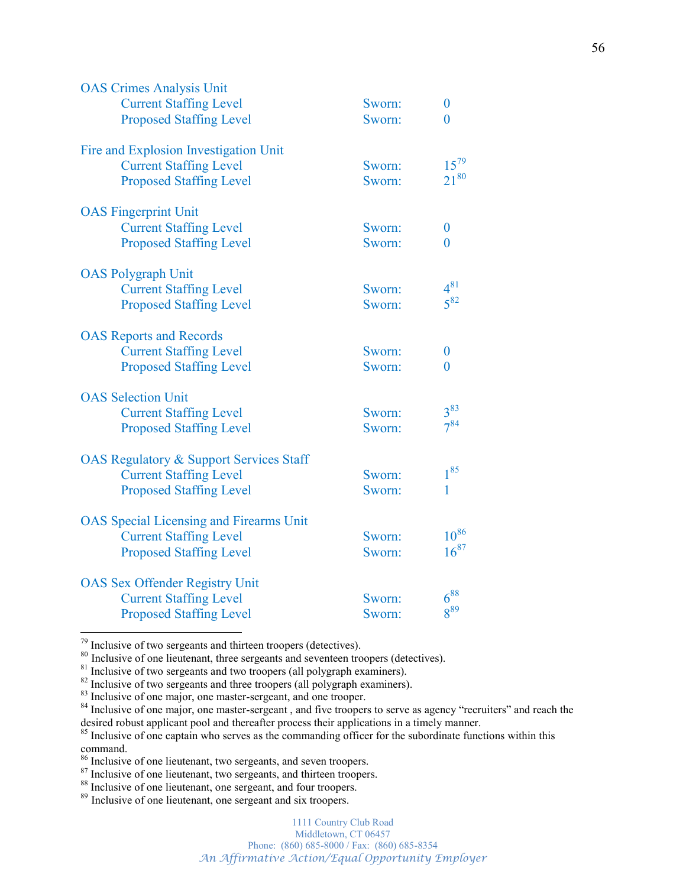| <b>OAS Crimes Analysis Unit</b>                    |        |                 |
|----------------------------------------------------|--------|-----------------|
| <b>Current Staffing Level</b>                      | Sworn: | $\overline{0}$  |
| <b>Proposed Staffing Level</b>                     | Sworn: | $\theta$        |
| Fire and Explosion Investigation Unit              |        |                 |
| <b>Current Staffing Level</b>                      | Sworn: | $15^{79}$       |
| <b>Proposed Staffing Level</b>                     | Sworn: | $21^{80}$       |
| <b>OAS</b> Fingerprint Unit                        |        |                 |
| <b>Current Staffing Level</b>                      | Sworn: | $\overline{0}$  |
| <b>Proposed Staffing Level</b>                     | Sworn: | $\theta$        |
| <b>OAS Polygraph Unit</b>                          |        |                 |
| <b>Current Staffing Level</b>                      | Sworn: | $4^{81}$        |
| <b>Proposed Staffing Level</b>                     | Sworn: | $5^{82}$        |
| <b>OAS</b> Reports and Records                     |        |                 |
| <b>Current Staffing Level</b>                      | Sworn: | 0               |
| <b>Proposed Staffing Level</b>                     | Sworn: | $\theta$        |
| <b>OAS</b> Selection Unit                          |        |                 |
| <b>Current Staffing Level</b>                      | Sworn: | $3^{83}$        |
| <b>Proposed Staffing Level</b>                     | Sworn: | $7^{84}$        |
| <b>OAS Regulatory &amp; Support Services Staff</b> |        |                 |
| <b>Current Staffing Level</b>                      | Sworn: | $1^{85}$        |
| <b>Proposed Staffing Level</b>                     | Sworn: | 1               |
| <b>OAS</b> Special Licensing and Firearms Unit     |        |                 |
| <b>Current Staffing Level</b>                      | Sworn: | $10^{86}$       |
| <b>Proposed Staffing Level</b>                     | Sworn: | $16^{87}$       |
| <b>OAS Sex Offender Registry Unit</b>              |        |                 |
| <b>Current Staffing Level</b>                      | Sworn: | $6^{88}$        |
| <b>Proposed Staffing Level</b>                     | Sworn: | 8 <sup>89</sup> |

1111 Country Club Road Middletown, CT 06457 Phone: (860) 685-8000 / Fax: (860) 685-8354 *An Affirmative Action/Equal Opportunity Employer*

<sup>&</sup>lt;sup>79</sup> Inclusive of two sergeants and thirteen troopers (detectives).<br><sup>80</sup> Inclusive of one lieutenant, three sergeants and seventeen troopers (detectives).<br><sup>81</sup> Inclusive of two sergeants and two troopers (all polygraph ex desired robust applicant pool and thereafter process their applications in a timely manner.

<sup>&</sup>lt;sup>85</sup> Inclusive of one captain who serves as the commanding officer for the subordinate functions within this command.

<sup>&</sup>lt;sup>86</sup> Inclusive of one lieutenant, two sergeants, and seven troopers.<br><sup>87</sup> Inclusive of one lieutenant, two sergeants, and thirteen troopers.<br><sup>88</sup> Inclusive of one lieutenant, one sergeant, and four troopers.<br><sup>89</sup> Inclusive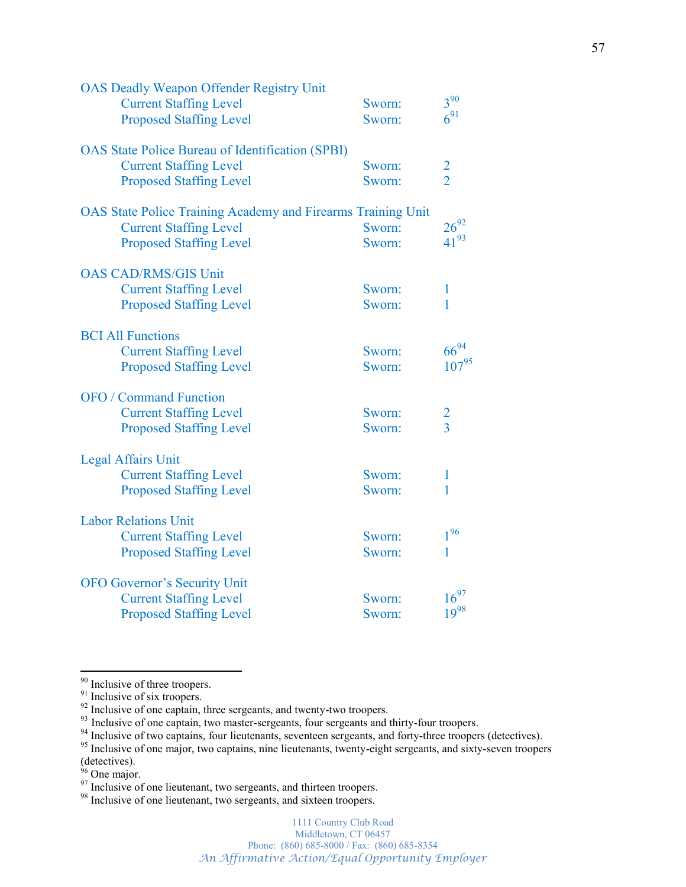| <b>OAS Deadly Weapon Offender Registry Unit</b>                     |                  | $3^{90}$      |
|---------------------------------------------------------------------|------------------|---------------|
| <b>Current Staffing Level</b><br><b>Proposed Staffing Level</b>     | Sworn:<br>Sworn: | $6^{91}$      |
| <b>OAS</b> State Police Bureau of Identification (SPBI)             |                  |               |
| <b>Current Staffing Level</b>                                       | Sworn:           | $\frac{2}{2}$ |
| <b>Proposed Staffing Level</b>                                      | Sworn:           |               |
| <b>OAS State Police Training Academy and Firearms Training Unit</b> |                  |               |
| <b>Current Staffing Level</b>                                       | Sworn:           | $26^{92}$     |
| <b>Proposed Staffing Level</b>                                      | Sworn:           | $41^{93}$     |
| <b>OAS CAD/RMS/GIS Unit</b>                                         |                  |               |
| <b>Current Staffing Level</b>                                       | Sworn:           | $\mathbf{1}$  |
| <b>Proposed Staffing Level</b>                                      | Sworn:           | 1             |
| <b>BCI All Functions</b>                                            |                  |               |
| <b>Current Staffing Level</b>                                       | Sworn:           | $66^{94}$     |
| <b>Proposed Staffing Level</b>                                      | Sworn:           | $107^{95}$    |
| <b>OFO</b> / Command Function                                       |                  |               |
| <b>Current Staffing Level</b>                                       | Sworn:           |               |
| <b>Proposed Staffing Level</b>                                      | Sworn:           | $\frac{2}{3}$ |
| <b>Legal Affairs Unit</b>                                           |                  |               |
| <b>Current Staffing Level</b>                                       | Sworn:           | 1             |
| <b>Proposed Staffing Level</b>                                      | Sworn:           | $\mathbf{1}$  |
| <b>Labor Relations Unit</b>                                         |                  |               |
| <b>Current Staffing Level</b>                                       | Sworn:           | $1^{96}$      |
| <b>Proposed Staffing Level</b>                                      | Sworn:           | 1             |
| <b>OFO Governor's Security Unit</b>                                 |                  |               |
| <b>Current Staffing Level</b>                                       | Sworn:           | $16^{97}$     |
| <b>Proposed Staffing Level</b>                                      | Sworn:           | $19^{98}$     |
|                                                                     |                  |               |

<sup>&</sup>lt;sup>90</sup> Inclusive of three troopers.<br><sup>91</sup> Inclusive of six troopers.<br><sup>92</sup> Inclusive of one captain, three sergeants, and twenty-two troopers.<br><sup>93</sup> Inclusive of one captain, two master-sergeants, four sergeants and thirty-fou (detectives).

<sup>&</sup>lt;sup>96</sup> One major.<br><sup>97</sup> Inclusive of one lieutenant, two sergeants, and thirteen troopers.<br><sup>98</sup> Inclusive of one lieutenant, two sergeants, and sixteen troopers.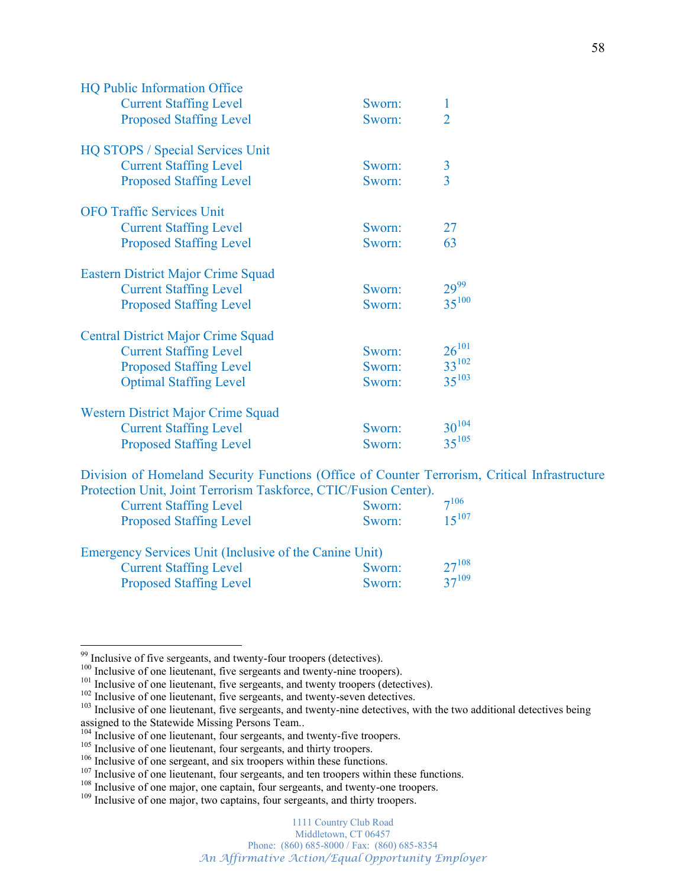| <b>HQ Public Information Office</b>       |        |                |
|-------------------------------------------|--------|----------------|
| <b>Current Staffing Level</b>             | Sworn: | $\mathbf{1}$   |
| <b>Proposed Staffing Level</b>            | Sworn: | $\overline{2}$ |
| <b>HQ STOPS / Special Services Unit</b>   |        |                |
| <b>Current Staffing Level</b>             | Sworn: | $\overline{3}$ |
| <b>Proposed Staffing Level</b>            | Sworn: | $\overline{3}$ |
| <b>OFO Traffic Services Unit</b>          |        |                |
| <b>Current Staffing Level</b>             | Sworn: | 27             |
| <b>Proposed Staffing Level</b>            | Sworn: | 63             |
| <b>Eastern District Major Crime Squad</b> |        |                |
| <b>Current Staffing Level</b>             | Sworn: | $29^{99}$      |
| <b>Proposed Staffing Level</b>            | Sworn: | $35^{100}$     |
| <b>Central District Major Crime Squad</b> |        |                |
| <b>Current Staffing Level</b>             | Sworn: | $26^{101}$     |
| <b>Proposed Staffing Level</b>            | Sworn: | $33^{102}$     |
| <b>Optimal Staffing Level</b>             | Sworn: | $35^{103}$     |
| Western District Major Crime Squad        |        |                |
| <b>Current Staffing Level</b>             | Sworn: | $30^{104}$     |
| <b>Proposed Staffing Level</b>            | Sworn: | $35^{105}$     |

Division of Homeland Security Functions (Office of Counter Terrorism, Critical Infrastructure Protection Unit, Joint Terrorism Taskforce, CTIC/Fusion Center).

| <b>Current Staffing Level</b>                                                          | Sworn:    | $7^{106}$  |
|----------------------------------------------------------------------------------------|-----------|------------|
| <b>Proposed Staffing Level</b>                                                         | Sworn:    | $15^{107}$ |
| Emergency Services Unit (Inclusive of the Canine Unit)                                 |           |            |
| $C_{\text{tunneling}}$ $C_{\text{to}}$ $C_{\text{to}}$ $T_{\text{to}}$ $T_{\text{to}}$ | Ossanan i | 27108      |

| <b>Current Staffing Level</b>  | Sworn: | $27^{108}$ |
|--------------------------------|--------|------------|
| <b>Proposed Staffing Level</b> | Sworn: | $37^{109}$ |

<sup>&</sup>lt;sup>99</sup> Inclusive of five sergeants, and twenty-four troopers (detectives).<br><sup>100</sup> Inclusive of one lieutenant, five sergeants and twenty-nine troopers).<br><sup>101</sup> Inclusive of one lieutenant, five sergeants, and twenty troopers assigned to the Statewide Missing Persons Team..<br><sup>104</sup> Inclusive of one lieutenant, four sergeants, and twenty-five troopers.<br><sup>105</sup> Inclusive of one lieutenant, four sergeants, and thirty troopers.<br><sup>105</sup> Inclusive of one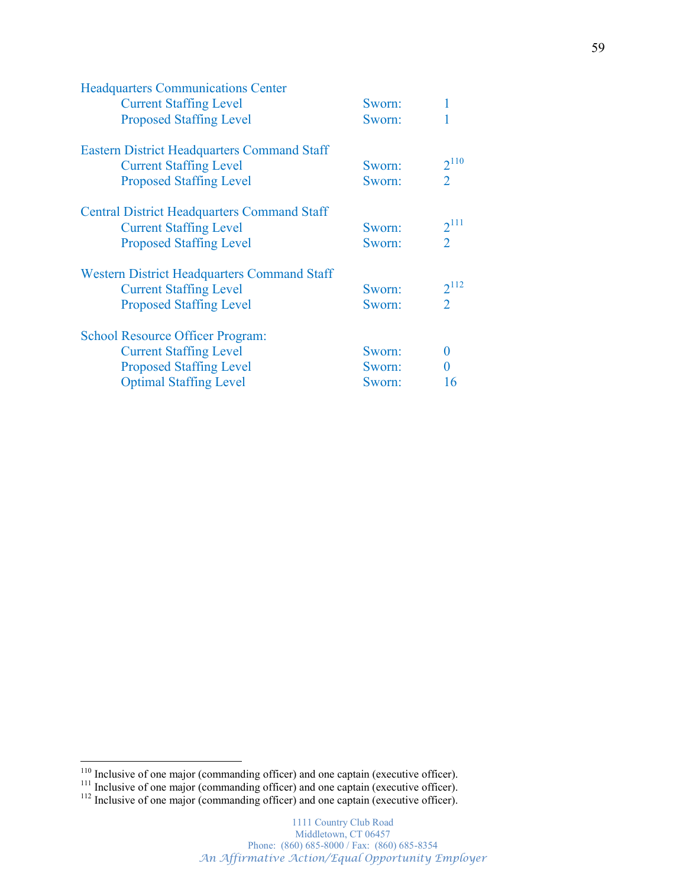| Sworn: |                |
|--------|----------------|
| Sworn: |                |
|        |                |
| Sworn: | $2^{110}$      |
| Sworn: | $\overline{2}$ |
|        |                |
| Sworn: | $2^{111}$      |
| Sworn: | $\overline{2}$ |
|        |                |
| Sworn: | $2^{112}$      |
| Sworn: | $\overline{2}$ |
|        |                |
| Sworn: | $\mathbf{0}$   |
| Sworn: |                |
| Sworn: | 16             |
|        |                |

 $\frac{110}{111}$  Inclusive of one major (commanding officer) and one captain (executive officer).<br> $\frac{111}{112}$  Inclusive of one major (commanding officer) and one captain (executive officer).<br> $\frac{112}{112}$  Inclusive of one